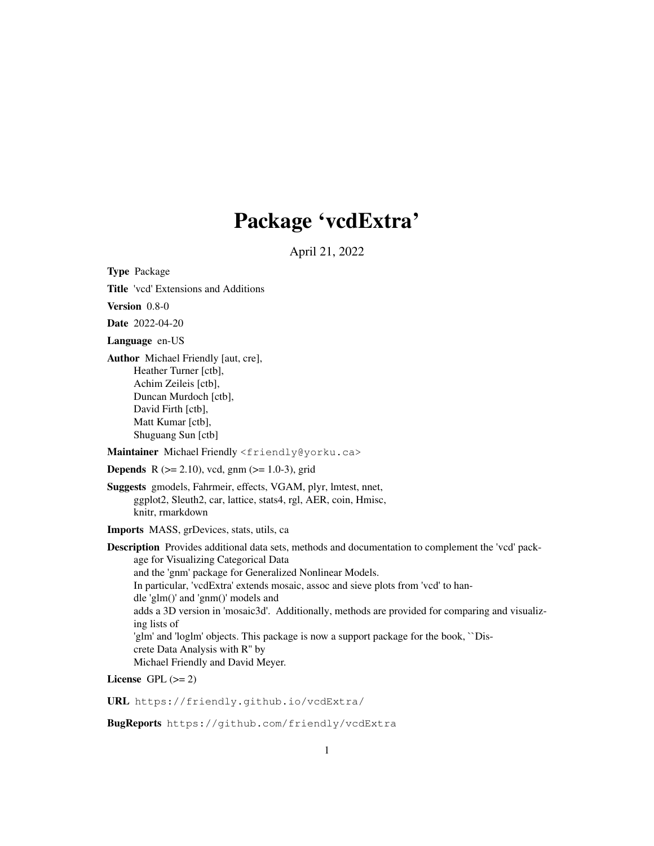# Package 'vcdExtra'

April 21, 2022

Type Package

Title 'vcd' Extensions and Additions

Version 0.8-0

Date 2022-04-20

Language en-US

Author Michael Friendly [aut, cre], Heather Turner [ctb], Achim Zeileis [ctb], Duncan Murdoch [ctb], David Firth [ctb], Matt Kumar [ctb], Shuguang Sun [ctb]

Maintainer Michael Friendly <friendly@yorku.ca>

**Depends** R  $(>= 2.10)$ , vcd, gnm  $(>= 1.0-3)$ , grid

Suggests gmodels, Fahrmeir, effects, VGAM, plyr, lmtest, nnet, ggplot2, Sleuth2, car, lattice, stats4, rgl, AER, coin, Hmisc, knitr, rmarkdown

Imports MASS, grDevices, stats, utils, ca

Description Provides additional data sets, methods and documentation to complement the 'vcd' package for Visualizing Categorical Data and the 'gnm' package for Generalized Nonlinear Models. In particular, 'vcdExtra' extends mosaic, assoc and sieve plots from 'vcd' to handle 'glm()' and 'gnm()' models and adds a 3D version in 'mosaic3d'. Additionally, methods are provided for comparing and visualizing lists of 'glm' and 'loglm' objects. This package is now a support package for the book, ``Discrete Data Analysis with R'' by Michael Friendly and David Meyer.

License GPL  $(>= 2)$ 

URL https://friendly.github.io/vcdExtra/

BugReports https://github.com/friendly/vcdExtra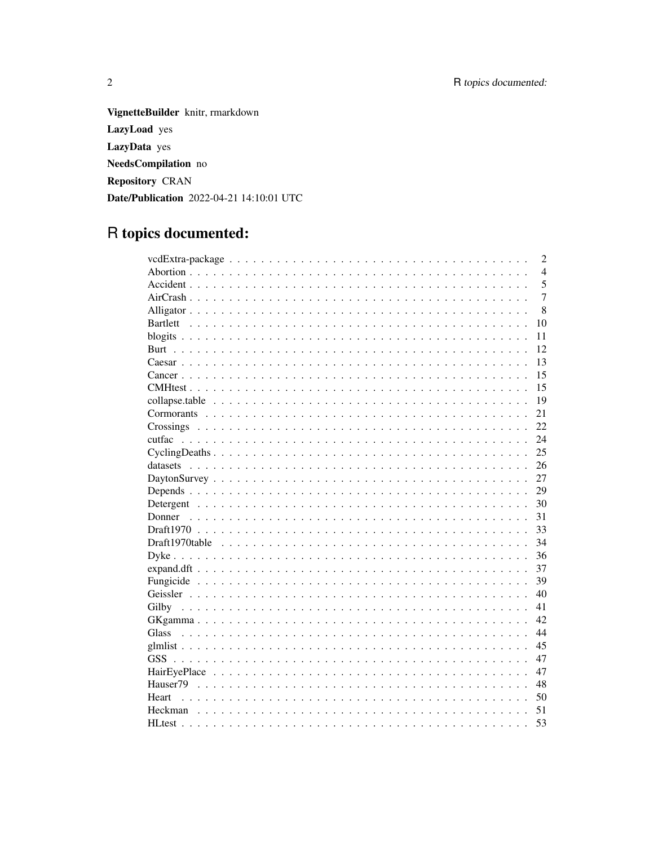VignetteBuilder knitr, rmarkdown LazyLoad yes LazyData yes NeedsCompilation no Repository CRAN Date/Publication 2022-04-21 14:10:01 UTC

# R topics documented:

|                                                                                                             | $\overline{2}$ |
|-------------------------------------------------------------------------------------------------------------|----------------|
|                                                                                                             | $\overline{4}$ |
|                                                                                                             | 5              |
|                                                                                                             | $\overline{7}$ |
|                                                                                                             | 8              |
|                                                                                                             | 10             |
|                                                                                                             | 11             |
|                                                                                                             | 12             |
|                                                                                                             | 13             |
|                                                                                                             | 15             |
|                                                                                                             | 15             |
|                                                                                                             | 19             |
|                                                                                                             | 21             |
|                                                                                                             | 22             |
|                                                                                                             | 24             |
| $Cycling Deaths \ldots \ldots \ldots \ldots \ldots \ldots \ldots \ldots \ldots \ldots \ldots \ldots \ldots$ | 25             |
|                                                                                                             | 26             |
|                                                                                                             | 27             |
|                                                                                                             | 29             |
|                                                                                                             | 30             |
|                                                                                                             | 31             |
|                                                                                                             | 33             |
|                                                                                                             | 34             |
|                                                                                                             | 36             |
|                                                                                                             | 37             |
|                                                                                                             | 39             |
|                                                                                                             | 40             |
|                                                                                                             | 41             |
|                                                                                                             | 42             |
| <b>Glass</b>                                                                                                | 44             |
|                                                                                                             | 45             |
|                                                                                                             | 47             |
|                                                                                                             | 47             |
|                                                                                                             | 48             |
| Heart                                                                                                       | 50             |
| Heckman                                                                                                     | 51             |
|                                                                                                             | 53             |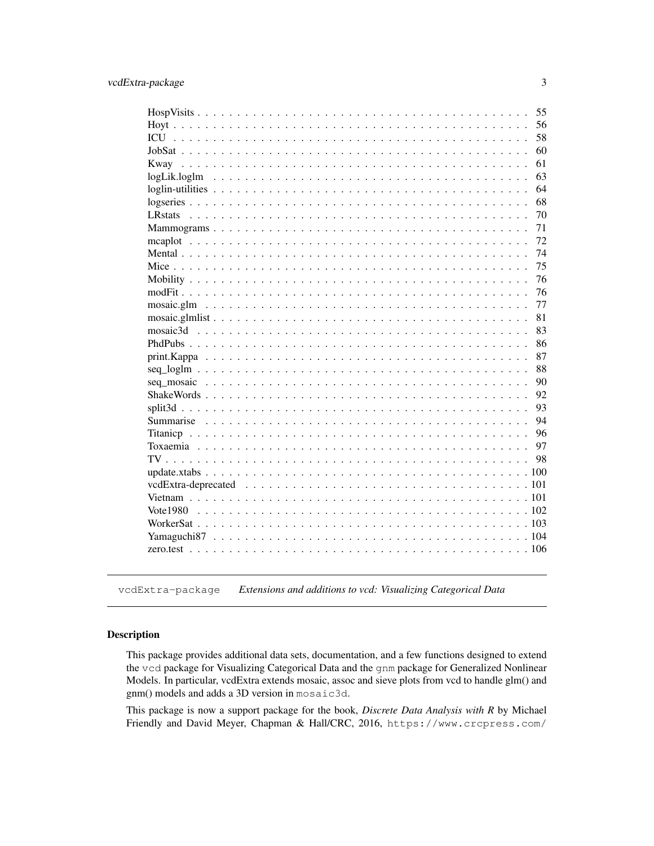|                 | 55 |
|-----------------|----|
|                 | 56 |
|                 | 58 |
|                 | 60 |
|                 | 61 |
|                 | 63 |
|                 | 64 |
|                 | 68 |
| <b>LR</b> stats | 70 |
|                 | 71 |
|                 | 72 |
|                 | 74 |
|                 | 75 |
|                 | 76 |
|                 | 76 |
|                 | 77 |
|                 | 81 |
|                 | 83 |
|                 | 86 |
|                 | 87 |
|                 | 88 |
|                 | 90 |
|                 | 92 |
|                 | 93 |
|                 | 94 |
|                 | 96 |
|                 | 97 |
|                 | 98 |
|                 |    |
|                 |    |
|                 |    |
|                 |    |
|                 |    |
| 104             |    |
| 106             |    |
|                 |    |

vcdExtra-package *Extensions and additions to vcd: Visualizing Categorical Data*

# Description

This package provides additional data sets, documentation, and a few functions designed to extend the vcd package for Visualizing Categorical Data and the gnm package for Generalized Nonlinear Models. In particular, vcdExtra extends mosaic, assoc and sieve plots from vcd to handle glm() and gnm() models and adds a 3D version in mosaic3d.

This package is now a support package for the book, *Discrete Data Analysis with R* by Michael Friendly and David Meyer, Chapman & Hall/CRC, 2016, https://www.crcpress.com/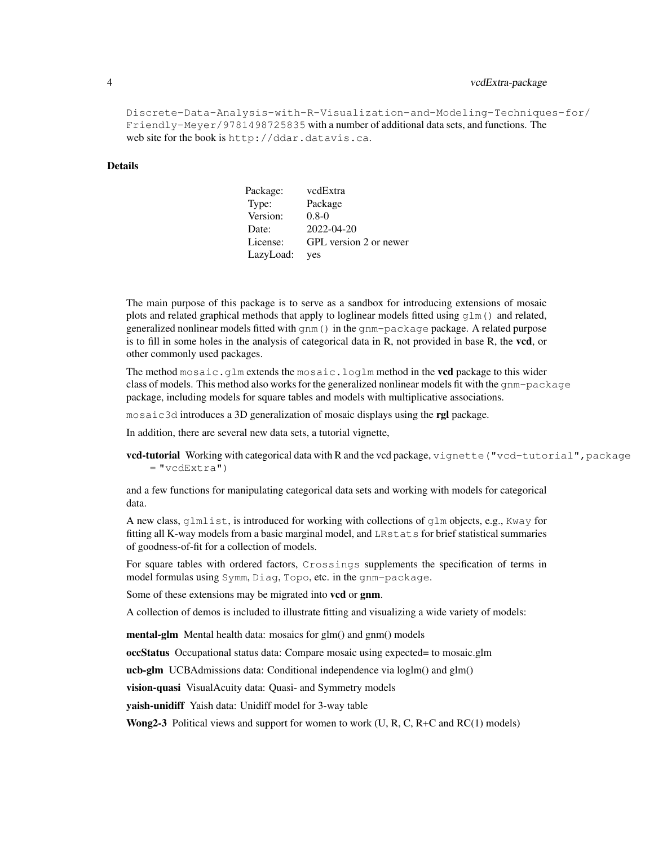# 4 vcdExtra-package

```
Discrete-Data-Analysis-with-R-Visualization-and-Modeling-Techniques-for/
Friendly-Meyer/9781498725835 with a number of additional data sets, and functions. The
web site for the book is http://ddar.datavis.ca.
```
## Details

| Package:  | vcdExtra               |
|-----------|------------------------|
| Type:     | Package                |
| Version:  | $0.8-0$                |
| Date:     | 2022-04-20             |
| License:  | GPL version 2 or newer |
| LazyLoad: | yes                    |

The main purpose of this package is to serve as a sandbox for introducing extensions of mosaic plots and related graphical methods that apply to loglinear models fitted using  $q \ln(1)$  and related, generalized nonlinear models fitted with gnm() in the gnm-package package. A related purpose is to fill in some holes in the analysis of categorical data in  $R$ , not provided in base  $R$ , the **vcd**, or other commonly used packages.

The method mosaic.glm extends the mosaic.loglm method in the **vcd** package to this wider class of models. This method also works for the generalized nonlinear models fit with the gnm-package package, including models for square tables and models with multiplicative associations.

mosaic3d introduces a 3D generalization of mosaic displays using the **rgl** package.

In addition, there are several new data sets, a tutorial vignette,

vcd-tutorial Working with categorical data with R and the vcd package, vignette ("vcd-tutorial", package  $=$  "vcdExtra")

and a few functions for manipulating categorical data sets and working with models for categorical data.

A new class, glmlist, is introduced for working with collections of glm objects, e.g., Kway for fitting all K-way models from a basic marginal model, and LRstats for brief statistical summaries of goodness-of-fit for a collection of models.

For square tables with ordered factors, Crossings supplements the specification of terms in model formulas using Symm, Diag, Topo, etc. in the gnm-package.

Some of these extensions may be migrated into **vcd** or **gnm**.

A collection of demos is included to illustrate fitting and visualizing a wide variety of models:

mental-glm Mental health data: mosaics for glm() and gnm() models

occStatus Occupational status data: Compare mosaic using expected= to mosaic.glm

ucb-glm UCBAdmissions data: Conditional independence via loglm() and glm()

vision-quasi VisualAcuity data: Quasi- and Symmetry models

yaish-unidiff Yaish data: Unidiff model for 3-way table

**Wong2-3** Political views and support for women to work  $(U, R, C, R+C)$  and  $RC(1)$  models)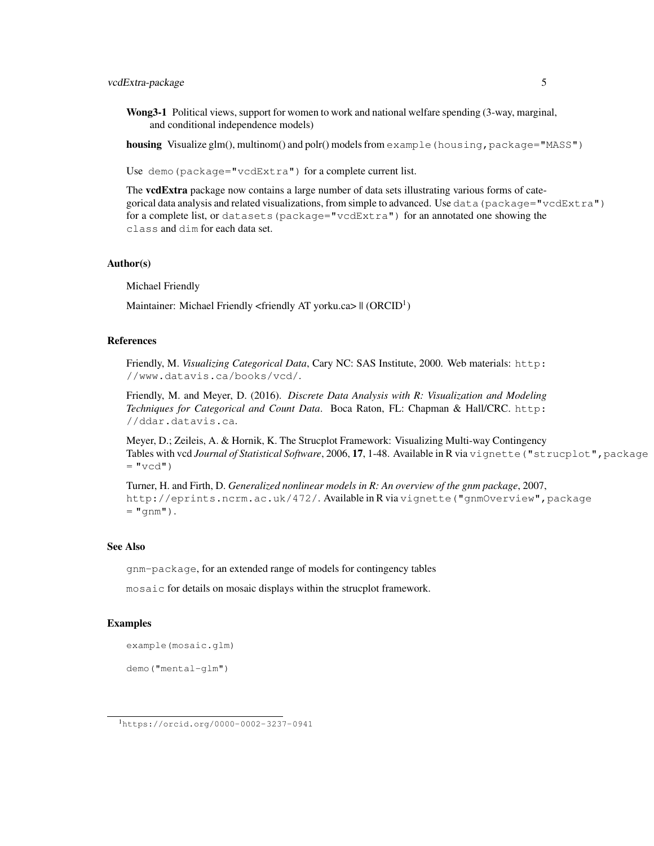# vcdExtra-package 5

Wong3-1 Political views, support for women to work and national welfare spending (3-way, marginal, and conditional independence models)

housing Visualize glm(), multinom() and polr() models from example (housing, package="MASS")

Use demo(package="vcdExtra") for a complete current list.

The vcdExtra package now contains a large number of data sets illustrating various forms of categorical data analysis and related visualizations, from simple to advanced. Use data(package="vcdExtra") for a complete list, or datasets(package="vcdExtra") for an annotated one showing the class and dim for each data set.

#### Author(s)

Michael Friendly

Maintainer: Michael Friendly <friendly AT yorku.ca> || (ORCID<sup>1</sup>)

## References

Friendly, M. *Visualizing Categorical Data*, Cary NC: SAS Institute, 2000. Web materials: http: //www.datavis.ca/books/vcd/.

Friendly, M. and Meyer, D. (2016). *Discrete Data Analysis with R: Visualization and Modeling Techniques for Categorical and Count Data*. Boca Raton, FL: Chapman & Hall/CRC. http: //ddar.datavis.ca.

Meyer, D.; Zeileis, A. & Hornik, K. The Strucplot Framework: Visualizing Multi-way Contingency Tables with vcd *Journal of Statistical Software*, 2006, 17, 1-48. Available in R via vignette("strucplot",package  $=$  "vcd")

Turner, H. and Firth, D. *Generalized nonlinear models in R: An overview of the gnm package*, 2007, http://eprints.ncrm.ac.uk/472/. Available in R via vignette("gnmOverview",package  $=$  "gnm").

# See Also

gnm-package, for an extended range of models for contingency tables

mosaic for details on mosaic displays within the strucplot framework.

## Examples

example(mosaic.glm)

demo("mental-glm")

<sup>1</sup>https://orcid.org/0000-0002-3237-0941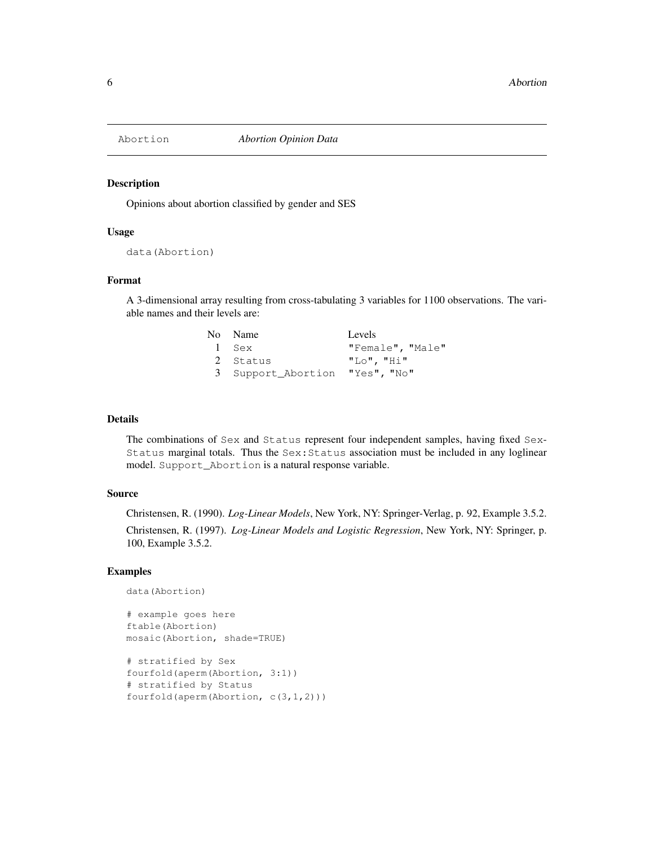Opinions about abortion classified by gender and SES

### Usage

data(Abortion)

# Format

A 3-dimensional array resulting from cross-tabulating 3 variables for 1100 observations. The variable names and their levels are:

| No Name                        | Levels           |
|--------------------------------|------------------|
| 1 Sex                          | "Female", "Male" |
| 2 Status                       | $"LO"$ , $"Hi"$  |
| 3 Support Abortion "Yes", "No" |                  |

#### Details

The combinations of Sex and Status represent four independent samples, having fixed Sex-Status marginal totals. Thus the  $Sex:$  Status association must be included in any loglinear model. Support\_Abortion is a natural response variable.

## Source

Christensen, R. (1990). *Log-Linear Models*, New York, NY: Springer-Verlag, p. 92, Example 3.5.2. Christensen, R. (1997). *Log-Linear Models and Logistic Regression*, New York, NY: Springer, p. 100, Example 3.5.2.

#### Examples

```
data(Abortion)
```

```
# example goes here
ftable(Abortion)
mosaic(Abortion, shade=TRUE)
```

```
# stratified by Sex
fourfold(aperm(Abortion, 3:1))
# stratified by Status
fourfold(aperm(Abortion, c(3,1,2)))
```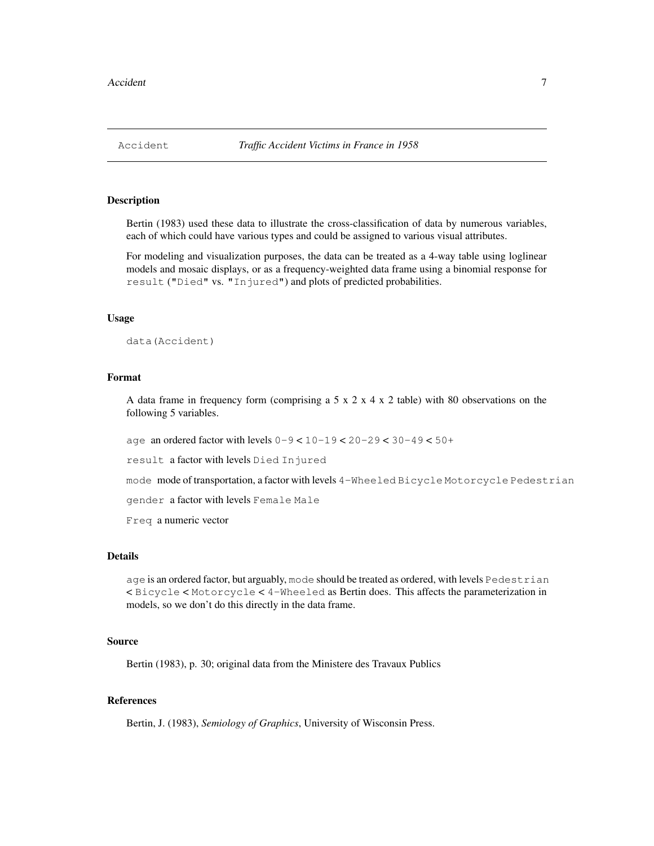Bertin (1983) used these data to illustrate the cross-classification of data by numerous variables, each of which could have various types and could be assigned to various visual attributes.

For modeling and visualization purposes, the data can be treated as a 4-way table using loglinear models and mosaic displays, or as a frequency-weighted data frame using a binomial response for result ("Died" vs. "Injured") and plots of predicted probabilities.

#### Usage

```
data(Accident)
```
## Format

A data frame in frequency form (comprising a  $5 \times 2 \times 4 \times 2$  table) with 80 observations on the following 5 variables.

age an ordered factor with levels 0-9 < 10-19 < 20-29 < 30-49 < 50+

result a factor with levels Died Injured

mode mode of transportation, a factor with levels 4-Wheeled Bicycle Motorcycle Pedestrian

gender a factor with levels Female Male

Freq a numeric vector

#### Details

age is an ordered factor, but arguably, mode should be treated as ordered, with levels Pedestrian < Bicycle < Motorcycle < 4-Wheeled as Bertin does. This affects the parameterization in models, so we don't do this directly in the data frame.

#### Source

Bertin (1983), p. 30; original data from the Ministere des Travaux Publics

# References

Bertin, J. (1983), *Semiology of Graphics*, University of Wisconsin Press.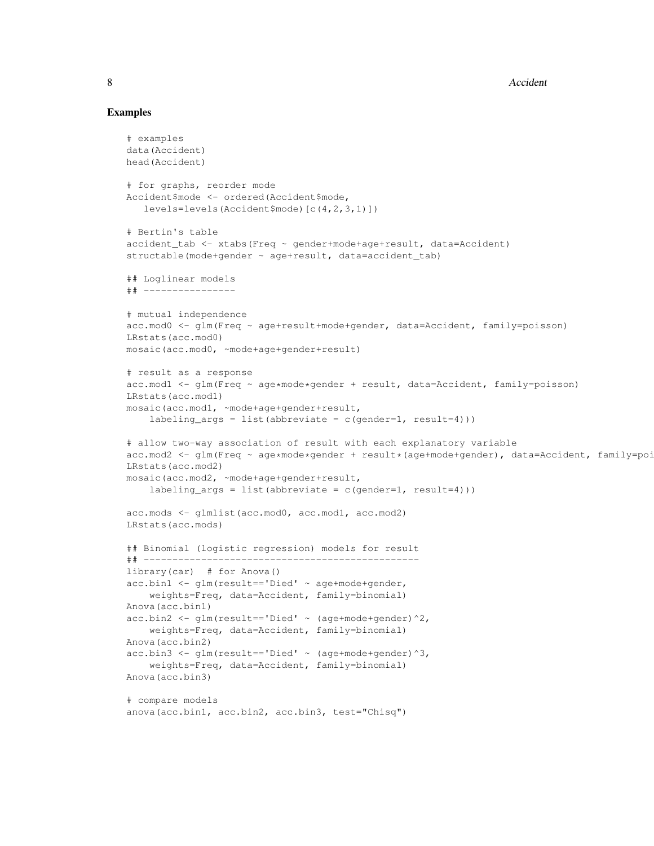# Examples

```
# examples
data(Accident)
head(Accident)
# for graphs, reorder mode
Accident$mode <- ordered(Accident$mode,
   levels=levels(Accident$mode)[c(4,2,3,1)])
# Bertin's table
accident_tab <- xtabs(Freq ~ gender+mode+age+result, data=Accident)
structable(mode+gender ~ age+result, data=accident_tab)
## Loglinear models
## ----------------
# mutual independence
acc.mod0 <- glm(Freq ~ age+result+mode+gender, data=Accident, family=poisson)
LRstats(acc.mod0)
mosaic(acc.mod0, ~mode+age+gender+result)
# result as a response
acc.mod1 <- glm(Freq ~ age*mode*gender + result, data=Accident, family=poisson)
LRstats(acc.mod1)
mosaic(acc.mod1, ~mode+age+gender+result,
    labeling_args = list(abbreviate = c(gender=1, result=4)))
# allow two-way association of result with each explanatory variable
acc.mod2 <- glm(Freq ~ age*mode*gender + result*(age+mode+gender), data=Accident, family=poi
LRstats(acc.mod2)
mosaic(acc.mod2, ~mode+age+gender+result,
    labeling_args = list(abbreviate = c(gender=1, result=4)))
acc.mods <- glmlist(acc.mod0, acc.mod1, acc.mod2)
LRstats(acc.mods)
## Binomial (logistic regression) models for result
## ------------------------------------------------
library(car) # for Anova()
acc.\text{bin1} \leftarrow \text{qlm}(result=='Died' ~ age+mode+gender,
    weights=Freq, data=Accident, family=binomial)
Anova(acc.bin1)
acc.\text{bin2} \leftarrow \text{glm}(\text{result} == \text{'Died'} \sim (\text{age}+\text{mode}+\text{gender})^2)weights=Freq, data=Accident, family=binomial)
Anova(acc.bin2)
acc. \text{bin3} \leftarrow \text{glm}(\text{result} == \text{Died'} \sim (\text{age} + \text{mode} + \text{gender})^3)weights=Freq, data=Accident, family=binomial)
Anova(acc.bin3)
# compare models
anova(acc.bin1, acc.bin2, acc.bin3, test="Chisq")
```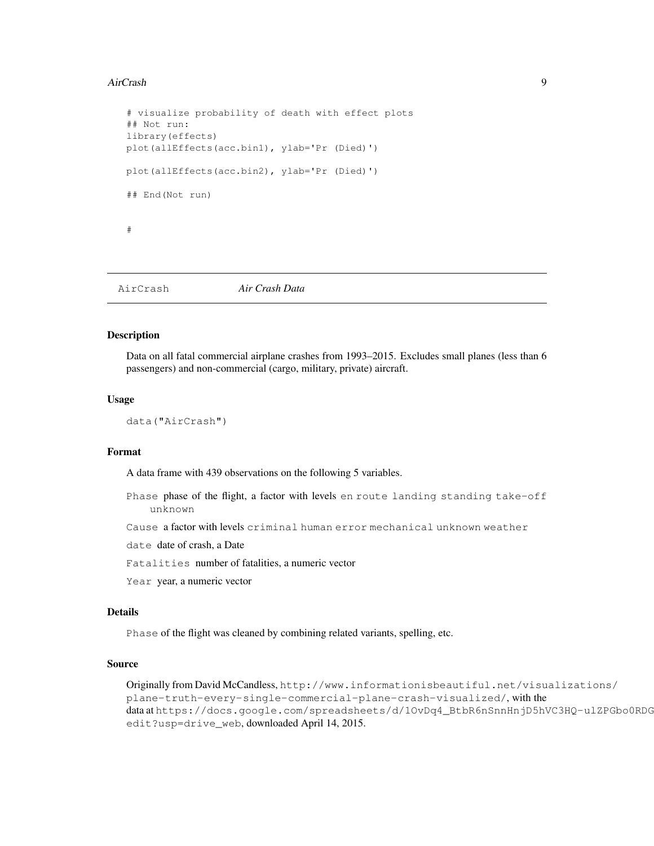#### AirCrash 9

```
# visualize probability of death with effect plots
## Not run:
library(effects)
plot(allEffects(acc.bin1), ylab='Pr (Died)')
plot(allEffects(acc.bin2), ylab='Pr (Died)')
## End(Not run)
#
```
AirCrash *Air Crash Data*

# Description

Data on all fatal commercial airplane crashes from 1993–2015. Excludes small planes (less than 6 passengers) and non-commercial (cargo, military, private) aircraft.

## Usage

```
data("AirCrash")
```
# Format

A data frame with 439 observations on the following 5 variables.

Phase phase of the flight, a factor with levels en route landing standing take-off unknown

Cause a factor with levels criminal human error mechanical unknown weather

date date of crash, a Date

Fatalities number of fatalities, a numeric vector

Year year, a numeric vector

#### Details

Phase of the flight was cleaned by combining related variants, spelling, etc.

# Source

Originally from David McCandless, http://www.informationisbeautiful.net/visualizations/ plane-truth-every-single-commercial-plane-crash-visualized/, with the data at https://docs.google.com/spreadsheets/d/10vDq4\_BtbR6nSnnHnjD5hVC3HQ-ulZPGbo0RDG edit?usp=drive\_web, downloaded April 14, 2015.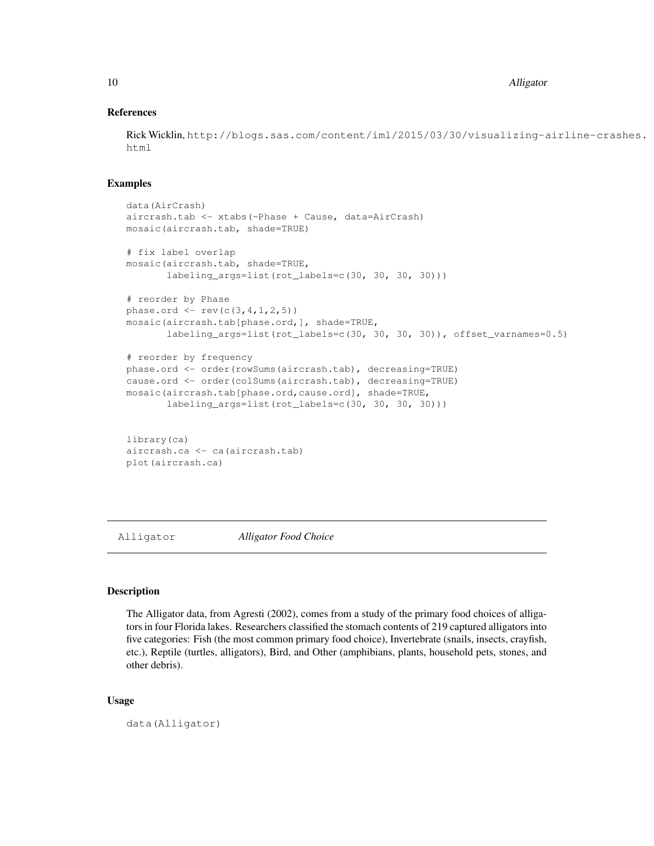10 Alligator

# References

Rick Wicklin, http://blogs.sas.com/content/iml/2015/03/30/visualizing-airline-crashes. html

### Examples

```
data(AirCrash)
aircrash.tab <- xtabs(~Phase + Cause, data=AirCrash)
mosaic(aircrash.tab, shade=TRUE)
# fix label overlap
mosaic(aircrash.tab, shade=TRUE,
       labeling_args=list(rot_labels=c(30, 30, 30, 30)))
# reorder by Phase
phase.ord <- rev(c(3,4,1,2,5))
mosaic(aircrash.tab[phase.ord,], shade=TRUE,
       labeling_args=list(rot_labels=c(30, 30, 30, 30)), offset_varnames=0.5)
# reorder by frequency
phase.ord <- order(rowSums(aircrash.tab), decreasing=TRUE)
cause.ord <- order(colSums(aircrash.tab), decreasing=TRUE)
mosaic(aircrash.tab[phase.ord,cause.ord], shade=TRUE,
       labeling_args=list(rot_labels=c(30, 30, 30, 30)))
library(ca)
aircrash.ca <- ca(aircrash.tab)
```
plot(aircrash.ca)

Alligator *Alligator Food Choice*

#### Description

The Alligator data, from Agresti (2002), comes from a study of the primary food choices of alligators in four Florida lakes. Researchers classified the stomach contents of 219 captured alligators into five categories: Fish (the most common primary food choice), Invertebrate (snails, insects, crayfish, etc.), Reptile (turtles, alligators), Bird, and Other (amphibians, plants, household pets, stones, and other debris).

#### Usage

data(Alligator)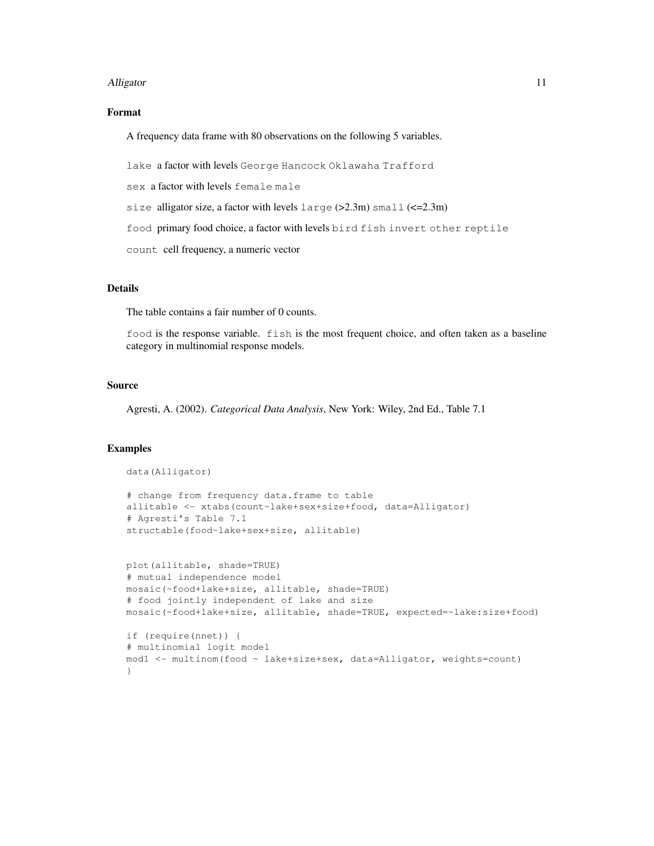#### Alligator 11

# Format

A frequency data frame with 80 observations on the following 5 variables.

lake a factor with levels George Hancock Oklawaha Trafford

sex a factor with levels female male

size alligator size, a factor with levels large (>2.3m) small (<=2.3m)

food primary food choice, a factor with levels bird fish invert other reptile

count cell frequency, a numeric vector

# Details

The table contains a fair number of 0 counts.

food is the response variable. fish is the most frequent choice, and often taken as a baseline category in multinomial response models.

#### Source

Agresti, A. (2002). *Categorical Data Analysis*, New York: Wiley, 2nd Ed., Table 7.1

#### Examples

}

```
data(Alligator)
# change from frequency data.frame to table
allitable <- xtabs(count~lake+sex+size+food, data=Alligator)
# Agresti's Table 7.1
structable(food~lake+sex+size, allitable)
plot(allitable, shade=TRUE)
# mutual independence model
mosaic(~food+lake+size, allitable, shade=TRUE)
# food jointly independent of lake and size
mosaic(~food+lake+size, allitable, shade=TRUE, expected=~lake:size+food)
if (require(nnet)) {
# multinomial logit model
```
mod1 <- multinom(food ~ lake+size+sex, data=Alligator, weights=count)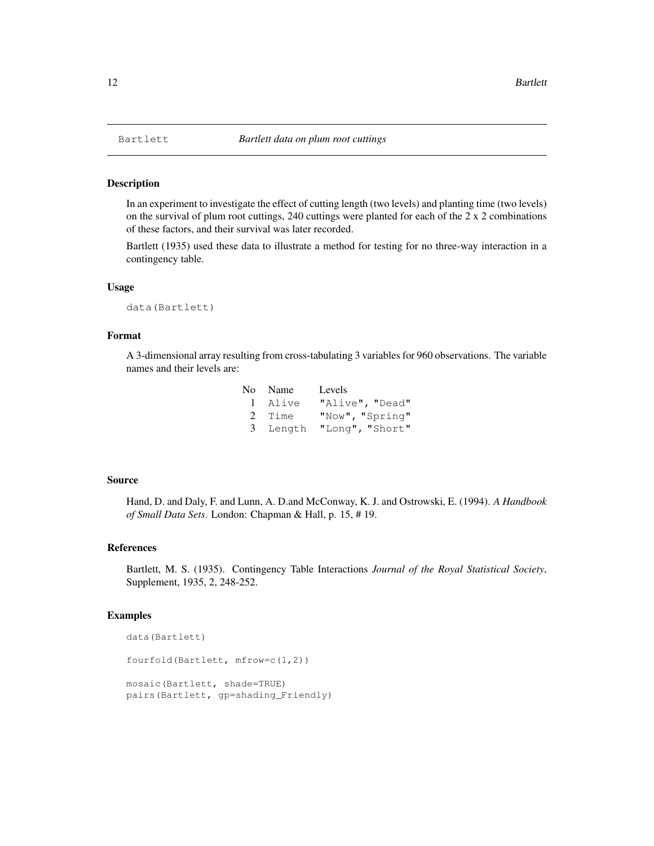In an experiment to investigate the effect of cutting length (two levels) and planting time (two levels) on the survival of plum root cuttings, 240 cuttings were planted for each of the  $2 \times 2$  combinations of these factors, and their survival was later recorded.

Bartlett (1935) used these data to illustrate a method for testing for no three-way interaction in a contingency table.

## Usage

data(Bartlett)

#### Format

A 3-dimensional array resulting from cross-tabulating 3 variables for 960 observations. The variable names and their levels are:

| No Name | Levels                   |
|---------|--------------------------|
| 1 Alive | "Alive", "Dead"          |
| 2 Time  | "Now", "Spring"          |
|         | 3 Length "Long", "Short" |

#### Source

Hand, D. and Daly, F. and Lunn, A. D.and McConway, K. J. and Ostrowski, E. (1994). *A Handbook of Small Data Sets*. London: Chapman & Hall, p. 15, # 19.

# References

Bartlett, M. S. (1935). Contingency Table Interactions *Journal of the Royal Statistical Society*, Supplement, 1935, 2, 248-252.

# Examples

```
data(Bartlett)
fourfold(Bartlett, mfrow=c(1,2))
mosaic(Bartlett, shade=TRUE)
pairs(Bartlett, gp=shading_Friendly)
```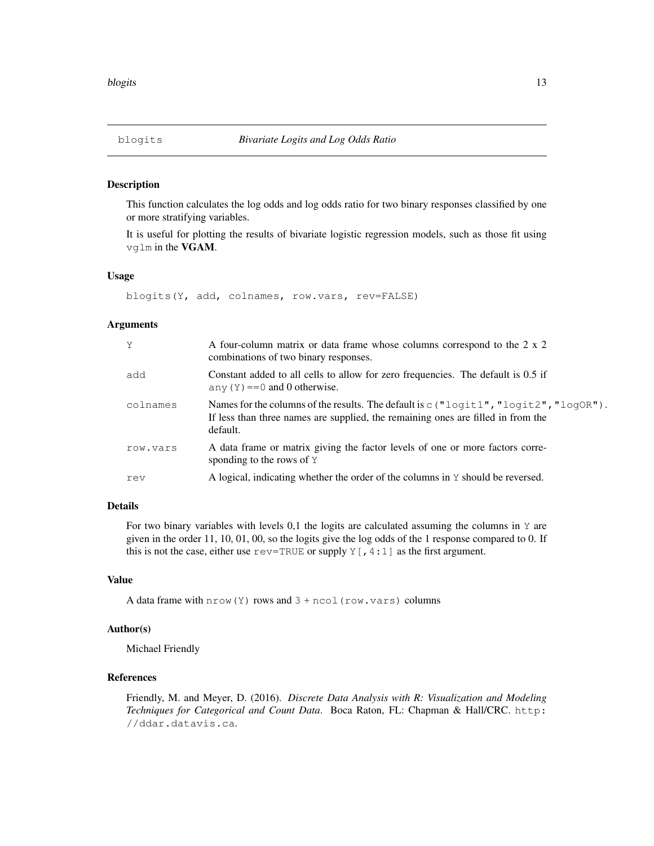This function calculates the log odds and log odds ratio for two binary responses classified by one or more stratifying variables.

It is useful for plotting the results of bivariate logistic regression models, such as those fit using vglm in the VGAM.

## Usage

```
blogits(Y, add, colnames, row.vars, rev=FALSE)
```
# Arguments

| Y        | A four-column matrix or data frame whose columns correspond to the 2 x 2<br>combinations of two binary responses.                                                                       |
|----------|-----------------------------------------------------------------------------------------------------------------------------------------------------------------------------------------|
| add      | Constant added to all cells to allow for zero frequencies. The default is 0.5 if<br>any $(Y) = 0$ and 0 otherwise.                                                                      |
| colnames | Names for the columns of the results. The default is $c$ ("logit1", "logit2", "logOR").<br>If less than three names are supplied, the remaining ones are filled in from the<br>default. |
| row.vars | A data frame or matrix giving the factor levels of one or more factors corre-<br>sponding to the rows of $Y$                                                                            |
| rev      | A logical, indicating whether the order of the columns in Y should be reversed.                                                                                                         |

# Details

For two binary variables with levels  $0,1$  the logits are calculated assuming the columns in Y are given in the order 11, 10, 01, 00, so the logits give the log odds of the 1 response compared to 0. If this is not the case, either use  $r = TRUE$  or supply  $Y$  [, 4:1] as the first argument.

#### Value

A data frame with  $nrow(Y)$  rows and  $3 + ncol(row.vars)$  columns

## Author(s)

Michael Friendly

# References

Friendly, M. and Meyer, D. (2016). *Discrete Data Analysis with R: Visualization and Modeling Techniques for Categorical and Count Data*. Boca Raton, FL: Chapman & Hall/CRC. http: //ddar.datavis.ca.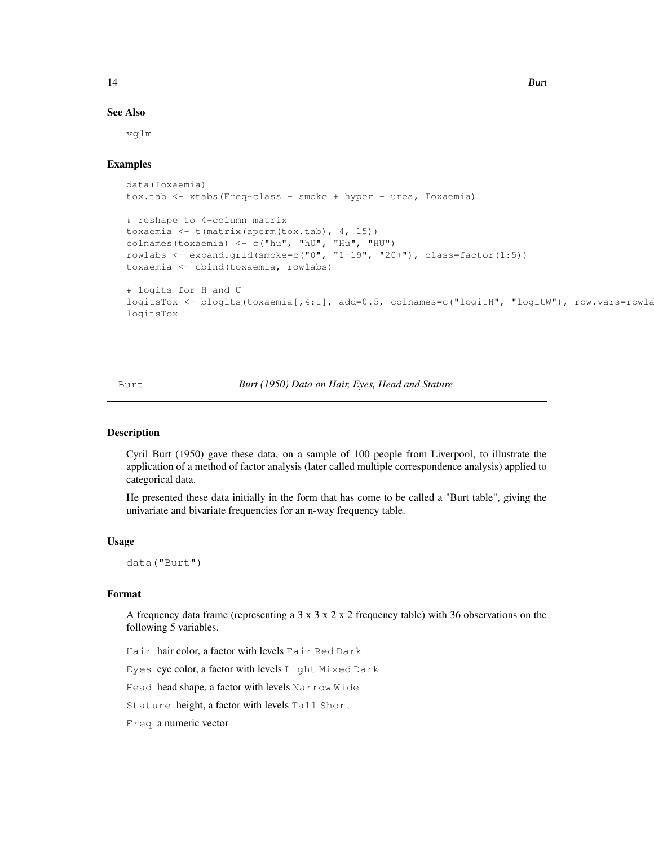# See Also

vglm

# Examples

```
data(Toxaemia)
tox.tab <- xtabs(Freq~class + smoke + hyper + urea, Toxaemia)
# reshape to 4-column matrix
toxaemia <- t(matrix(aperm(tox.tab), 4, 15))
colnames(toxaemia) <- c("hu", "hU", "Hu", "HU")
rowlabs \leq expand.grid(smoke=c("0", "1-19", "20+"), class=factor(1:5))
toxaemia <- cbind(toxaemia, rowlabs)
# logits for H and U
logitsTox <- blogits(toxaemia[,4:1], add=0.5, colnames=c("logitH", "logitW"), row.vars=rowla
logitsTox
```
Burt *Burt (1950) Data on Hair, Eyes, Head and Stature*

## **Description**

Cyril Burt (1950) gave these data, on a sample of 100 people from Liverpool, to illustrate the application of a method of factor analysis (later called multiple correspondence analysis) applied to categorical data.

He presented these data initially in the form that has come to be called a "Burt table", giving the univariate and bivariate frequencies for an n-way frequency table.

#### Usage

data("Burt")

## Format

A frequency data frame (representing a  $3 \times 3 \times 2 \times 2$  frequency table) with 36 observations on the following 5 variables.

Hair hair color, a factor with levels Fair Red Dark

Eyes eye color, a factor with levels Light Mixed Dark

Head head shape, a factor with levels Narrow Wide

Stature height, a factor with levels Tall Short

Freq a numeric vector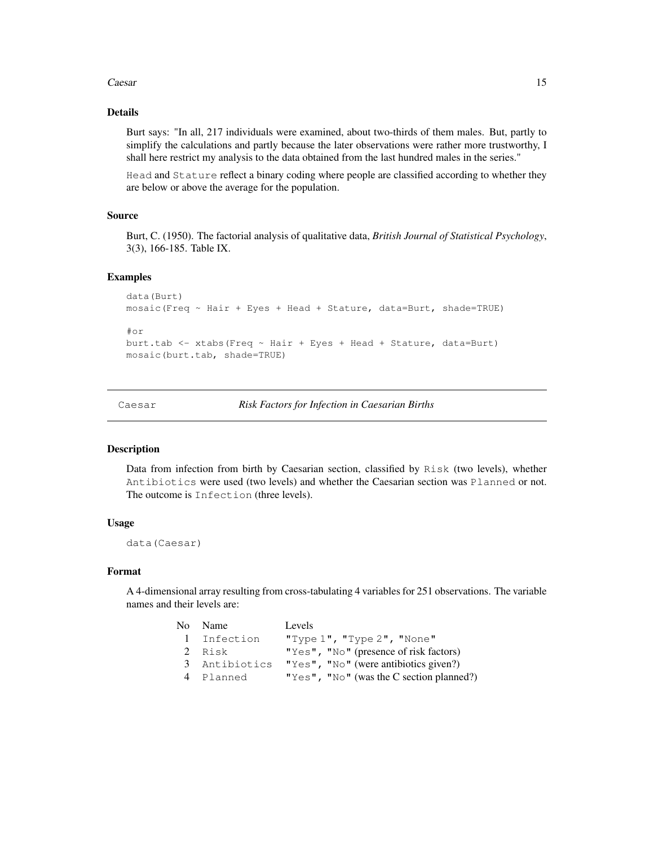#### Caesar 15

# Details

Burt says: "In all, 217 individuals were examined, about two-thirds of them males. But, partly to simplify the calculations and partly because the later observations were rather more trustworthy, I shall here restrict my analysis to the data obtained from the last hundred males in the series."

Head and Stature reflect a binary coding where people are classified according to whether they are below or above the average for the population.

#### Source

Burt, C. (1950). The factorial analysis of qualitative data, *British Journal of Statistical Psychology*, 3(3), 166-185. Table IX.

# Examples

```
data(Burt)
mosaic(Freq \sim Hair + Eyes + Head + Stature, data=Burt, shade=TRUE)
#or
burt.tab <- xtabs(Freq ~ Hair + Eyes + Head + Stature, data=Burt)
mosaic(burt.tab, shade=TRUE)
```
Caesar *Risk Factors for Infection in Caesarian Births*

#### Description

Data from infection from birth by Caesarian section, classified by Risk (two levels), whether Antibiotics were used (two levels) and whether the Caesarian section was Planned or not. The outcome is Infection (three levels).

## Usage

```
data(Caesar)
```
# Format

A 4-dimensional array resulting from cross-tabulating 4 variables for 251 observations. The variable names and their levels are:

| No Name       | Levels                                        |
|---------------|-----------------------------------------------|
| 1 Infection   | "Type $1$ ", "Type $2$ ", "None"              |
| 2 Risk        | "Yes", "No" (presence of risk factors)        |
| 3 Antibiotics | " $Yes$ ", " $No$ " (were antibiotics given?) |
| 4 Planned     | "Yes", "No" (was the C section planned?)      |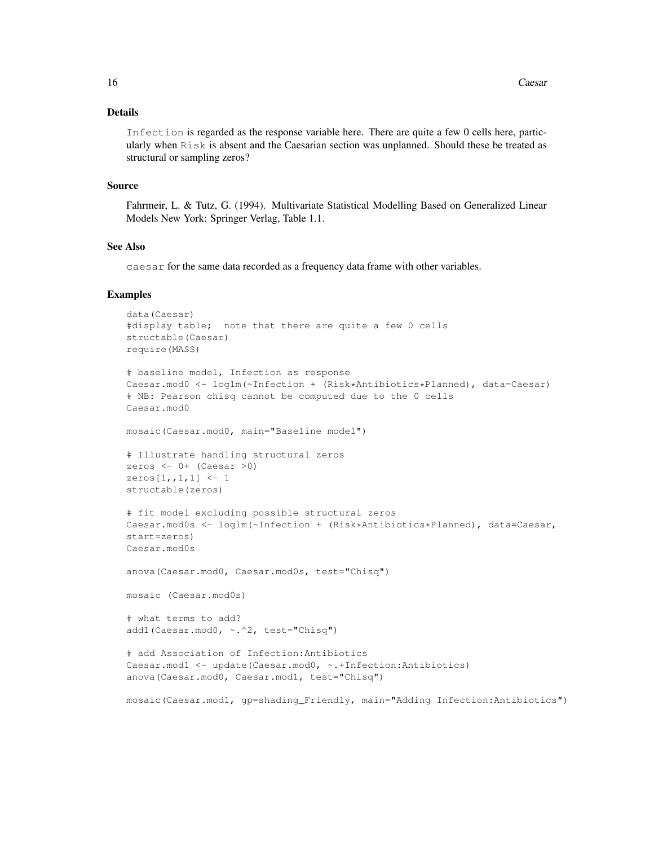## Details

Infection is regarded as the response variable here. There are quite a few 0 cells here, particularly when Risk is absent and the Caesarian section was unplanned. Should these be treated as structural or sampling zeros?

#### Source

Fahrmeir, L. & Tutz, G. (1994). Multivariate Statistical Modelling Based on Generalized Linear Models New York: Springer Verlag, Table 1.1.

# See Also

caesar for the same data recorded as a frequency data frame with other variables.

#### Examples

```
data(Caesar)
#display table; note that there are quite a few 0 cells
structable(Caesar)
require(MASS)
# baseline model, Infection as response
Caesar.mod0 <- loglm(~Infection + (Risk*Antibiotics*Planned), data=Caesar)
# NB: Pearson chisq cannot be computed due to the 0 cells
Caesar.mod0
mosaic(Caesar.mod0, main="Baseline model")
# Illustrate handling structural zeros
zeros <-0+ (Caesar >0)
zeros[1,,1,1] <- 1
structable(zeros)
# fit model excluding possible structural zeros
Caesar.mod0s <- loglm(~Infection + (Risk*Antibiotics*Planned), data=Caesar,
start=zeros)
Caesar.mod0s
anova(Caesar.mod0, Caesar.mod0s, test="Chisq")
mosaic (Caesar.mod0s)
# what terms to add?
add1(Caesar.mod0, ~.^2, test="Chisq")
# add Association of Infection:Antibiotics
Caesar.mod1 <- update(Caesar.mod0, ~.+Infection:Antibiotics)
anova(Caesar.mod0, Caesar.mod1, test="Chisq")
mosaic(Caesar.mod1, gp=shading_Friendly, main="Adding Infection:Antibiotics")
```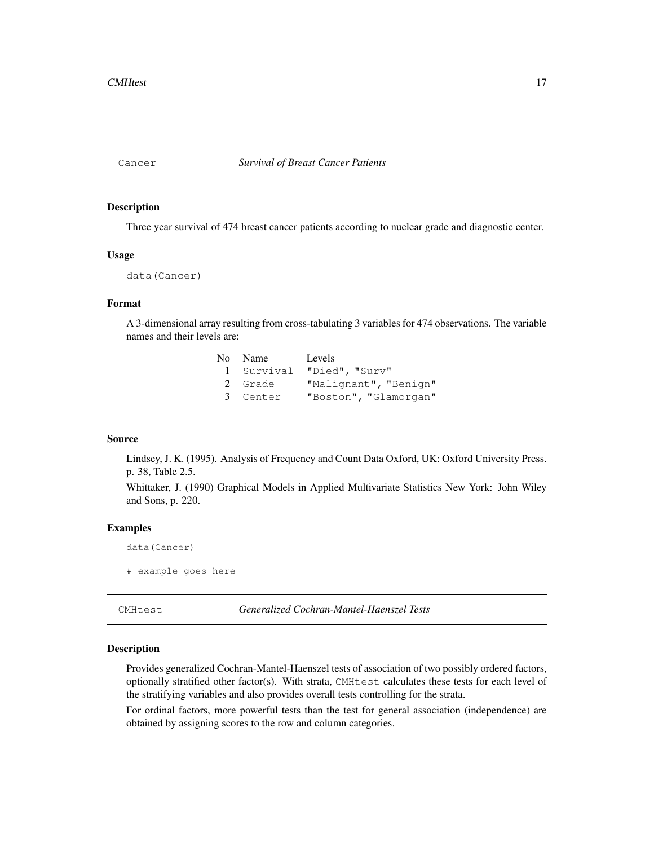Three year survival of 474 breast cancer patients according to nuclear grade and diagnostic center.

#### Usage

```
data(Cancer)
```
## Format

A 3-dimensional array resulting from cross-tabulating 3 variables for 474 observations. The variable names and their levels are:

| No Name  | Levels                    |
|----------|---------------------------|
|          | 1 Survival "Died", "Surv" |
| 2 Grade  | "Malignant", "Benign"     |
| 3 Center | "Boston", "Glamorgan"     |

## Source

Lindsey, J. K. (1995). Analysis of Frequency and Count Data Oxford, UK: Oxford University Press. p. 38, Table 2.5.

Whittaker, J. (1990) Graphical Models in Applied Multivariate Statistics New York: John Wiley and Sons, p. 220.

# Examples

```
data(Cancer)
```
# example goes here

CMHtest *Generalized Cochran-Mantel-Haenszel Tests*

#### Description

Provides generalized Cochran-Mantel-Haenszel tests of association of two possibly ordered factors, optionally stratified other factor(s). With strata, CMHtest calculates these tests for each level of the stratifying variables and also provides overall tests controlling for the strata.

For ordinal factors, more powerful tests than the test for general association (independence) are obtained by assigning scores to the row and column categories.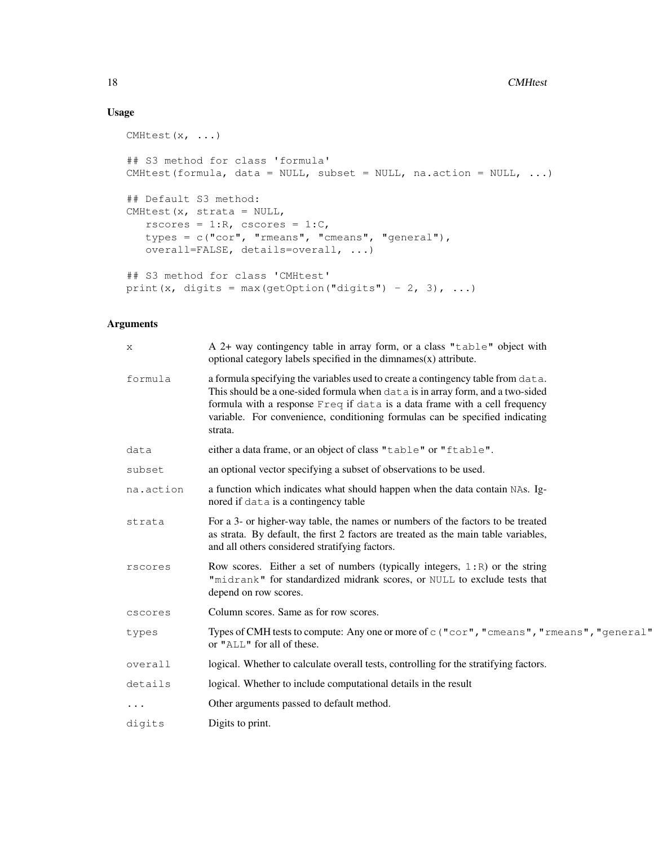# Usage

```
CMHtest(x, ...)
## S3 method for class 'formula'
CMHtest(formula, data = NULL, subset = NULL, na.action = NULL, ...)
## Default S3 method:
CMHtest(x, strata = NULL,
   rscores = 1:R, cscores = 1:C,
  types = c("cor", "rmeans", "cmeans", "general"),
   overall=FALSE, details=overall, ...)
## S3 method for class 'CMHtest'
print(x, digits = max(getOption("digits") - 2, 3), \dots)
```
# Arguments

| X         | A 2+ way contingency table in array form, or a class "table" object with<br>optional category labels specified in the dimnames $(x)$ attribute.                                                                                                                                                                                             |
|-----------|---------------------------------------------------------------------------------------------------------------------------------------------------------------------------------------------------------------------------------------------------------------------------------------------------------------------------------------------|
| formula   | a formula specifying the variables used to create a contingency table from data.<br>This should be a one-sided formula when data is in array form, and a two-sided<br>formula with a response Freq if data is a data frame with a cell frequency<br>variable. For convenience, conditioning formulas can be specified indicating<br>strata. |
| data      | either a data frame, or an object of class "table" or "ftable".                                                                                                                                                                                                                                                                             |
| subset    | an optional vector specifying a subset of observations to be used.                                                                                                                                                                                                                                                                          |
| na.action | a function which indicates what should happen when the data contain NAs. Ig-<br>nored if data is a contingency table                                                                                                                                                                                                                        |
| strata    | For a 3- or higher-way table, the names or numbers of the factors to be treated<br>as strata. By default, the first 2 factors are treated as the main table variables,<br>and all others considered stratifying factors.                                                                                                                    |
| rscores   | Row scores. Either a set of numbers (typically integers, $1:R$ ) or the string<br>"midrank" for standardized midrank scores, or NULL to exclude tests that<br>depend on row scores.                                                                                                                                                         |
| cscores   | Column scores. Same as for row scores.                                                                                                                                                                                                                                                                                                      |
| types     | Types of CMH tests to compute: Any one or more of c ("cor", "cmeans", "rmeans", "general"<br>or "ALL" for all of these.                                                                                                                                                                                                                     |
| overall   | logical. Whether to calculate overall tests, controlling for the stratifying factors.                                                                                                                                                                                                                                                       |
| details   | logical. Whether to include computational details in the result                                                                                                                                                                                                                                                                             |
| $\cdots$  | Other arguments passed to default method.                                                                                                                                                                                                                                                                                                   |
| digits    | Digits to print.                                                                                                                                                                                                                                                                                                                            |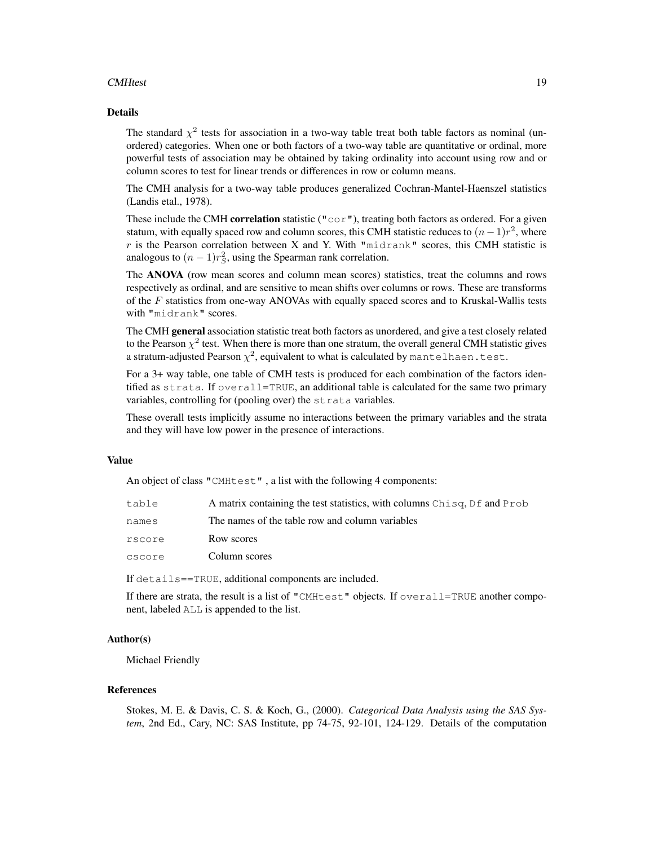## CMHtest 19

#### Details

The standard  $\chi^2$  tests for association in a two-way table treat both table factors as nominal (unordered) categories. When one or both factors of a two-way table are quantitative or ordinal, more powerful tests of association may be obtained by taking ordinality into account using row and or column scores to test for linear trends or differences in row or column means.

The CMH analysis for a two-way table produces generalized Cochran-Mantel-Haenszel statistics (Landis etal., 1978).

These include the CMH correlation statistic ( $\pi \circ \circ \pi$ ), treating both factors as ordered. For a given statum, with equally spaced row and column scores, this CMH statistic reduces to  $(n-1)r^2$ , where r is the Pearson correlation between X and Y. With "midrank" scores, this CMH statistic is analogous to  $(n-1)r_S^2$ , using the Spearman rank correlation.

The ANOVA (row mean scores and column mean scores) statistics, treat the columns and rows respectively as ordinal, and are sensitive to mean shifts over columns or rows. These are transforms of the  $F$  statistics from one-way ANOVAs with equally spaced scores and to Kruskal-Wallis tests with "midrank" scores.

The CMH general association statistic treat both factors as unordered, and give a test closely related to the Pearson  $\chi^2$  test. When there is more than one stratum, the overall general CMH statistic gives a stratum-adjusted Pearson  $\chi^2$ , equivalent to what is calculated by <code>mantelhaen.test.</code>

For a 3+ way table, one table of CMH tests is produced for each combination of the factors identified as strata. If overall=TRUE, an additional table is calculated for the same two primary variables, controlling for (pooling over) the strata variables.

These overall tests implicitly assume no interactions between the primary variables and the strata and they will have low power in the presence of interactions.

#### Value

An object of class "CMHtest" , a list with the following 4 components:

| table  | A matrix containing the test statistics, with columns Chisq, Df and Prob |
|--------|--------------------------------------------------------------------------|
| names  | The names of the table row and column variables                          |
| rscore | Row scores                                                               |
| cscore | Column scores                                                            |
|        |                                                                          |

If details==TRUE, additional components are included.

If there are strata, the result is a list of "CMHtest" objects. If overall=TRUE another component, labeled ALL is appended to the list.

# Author(s)

Michael Friendly

#### References

Stokes, M. E. & Davis, C. S. & Koch, G., (2000). *Categorical Data Analysis using the SAS System*, 2nd Ed., Cary, NC: SAS Institute, pp 74-75, 92-101, 124-129. Details of the computation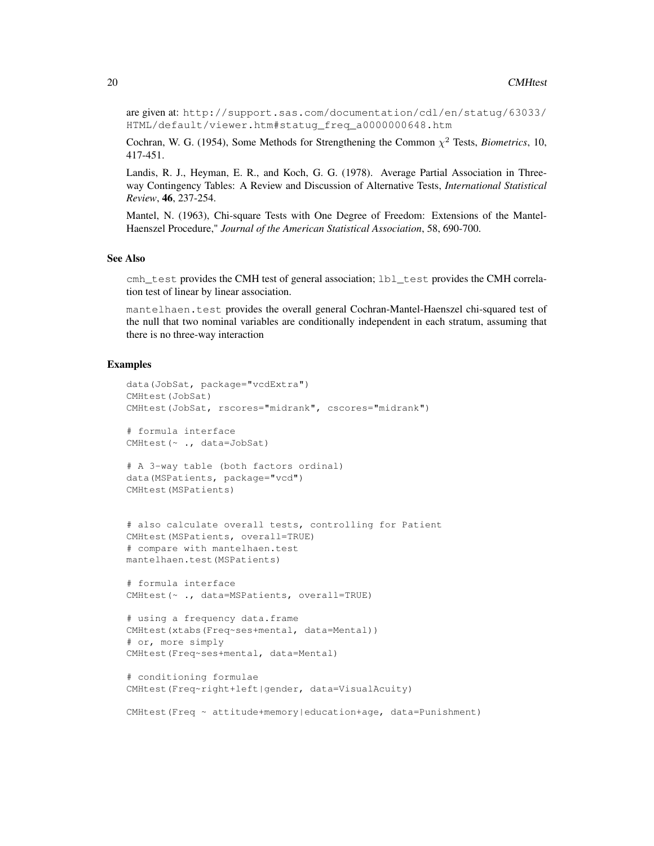are given at: http://support.sas.com/documentation/cdl/en/statug/63033/ HTML/default/viewer.htm#statug\_freq\_a0000000648.htm

Cochran, W. G. (1954), Some Methods for Strengthening the Common  $\chi^2$  Tests, *Biometrics*, 10, 417-451.

Landis, R. J., Heyman, E. R., and Koch, G. G. (1978). Average Partial Association in Threeway Contingency Tables: A Review and Discussion of Alternative Tests, *International Statistical Review*, 46, 237-254.

Mantel, N. (1963), Chi-square Tests with One Degree of Freedom: Extensions of the Mantel-Haenszel Procedure," *Journal of the American Statistical Association*, 58, 690-700.

## See Also

cmh\_test provides the CMH test of general association; lbl\_test provides the CMH correlation test of linear by linear association.

mantelhaen.test provides the overall general Cochran-Mantel-Haenszel chi-squared test of the null that two nominal variables are conditionally independent in each stratum, assuming that there is no three-way interaction

## Examples

```
data(JobSat, package="vcdExtra")
CMHtest(JobSat)
CMHtest(JobSat, rscores="midrank", cscores="midrank")
# formula interface
CMHtest(~ ., data=JobSat)
# A 3-way table (both factors ordinal)
data(MSPatients, package="vcd")
CMHtest(MSPatients)
# also calculate overall tests, controlling for Patient
CMHtest(MSPatients, overall=TRUE)
# compare with mantelhaen.test
mantelhaen.test(MSPatients)
# formula interface
CMHtest(~ ., data=MSPatients, overall=TRUE)
# using a frequency data.frame
CMHtest(xtabs(Freq~ses+mental, data=Mental))
# or, more simply
CMHtest(Freq~ses+mental, data=Mental)
# conditioning formulae
CMHtest(Freq~right+left|gender, data=VisualAcuity)
CMHtest(Freq ~ ~ attribute + memory| education + age, data = Punishment)
```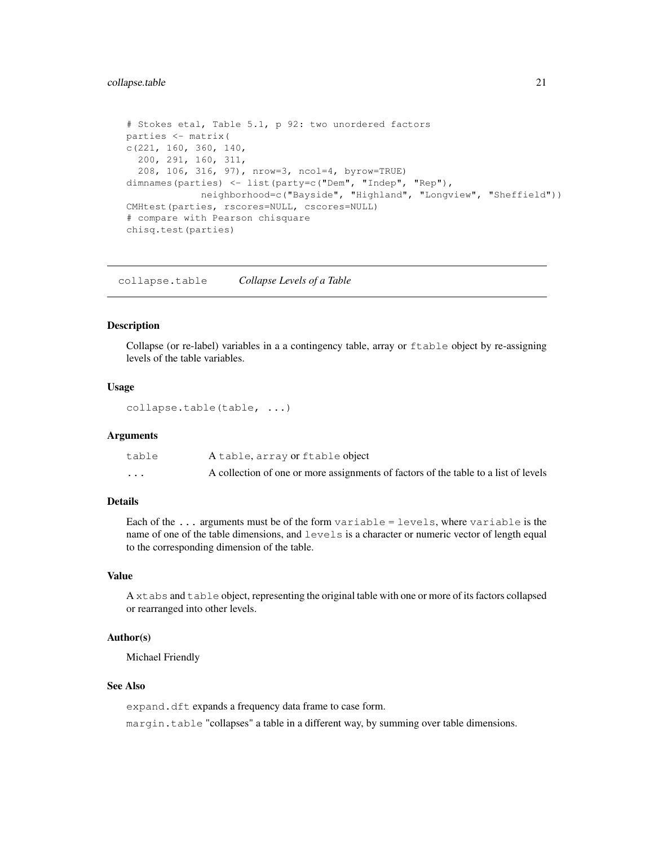# collapse.table 21

```
# Stokes etal, Table 5.1, p 92: two unordered factors
parties <- matrix(
c(221, 160, 360, 140,
  200, 291, 160, 311,
  208, 106, 316, 97), nrow=3, ncol=4, byrow=TRUE)
dimnames(parties) <- list(party=c("Dem", "Indep", "Rep"),
            neighborhood=c("Bayside", "Highland", "Longview", "Sheffield"))
CMHtest(parties, rscores=NULL, cscores=NULL)
# compare with Pearson chisquare
chisq.test(parties)
```
collapse.table *Collapse Levels of a Table*

## Description

Collapse (or re-label) variables in a a contingency table, array or ftable object by re-assigning levels of the table variables.

# Usage

collapse.table(table, ...)

#### Arguments

| table                   | A table, array or ftable object                                                     |
|-------------------------|-------------------------------------------------------------------------------------|
| $\cdot$ $\cdot$ $\cdot$ | A collection of one or more assignments of factors of the table to a list of levels |

# Details

Each of the ... arguments must be of the form variable = levels, where variable is the name of one of the table dimensions, and levels is a character or numeric vector of length equal to the corresponding dimension of the table.

# Value

A xtabs and table object, representing the original table with one or more of its factors collapsed or rearranged into other levels.

## Author(s)

Michael Friendly

# See Also

expand.dft expands a frequency data frame to case form.

margin.table "collapses" a table in a different way, by summing over table dimensions.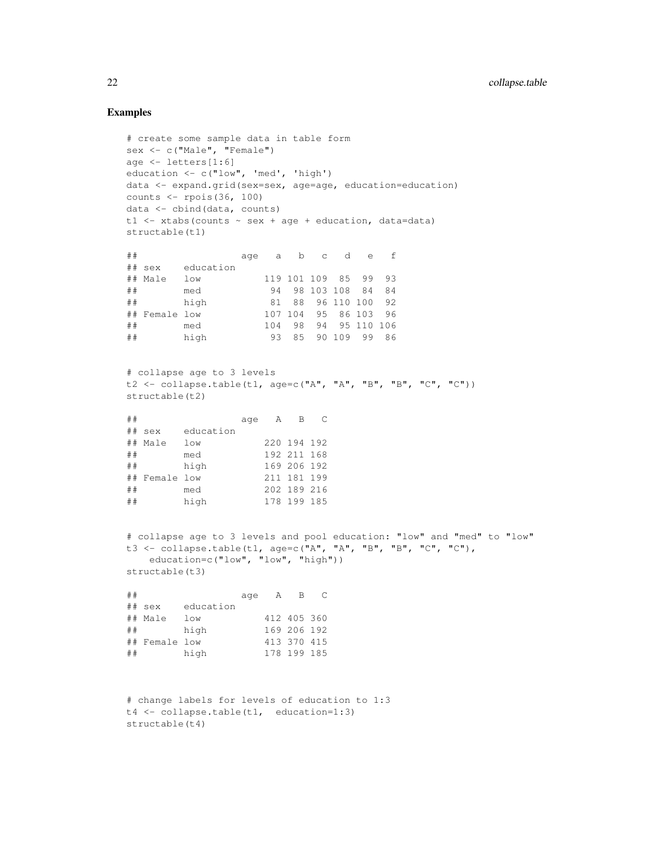# Examples

```
# create some sample data in table form
sex <- c("Male", "Female")
age <- letters[1:6]
education <- c("low", 'med', 'high')
data <- expand.grid(sex=sex, age=age, education=education)
counts <- rpois(36, 100)
data <- cbind(data, counts)
t1 <- xtabs(counts \sim sex + age + education, data=data)
structable(t1)
## age a b c d e f
## sex education
## Male low 119 101 109 85 99 93
## med 94 98 103 108 84 84
% ## high 81 88 96 110 100 92<br>## Female low 107 104 95 86 103 96<br>## med 104 98 94 95 110 106
                   107 104 95 86 103 96
                   104 98 94 95 110 106
## high 93 85 90 109 99 86
# collapse age to 3 levels
t2 <- collapse.table(t1, age=c("A", "A", "B", "B", "C", "C"))
structable(t2)
## age A B C
## sex education
## Male low 220 194 192
## med 192 211 168
## high 169 206 192
## Female low 211 181 199
## med 202 189 216
## high 178 199 185
# collapse age to 3 levels and pool education: "low" and "med" to "low"
t3 <- collapse.table(t1, age=c("A", "A", "B", "B", "C", "C"),
   education=c("low", "low", "high"))
structable(t3)
## age A B C
## sex education
## Male low 412 405 360<br>## high 169 206 192
## high 169 206 192
## Female low 413 370 415
## high 178 199 185
# change labels for levels of education to 1:3
t4 <- collapse.table(t1, education=1:3)
```
structable(t4)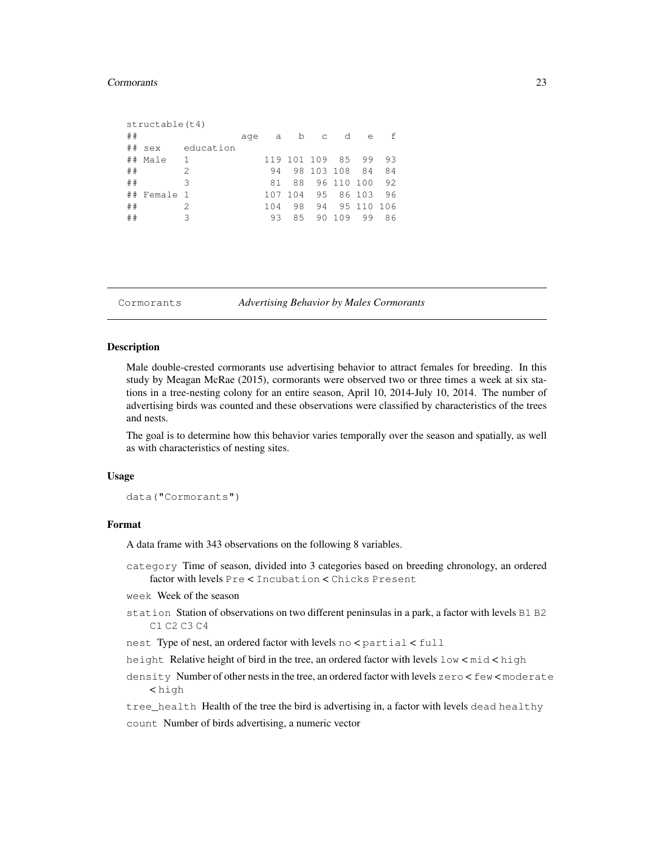#### Cormorants 23

| ## | structable(t4) |               | age | a   | b   | $\mathbb{C}$ | d          | e          | f  |
|----|----------------|---------------|-----|-----|-----|--------------|------------|------------|----|
| ## | sex            | education     |     |     |     |              |            |            |    |
| ## | Male           | $\mathbf{1}$  |     |     |     | 119 101 109  | 85         | 99         | 93 |
| ## |                | $\mathcal{D}$ |     | 94  |     | 98 103 108   |            | 84         | 84 |
| ## |                | 3             |     | 81  | 88  |              | 96 110 100 |            | 92 |
| ## | Female 1       |               |     | 107 | 104 | 95           |            | 86 103     | 96 |
| ## |                | 2.            |     | 104 | 98  | 94           |            | 95 110 106 |    |
| ## |                | 3             |     | 93  | 85  | 90           | 109        | 99         | 86 |
|    |                |               |     |     |     |              |            |            |    |

Cormorants *Advertising Behavior by Males Cormorants*

# Description

Male double-crested cormorants use advertising behavior to attract females for breeding. In this study by Meagan McRae (2015), cormorants were observed two or three times a week at six stations in a tree-nesting colony for an entire season, April 10, 2014-July 10, 2014. The number of advertising birds was counted and these observations were classified by characteristics of the trees and nests.

The goal is to determine how this behavior varies temporally over the season and spatially, as well as with characteristics of nesting sites.

#### Usage

data("Cormorants")

#### Format

A data frame with 343 observations on the following 8 variables.

category Time of season, divided into 3 categories based on breeding chronology, an ordered factor with levels Pre < Incubation < Chicks Present

week Week of the season

- station Station of observations on two different peninsulas in a park, a factor with levels B1 B2 C1 C2 C3 C4
- nest Type of nest, an ordered factor with levels no < partial < full
- height Relative height of bird in the tree, an ordered factor with levels low < mid < high
- density Number of other nests in the tree, an ordered factor with levels zero < few < moderate < high

tree\_health Health of the tree the bird is advertising in, a factor with levels dead healthy count Number of birds advertising, a numeric vector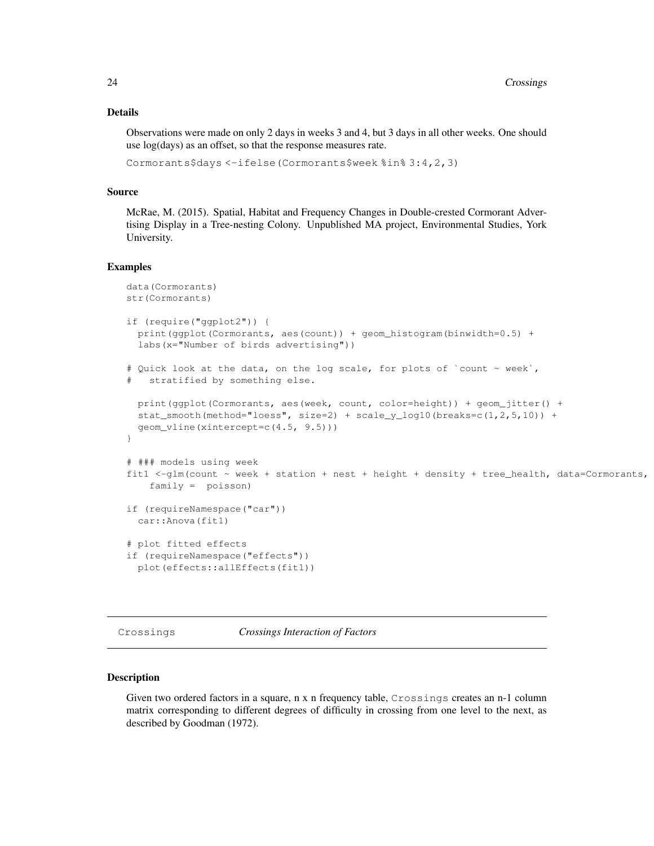# Details

Observations were made on only 2 days in weeks 3 and 4, but 3 days in all other weeks. One should use log(days) as an offset, so that the response measures rate.

```
Cormorants$days <-ifelse(Cormorants$week %in% 3:4,2,3)
```
# Source

McRae, M. (2015). Spatial, Habitat and Frequency Changes in Double-crested Cormorant Advertising Display in a Tree-nesting Colony. Unpublished MA project, Environmental Studies, York University.

#### Examples

```
data(Cormorants)
str(Cormorants)
if (require("ggplot2")) {
 print(ggplot(Cormorants, aes(count)) + geom_histogram(binwidth=0.5) +
 labs(x="Number of birds advertising"))
# Quick look at the data, on the log scale, for plots of `count ~ week`,
   stratified by something else.
 print(ggplot(Cormorants, aes(week, count, color=height)) + geom_jitter() +
 stat_smooth(method="loess", size=2) + scale_y_log10(breaks=c(1,2,5,10)) +
 geom_vline(xintercept=c(4.5, 9.5)))
}
# ### models using week
fit1 <-glm(count ~ week + station + nest + height + density + tree_health, data=Cormorants,
   family = poisson)
if (requireNamespace("car"))
 car::Anova(fit1)
# plot fitted effects
if (requireNamespace("effects"))
 plot(effects::allEffects(fit1))
```
Crossings *Crossings Interaction of Factors*

#### **Description**

Given two ordered factors in a square, n x n frequency table, Crossings creates an n-1 column matrix corresponding to different degrees of difficulty in crossing from one level to the next, as described by Goodman (1972).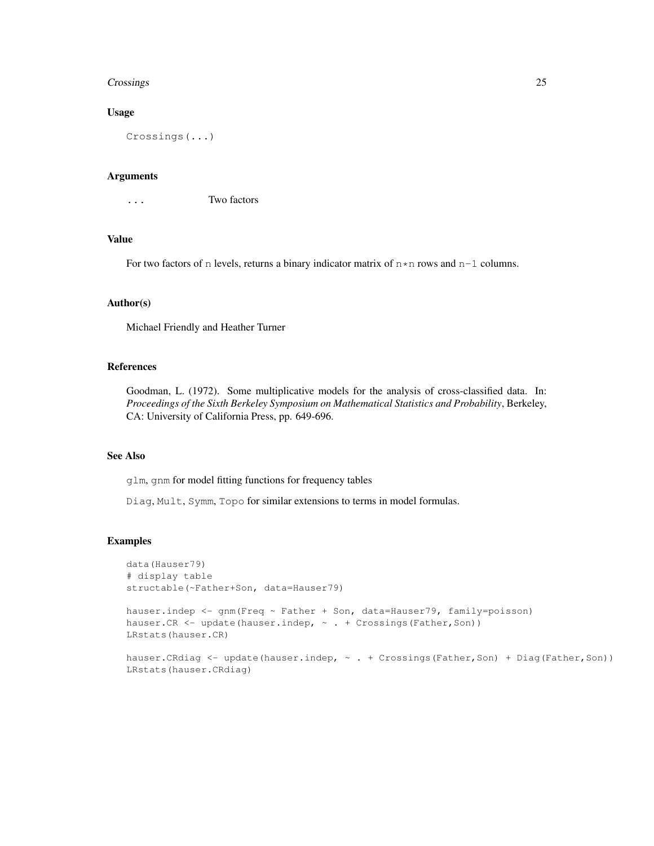#### Crossings 25

# Usage

Crossings(...)

# Arguments

... Two factors

### Value

For two factors of n levels, returns a binary indicator matrix of  $n * n$  rows and  $n-1$  columns.

#### Author(s)

Michael Friendly and Heather Turner

# References

Goodman, L. (1972). Some multiplicative models for the analysis of cross-classified data. In: *Proceedings of the Sixth Berkeley Symposium on Mathematical Statistics and Probability*, Berkeley, CA: University of California Press, pp. 649-696.

# See Also

glm, gnm for model fitting functions for frequency tables

Diag, Mult, Symm, Topo for similar extensions to terms in model formulas.

# Examples

LRstats(hauser.CRdiag)

```
data(Hauser79)
# display table
structable(~Father+Son, data=Hauser79)
hauser.indep <- gnm(Freq ~ Father + Son, data=Hauser79, family=poisson)
hauser.CR <- update(hauser.indep, ~ . + Crossings(Father,Son))
LRstats(hauser.CR)
hauser.CRdiag <- update(hauser.indep, ~ . + Crossings(Father,Son) + Diag(Father,Son))
```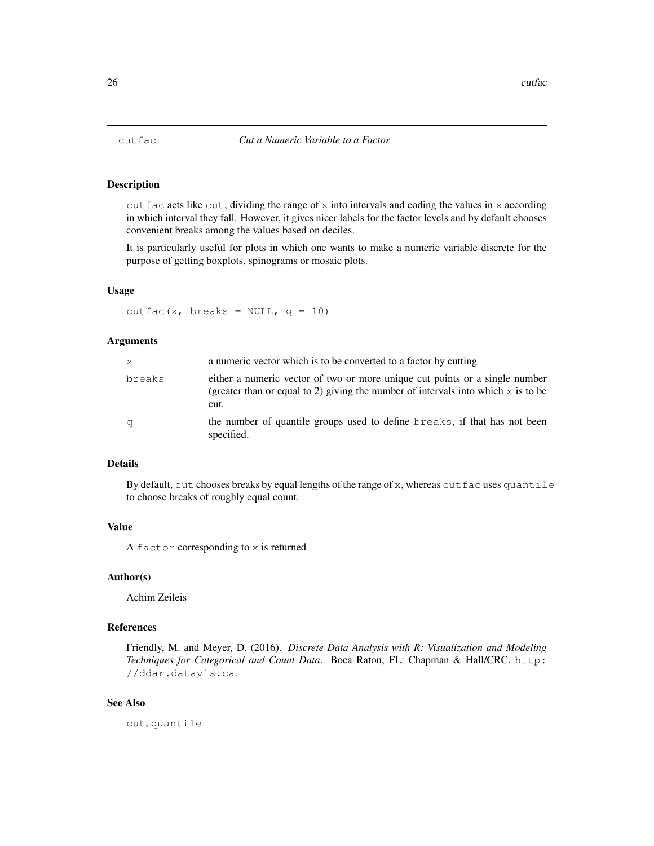cut fac acts like cut, dividing the range of x into intervals and coding the values in x according in which interval they fall. However, it gives nicer labels for the factor levels and by default chooses convenient breaks among the values based on deciles.

It is particularly useful for plots in which one wants to make a numeric variable discrete for the purpose of getting boxplots, spinograms or mosaic plots.

#### Usage

```
cutfac(x, breaks = NULL, q = 10)
```
## Arguments

| $\mathsf{X}$                                                                                                                                                                         | a numeric vector which is to be converted to a factor by cutting                        |  |
|--------------------------------------------------------------------------------------------------------------------------------------------------------------------------------------|-----------------------------------------------------------------------------------------|--|
| either a numeric vector of two or more unique cut points or a single number<br>breaks<br>(greater than or equal to 2) giving the number of intervals into which $x$ is to be<br>cut. |                                                                                         |  |
| q                                                                                                                                                                                    | the number of quantile groups used to define breaks, if that has not been<br>specified. |  |

## Details

By default, cut chooses breaks by equal lengths of the range of  $x$ , whereas cutfac uses quantile to choose breaks of roughly equal count.

#### Value

A factor corresponding to x is returned

#### Author(s)

Achim Zeileis

## References

Friendly, M. and Meyer, D. (2016). *Discrete Data Analysis with R: Visualization and Modeling Techniques for Categorical and Count Data*. Boca Raton, FL: Chapman & Hall/CRC. http: //ddar.datavis.ca.

# See Also

cut, quantile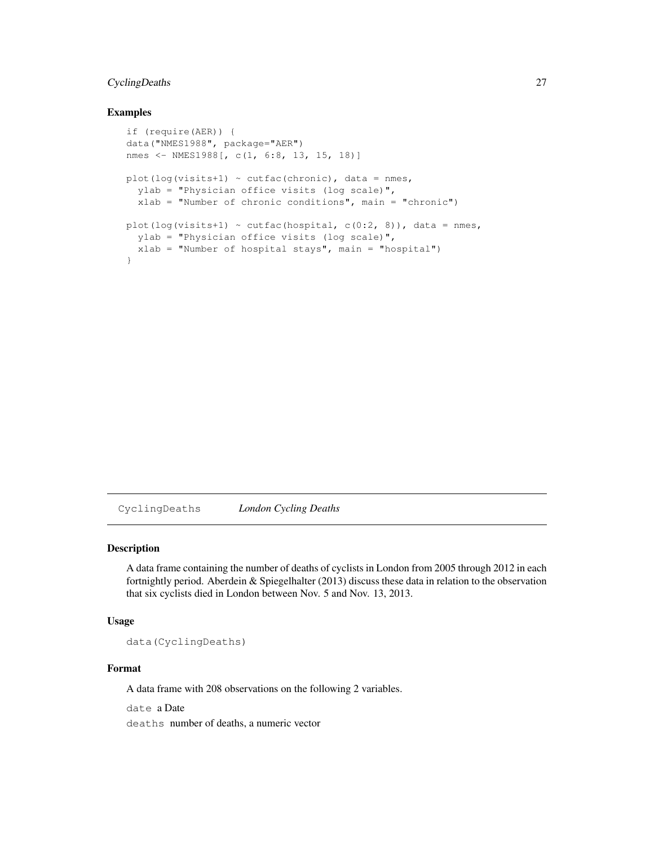# CyclingDeaths 27

## Examples

```
if (require(AER)) {
data("NMES1988", package="AER")
nmes <- NMES1988[, c(1, 6:8, 13, 15, 18)]
plot(log(visits+1) ~ cutfac(chronic), data = nmes,
  ylab = "Physician office visits (log scale)",
  xlab = "Number of chronic conditions", main = "chronic")
plot(log(visits+1) ~ cutfac(hospital, c(0:2, 8)), data = nmes,
  ylab = "Physician office visits (log scale)",
  xlab = "Number of hospital stays", main = "hospital")
}
```
CyclingDeaths *London Cycling Deaths*

## Description

A data frame containing the number of deaths of cyclists in London from 2005 through 2012 in each fortnightly period. Aberdein & Spiegelhalter (2013) discuss these data in relation to the observation that six cyclists died in London between Nov. 5 and Nov. 13, 2013.

#### Usage

data(CyclingDeaths)

# Format

A data frame with 208 observations on the following 2 variables.

date a Date deaths number of deaths, a numeric vector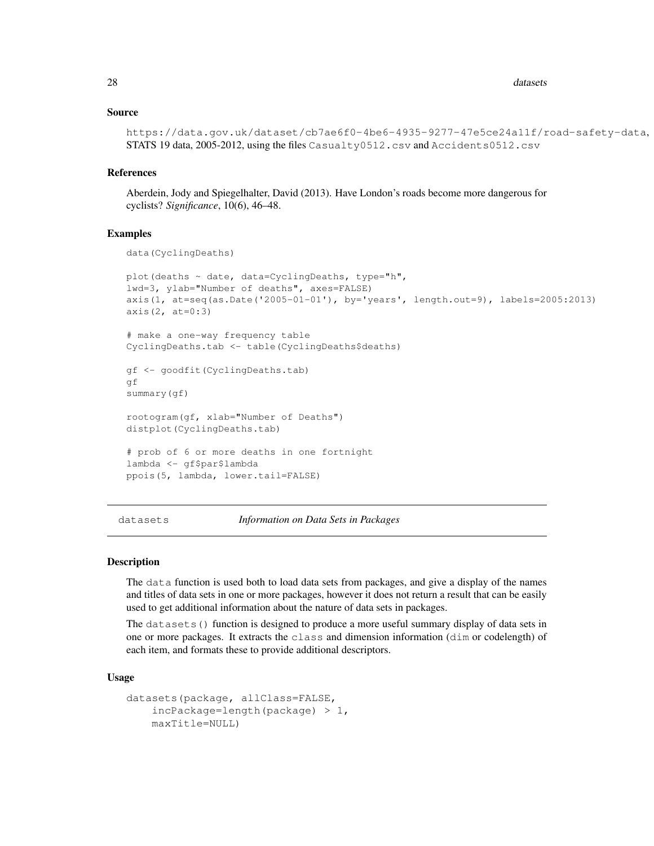#### Source

```
https://data.gov.uk/dataset/cb7ae6f0-4be6-4935-9277-47e5ce24a11f/road-safety-data,
STATS 19 data, 2005-2012, using the files Casualty0512.csv and Accidents0512.csv
```
#### References

Aberdein, Jody and Spiegelhalter, David (2013). Have London's roads become more dangerous for cyclists? *Significance*, 10(6), 46–48.

## Examples

```
data(CyclingDeaths)
plot(deaths ~ date, data=CyclingDeaths, type="h",
lwd=3, ylab="Number of deaths", axes=FALSE)
axis(1, at=seq(as.Date('2005-01-01'), by='years', length.out=9), labels=2005:2013)
axis(2, at=0:3)
# make a one-way frequency table
CyclingDeaths.tab <- table(CyclingDeaths$deaths)
gf <- goodfit(CyclingDeaths.tab)
gf
summary(gf)
rootogram(gf, xlab="Number of Deaths")
distplot(CyclingDeaths.tab)
# prob of 6 or more deaths in one fortnight
lambda <- gf$par$lambda
ppois(5, lambda, lower.tail=FALSE)
```
datasets *Information on Data Sets in Packages*

#### Description

The data function is used both to load data sets from packages, and give a display of the names and titles of data sets in one or more packages, however it does not return a result that can be easily used to get additional information about the nature of data sets in packages.

The datasets() function is designed to produce a more useful summary display of data sets in one or more packages. It extracts the class and dimension information (dim or codelength) of each item, and formats these to provide additional descriptors.

#### Usage

```
datasets(package, allClass=FALSE,
    incPackage=length(package) > 1,
   maxTitle=NULL)
```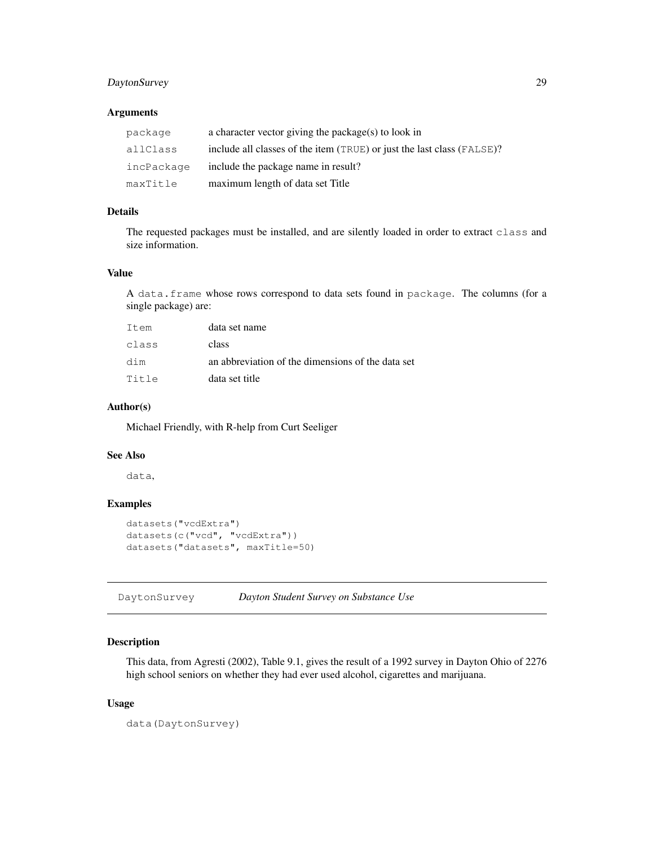# DaytonSurvey 29

# Arguments

| package    | a character vector giving the package(s) to look in                    |
|------------|------------------------------------------------------------------------|
| allClass   | include all classes of the item (TRUE) or just the last class (FALSE)? |
| incPackage | include the package name in result?                                    |
| maxTitle   | maximum length of data set Title                                       |

# Details

The requested packages must be installed, and are silently loaded in order to extract class and size information.

## Value

A data.frame whose rows correspond to data sets found in package. The columns (for a single package) are:

| Item  | data set name                                     |
|-------|---------------------------------------------------|
| class | class                                             |
| dim   | an abbreviation of the dimensions of the data set |
| Title | data set title                                    |

# Author(s)

Michael Friendly, with R-help from Curt Seeliger

# See Also

data,

# Examples

```
datasets("vcdExtra")
datasets(c("vcd", "vcdExtra"))
datasets("datasets", maxTitle=50)
```
DaytonSurvey *Dayton Student Survey on Substance Use*

# Description

This data, from Agresti (2002), Table 9.1, gives the result of a 1992 survey in Dayton Ohio of 2276 high school seniors on whether they had ever used alcohol, cigarettes and marijuana.

# Usage

data(DaytonSurvey)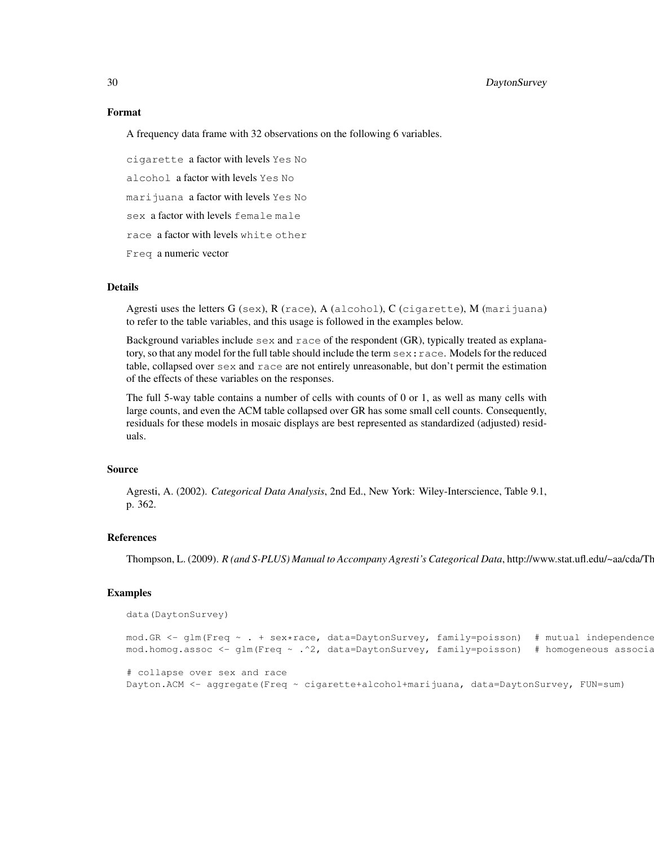#### Format

A frequency data frame with 32 observations on the following 6 variables.

cigarette a factor with levels Yes No alcohol a factor with levels Yes No marijuana a factor with levels Yes No sex a factor with levels female male race a factor with levels white other Freq a numeric vector

## Details

Agresti uses the letters  $G$  (sex),  $R$  (race),  $A$  (alcohol),  $C$  (cigarette),  $M$  (marijuana) to refer to the table variables, and this usage is followed in the examples below.

Background variables include  $s \in \mathbb{R}$  and  $r \in \mathbb{R}$  respondent (GR), typically treated as explanatory, so that any model for the full table should include the term sex:race. Models for the reduced table, collapsed over  $s \in \mathbb{R}$  and  $r \in \mathbb{R}$  are not entirely unreasonable, but don't permit the estimation of the effects of these variables on the responses.

The full 5-way table contains a number of cells with counts of 0 or 1, as well as many cells with large counts, and even the ACM table collapsed over GR has some small cell counts. Consequently, residuals for these models in mosaic displays are best represented as standardized (adjusted) residuals.

#### Source

Agresti, A. (2002). *Categorical Data Analysis*, 2nd Ed., New York: Wiley-Interscience, Table 9.1, p. 362.

## References

Thompson, L. (2009). *R (and S-PLUS) Manual to Accompany Agresti's Categorical Data*, http://www.stat.ufl.edu/~aa/cda/Th

#### Examples

```
data(DaytonSurvey)
mod.GR \leq qlm(Freq \sim . + sex*race, data=DaytonSurvey, family=poisson) # mutual independence
mod.homog.assoc <- glm(Freq ~ .^2, data=DaytonSurvey, family=poisson) # homogeneous associa
# collapse over sex and race
Dayton.ACM <- aggregate(Freq ~ cigarette+alcohol+marijuana, data=DaytonSurvey, FUN=sum)
```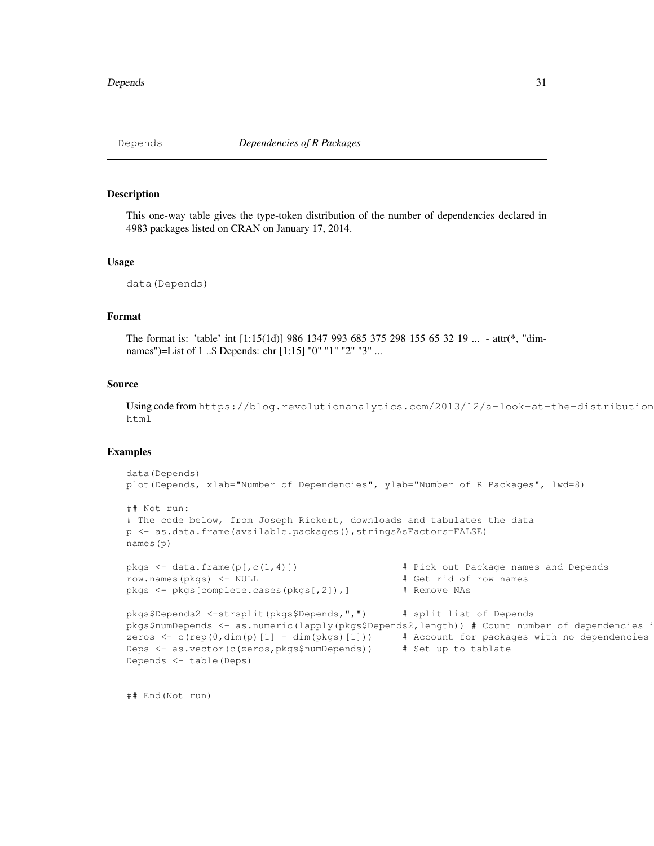This one-way table gives the type-token distribution of the number of dependencies declared in 4983 packages listed on CRAN on January 17, 2014.

#### Usage

```
data(Depends)
```
# Format

The format is: 'table' int [1:15(1d)] 986 1347 993 685 375 298 155 65 32 19 ... - attr(\*, "dimnames")=List of 1 ..\$ Depends: chr [1:15] "0" "1" "2" "3" ...

### Source

Using code from https://blog.revolutionanalytics.com/2013/12/a-look-at-the-distribution html

# Examples

```
data(Depends)
plot(Depends, xlab="Number of Dependencies", ylab="Number of R Packages", lwd=8)
## Not run:
# The code below, from Joseph Rickert, downloads and tabulates the data
p <- as.data.frame(available.packages(),stringsAsFactors=FALSE)
names(p)
pkgs \le - data.frame(p[,c(1,4)]) \qquad # Pick out Package names and Depends
row.names(pkgs) <- NULL # Get rid of row names
pkgs <- pkgs[complete.cases(pkgs[,2]),] # Remove NAs
pkgs$Depends2 <-strsplit(pkgs$Depends,",") # split list of Depends
pkgs$numDepends <- as.numeric(lapply(pkgs$Depends2,length)) # Count number of dependencies i
zeros \leq c(rep(0,dim(p)[1] - dim(pkgs)[1])) # Account for packages with no dependencies
Deps <- as.vector(c(zeros,pkgs$numDepends)) # Set up to tablate
Depends <- table(Deps)
```
## End(Not run)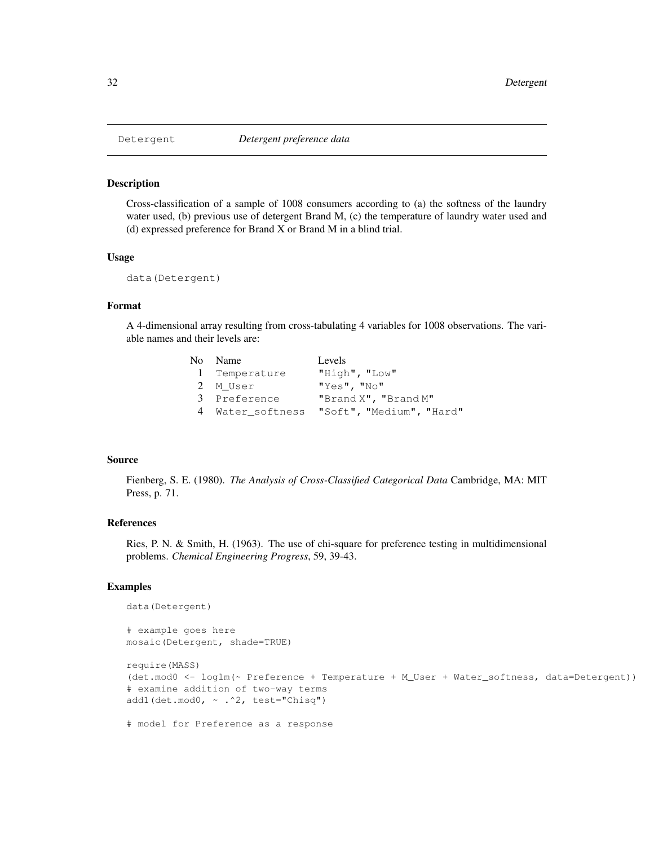Cross-classification of a sample of 1008 consumers according to (a) the softness of the laundry water used, (b) previous use of detergent Brand M, (c) the temperature of laundry water used and (d) expressed preference for Brand X or Brand M in a blind trial.

## Usage

```
data(Detergent)
```
# Format

A 4-dimensional array resulting from cross-tabulating 4 variables for 1008 observations. The variable names and their levels are:

| No Name       | Levels                                    |
|---------------|-------------------------------------------|
| 1 Temperature | "High", "Low"                             |
| 2 M User      | "Yes", "No"                               |
| 3 Preference  | "Brand X", "Brand M"                      |
|               | 4 Water softness "Soft", "Medium", "Hard" |

#### Source

Fienberg, S. E. (1980). *The Analysis of Cross-Classified Categorical Data* Cambridge, MA: MIT Press, p. 71.

# References

Ries, P. N. & Smith, H. (1963). The use of chi-square for preference testing in multidimensional problems. *Chemical Engineering Progress*, 59, 39-43.

# Examples

```
data(Detergent)
```
# example goes here mosaic(Detergent, shade=TRUE)

```
require(MASS)
(det.mod0 <- loglm(~ Preference + Temperature + M_User + Water_softness, data=Detergent))
# examine addition of two-way terms
add1(det.mod0, ~ .^2, test="Chisq")
```

```
# model for Preference as a response
```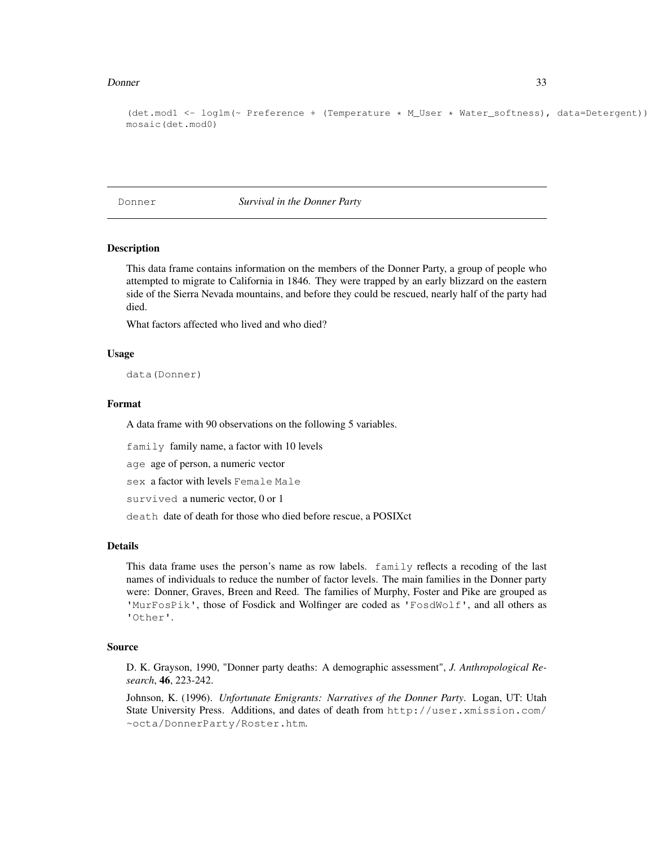#### Donner 33

```
(det.mod1 <- loglm(~ Preference + (Temperature * M_User * Water_softness), data=Detergent))
mosaic(det.mod0)
```
Donner *Survival in the Donner Party*

#### **Description**

This data frame contains information on the members of the Donner Party, a group of people who attempted to migrate to California in 1846. They were trapped by an early blizzard on the eastern side of the Sierra Nevada mountains, and before they could be rescued, nearly half of the party had died.

What factors affected who lived and who died?

#### Usage

data(Donner)

## Format

A data frame with 90 observations on the following 5 variables.

family family name, a factor with 10 levels

age age of person, a numeric vector

sex a factor with levels Female Male

survived a numeric vector, 0 or 1

death date of death for those who died before rescue, a POSIXct

## Details

This data frame uses the person's name as row labels. family reflects a recoding of the last names of individuals to reduce the number of factor levels. The main families in the Donner party were: Donner, Graves, Breen and Reed. The families of Murphy, Foster and Pike are grouped as 'MurFosPik', those of Fosdick and Wolfinger are coded as 'FosdWolf', and all others as 'Other'.

#### Source

D. K. Grayson, 1990, "Donner party deaths: A demographic assessment", *J. Anthropological Research*, 46, 223-242.

Johnson, K. (1996). *Unfortunate Emigrants: Narratives of the Donner Party*. Logan, UT: Utah State University Press. Additions, and dates of death from http://user.xmission.com/ ~octa/DonnerParty/Roster.htm.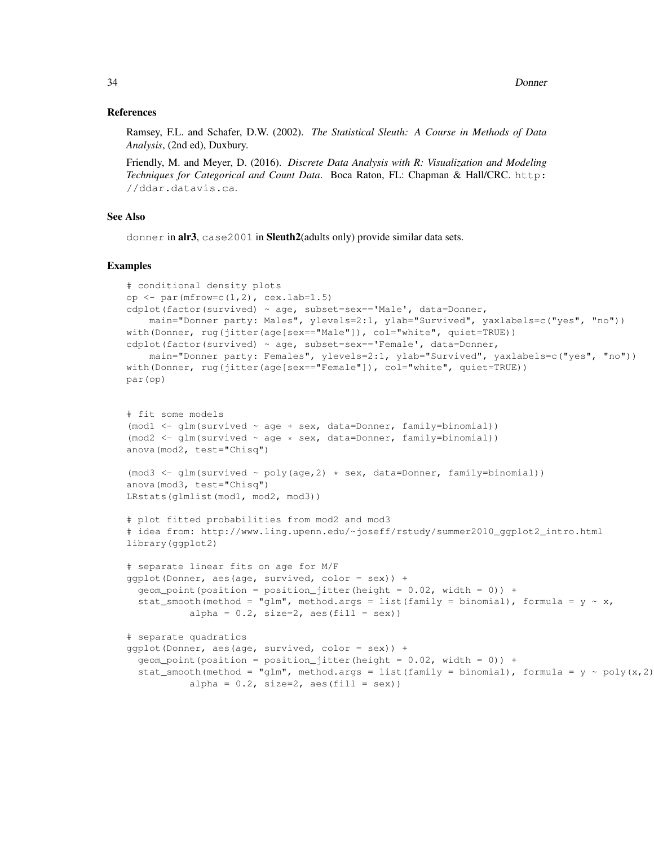#### References

Ramsey, F.L. and Schafer, D.W. (2002). *The Statistical Sleuth: A Course in Methods of Data Analysis*, (2nd ed), Duxbury.

Friendly, M. and Meyer, D. (2016). *Discrete Data Analysis with R: Visualization and Modeling Techniques for Categorical and Count Data*. Boca Raton, FL: Chapman & Hall/CRC. http: //ddar.datavis.ca.

## See Also

donner in alr3, case2001 in Sleuth2(adults only) provide similar data sets.

## Examples

```
# conditional density plots
op <- par(mfrow=c(1,2), cex.lab=1.5)
cdplot(factor(survived) ~ age, subset=sex=='Male', data=Donner,
    main="Donner party: Males", ylevels=2:1, ylab="Survived", yaxlabels=c("yes", "no"))
with(Donner, rug(jitter(age[sex=="Male"]), col="white", quiet=TRUE))
cdplot(factor(survived) ~ age, subset=sex == 'Female', data=Donner,
    main="Donner party: Females", ylevels=2:1, ylab="Survived", yaxlabels=c("yes", "no"))
with(Donner, rug(jitter(age[sex == "Female"]), col= "white", quiet=TRUE))
par(op)
# fit some models
(mod 1 < -qlm(survived ~ aqe + sex, data=Donner, family=binomial)(mod 2 \leftarrow glm(survived \sim age \leftarrow sex, data=Donner, family=binomial)anova(mod2, test="Chisq")
(mod 3 \leftarrow glm(survived \sim poly(age, 2) \leftarrow sex, data=Donner, family=binomial)anova(mod3, test="Chisq")
LRstats(glmlist(mod1, mod2, mod3))
# plot fitted probabilities from mod2 and mod3
# idea from: http://www.ling.upenn.edu/~joseff/rstudy/summer2010_ggplot2_intro.html
library(ggplot2)
# separate linear fits on age for M/F
ggplot(Donner, aes(age, survived, color = sex)) +
  qeom\_point(position = position\_jitter(height = 0.02, width = 0)) +stat_smooth(method = "glm", method.args = list(family = binomial), formula = y \sim x,
           alpha = 0.2, size=2, aes(fill = sex))
# separate quadratics
qqplot(Donner, aes(aqe, survival, color = sex)) +geom\_point(position = position\_jitter(height = 0.02, width = 0)) +stat_smooth(method = "glm", method.args = list(family = binomial), formula = y \sim poly(x, 2)alpha = 0.2, size=2, aes(fill = sex))
```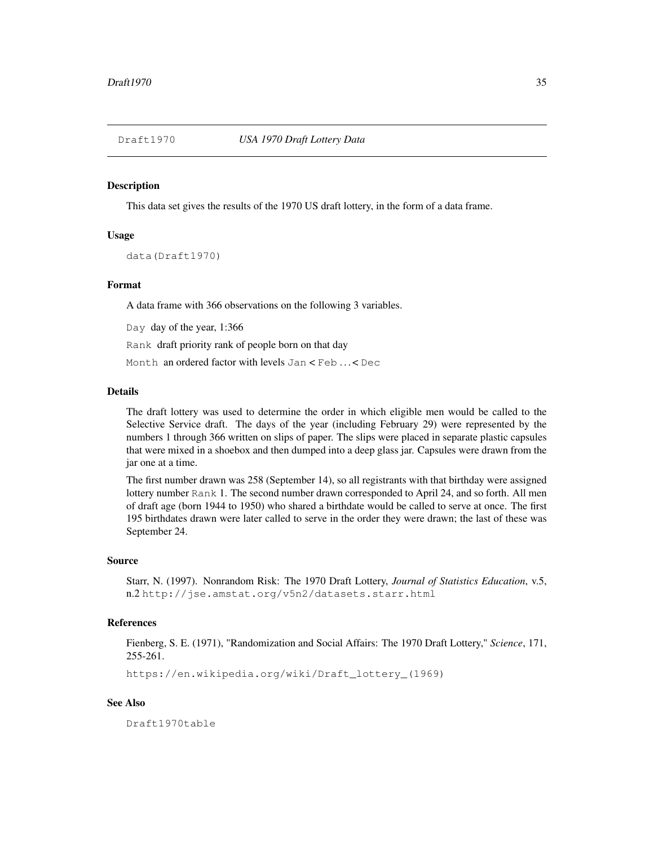This data set gives the results of the 1970 US draft lottery, in the form of a data frame.

# Usage

data(Draft1970)

#### Format

A data frame with 366 observations on the following 3 variables.

Day day of the year, 1:366

Rank draft priority rank of people born on that day

Month an ordered factor with levels Jan < Feb . . . < Dec

#### Details

The draft lottery was used to determine the order in which eligible men would be called to the Selective Service draft. The days of the year (including February 29) were represented by the numbers 1 through 366 written on slips of paper. The slips were placed in separate plastic capsules that were mixed in a shoebox and then dumped into a deep glass jar. Capsules were drawn from the jar one at a time.

The first number drawn was 258 (September 14), so all registrants with that birthday were assigned lottery number Rank 1. The second number drawn corresponded to April 24, and so forth. All men of draft age (born 1944 to 1950) who shared a birthdate would be called to serve at once. The first 195 birthdates drawn were later called to serve in the order they were drawn; the last of these was September 24.

#### Source

Starr, N. (1997). Nonrandom Risk: The 1970 Draft Lottery, *Journal of Statistics Education*, v.5, n.2 http://jse.amstat.org/v5n2/datasets.starr.html

# References

Fienberg, S. E. (1971), "Randomization and Social Affairs: The 1970 Draft Lottery," *Science*, 171, 255-261.

https://en.wikipedia.org/wiki/Draft\_lottery\_(1969)

# See Also

Draft1970table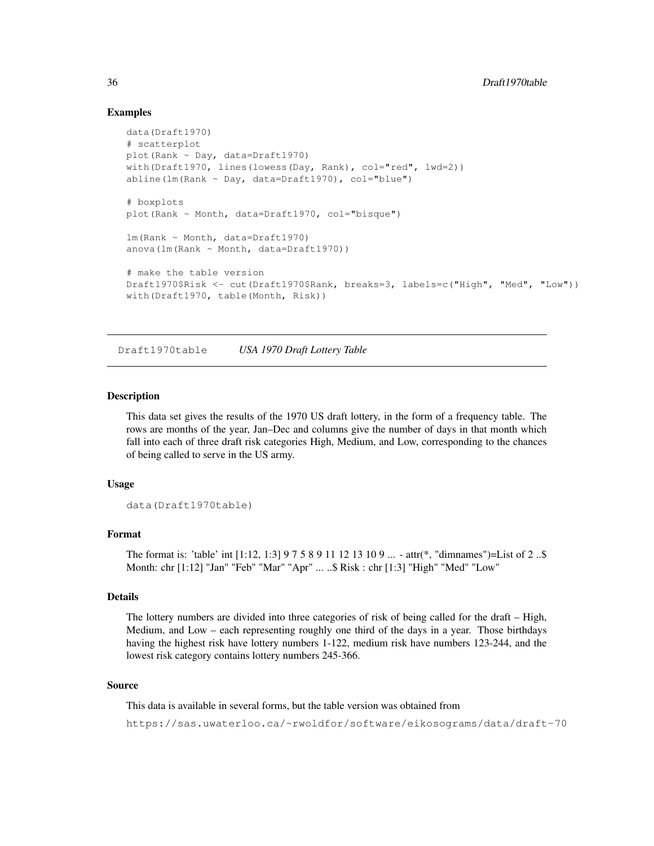# Examples

```
data(Draft1970)
# scatterplot
plot(Rank ~ Day, data=Draft1970)
with(Draft1970, lines(lowess(Day, Rank), col="red", lwd=2))
abline(lm(Rank ~ Day, data=Draff1970), col="blue")# boxplots
plot(Rank ~ Month, data=Draft1970, col="bisque")
lm(Rank ~ Month, data=Draft1970)
anova(lm(Rank ~ Month, data=Draft1970))
# make the table version
Draft1970$Risk <- cut(Draft1970$Rank, breaks=3, labels=c("High", "Med", "Low"))
with(Draft1970, table(Month, Risk))
```
Draft1970table *USA 1970 Draft Lottery Table*

#### Description

This data set gives the results of the 1970 US draft lottery, in the form of a frequency table. The rows are months of the year, Jan–Dec and columns give the number of days in that month which fall into each of three draft risk categories High, Medium, and Low, corresponding to the chances of being called to serve in the US army.

#### Usage

```
data(Draft1970table)
```
# Format

The format is: 'table' int [1:12, 1:3] 9 7 5 8 9 11 12 13 10 9 ... - attr(\*, "dimnames")=List of 2 ..\$ Month: chr [1:12] "Jan" "Feb" "Mar" "Apr" ... ..\$ Risk : chr [1:3] "High" "Med" "Low"

## Details

The lottery numbers are divided into three categories of risk of being called for the draft – High, Medium, and Low – each representing roughly one third of the days in a year. Those birthdays having the highest risk have lottery numbers 1-122, medium risk have numbers 123-244, and the lowest risk category contains lottery numbers 245-366.

## Source

This data is available in several forms, but the table version was obtained from

https://sas.uwaterloo.ca/~rwoldfor/software/eikosograms/data/draft-70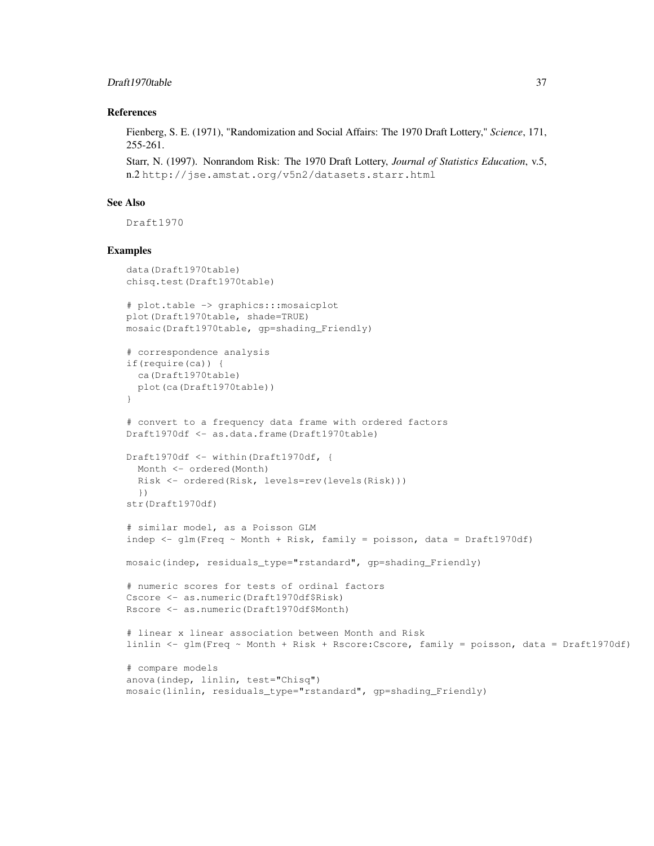# Draft1970table 37

## References

Fienberg, S. E. (1971), "Randomization and Social Affairs: The 1970 Draft Lottery," *Science*, 171, 255-261.

Starr, N. (1997). Nonrandom Risk: The 1970 Draft Lottery, *Journal of Statistics Education*, v.5, n.2 http://jse.amstat.org/v5n2/datasets.starr.html

#### See Also

Draft1970

```
data(Draft1970table)
chisq.test(Draft1970table)
# plot.table -> graphics:::mosaicplot
plot(Draft1970table, shade=TRUE)
mosaic(Draft1970table, gp=shading_Friendly)
# correspondence analysis
if(require(ca)) {
  ca(Draft1970table)
  plot(ca(Draft1970table))
}
# convert to a frequency data frame with ordered factors
Draft1970df <- as.data.frame(Draft1970table)
Draft1970df <- within(Draft1970df, {
  Month <- ordered(Month)
  Risk <- ordered(Risk, levels=rev(levels(Risk)))
  })
str(Draft1970df)
# similar model, as a Poisson GLM
indep \leq glm(Freq \sim Month + Risk, family = poisson, data = Draft1970df)
mosaic(indep, residuals_type="rstandard", gp=shading_Friendly)
# numeric scores for tests of ordinal factors
Cscore <- as.numeric(Draft1970df$Risk)
Rscore <- as.numeric(Draft1970df$Month)
# linear x linear association between Month and Risk
linlin <- glm(Freq ~ Month + Risk + Rscore:Cscore, family = poisson, data = Draft1970df)
# compare models
anova(indep, linlin, test="Chisq")
mosaic(linlin, residuals_type="rstandard", gp=shading_Friendly)
```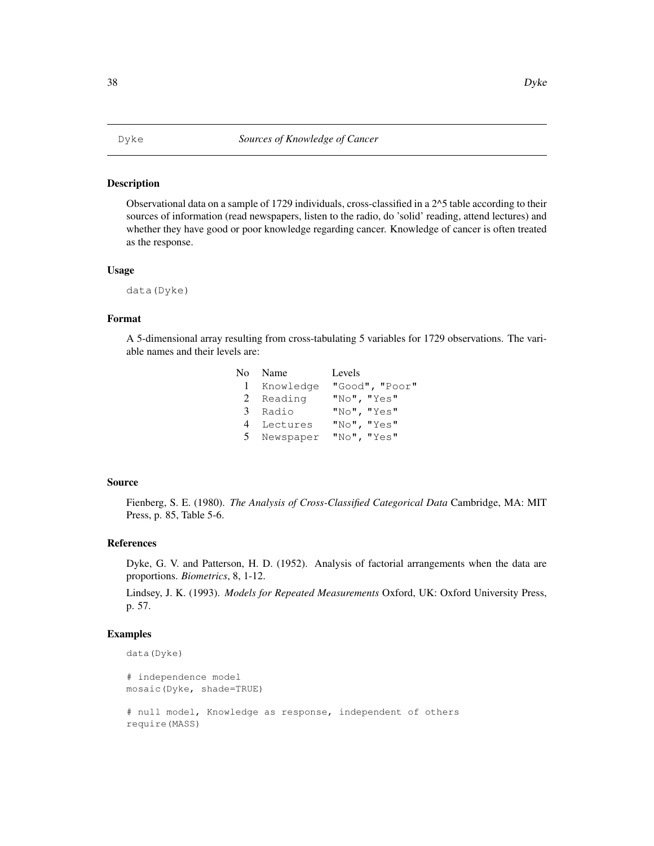#### Description

Observational data on a sample of 1729 individuals, cross-classified in a 2^5 table according to their sources of information (read newspapers, listen to the radio, do 'solid' reading, attend lectures) and whether they have good or poor knowledge regarding cancer. Knowledge of cancer is often treated as the response.

#### Usage

data(Dyke)

#### Format

A 5-dimensional array resulting from cross-tabulating 5 variables for 1729 observations. The variable names and their levels are:

|   | No Name     | Levels         |
|---|-------------|----------------|
|   | 1 Knowledge | "Good", "Poor" |
|   | 2 Reading   | "No", "Yes"    |
|   | 3 Radio     | "No", "Yes"    |
| 4 | Lectures    | "No", "Yes"    |
|   | 5 Newspaper | "No", "Yes"    |

# Source

Fienberg, S. E. (1980). *The Analysis of Cross-Classified Categorical Data* Cambridge, MA: MIT Press, p. 85, Table 5-6.

#### References

Dyke, G. V. and Patterson, H. D. (1952). Analysis of factorial arrangements when the data are proportions. *Biometrics*, 8, 1-12.

Lindsey, J. K. (1993). *Models for Repeated Measurements* Oxford, UK: Oxford University Press, p. 57.

```
data(Dyke)
```

```
# independence model
mosaic(Dyke, shade=TRUE)
# null model, Knowledge as response, independent of others
require(MASS)
```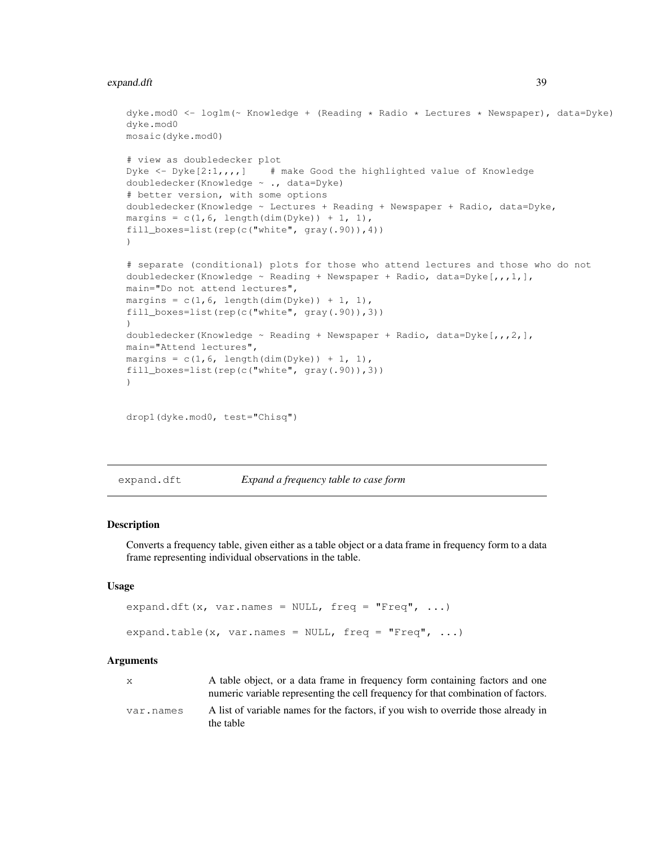#### expand.dft 39

```
dyke.mod0 <- loglm(~ Knowledge + (Reading * Radio * Lectures * Newspaper), data=Dyke)
dyke.mod0
mosaic(dyke.mod0)
# view as doubledecker plot
Dyke \leq - Dyke[2:1,,,,] # make Good the highlighted value of Knowledge
doubledecker(Knowledge ~ ., data=Dyke)
# better version, with some options
doubledecker(Knowledge ~ Lectures + Reading + Newspaper + Radio, data=Dyke,
margins = c(1, 6, \text{ length}(dim(Dyke)) + 1, 1),fill_boxes=list(rep(c("white", gray(.90)),4))
)
# separate (conditional) plots for those who attend lectures and those who do not
doubledecker(Knowledge \sim Reading + Newspaper + Radio, data=Dyke[,,,1,],
main="Do not attend lectures",
margins = c(1, 6, \text{ length}(\text{dim}(\text{Dyke})) + 1, 1),fill_boxes=list(rep(c("white", gray(.90)),3))
)
doubledecker(Knowledge \sim Reading + Newspaper + Radio, data=Dyke[,,,2,],
main="Attend lectures",
margins = c(1, 6, \text{ length}(dim(Dyke)) + 1, 1),fill_boxes=list(rep(c("white", gray(.90)),3))
)
```

```
drop1(dyke.mod0, test="Chisq")
```
expand.dft *Expand a frequency table to case form*

#### Description

Converts a frequency table, given either as a table object or a data frame in frequency form to a data frame representing individual observations in the table.

## Usage

```
expand.dft(x, var.names = NULL, freq = "Freq", \ldots)
expand.table(x, var.names = NULL, freq = "Freq", \ldots)
```
#### Arguments

| X         | A table object, or a data frame in frequency form containing factors and one<br>numeric variable representing the cell frequency for that combination of factors. |
|-----------|-------------------------------------------------------------------------------------------------------------------------------------------------------------------|
| var.names | A list of variable names for the factors, if you wish to override those already in<br>the table                                                                   |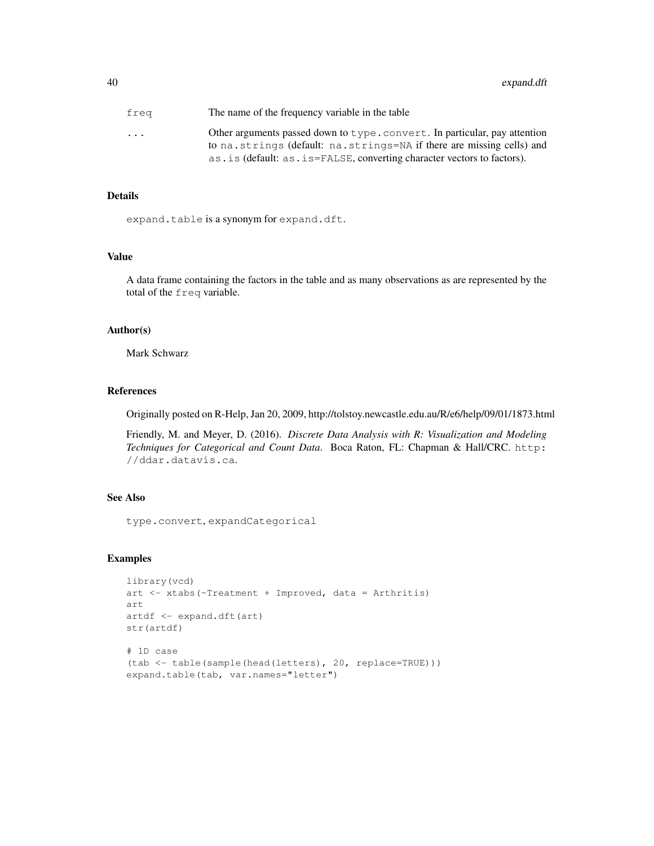| frea      | The name of the frequency variable in the table                           |
|-----------|---------------------------------------------------------------------------|
| $\ddotsc$ | Other arguments passed down to type.convert. In particular, pay attention |
|           | to na. strings (default: na. strings=NA if there are missing cells) and   |
|           | as. is (default: as. is=FALSE, converting character vectors to factors).  |

## Details

expand.table is a synonym for expand.dft.

#### Value

A data frame containing the factors in the table and as many observations as are represented by the total of the freq variable.

# Author(s)

Mark Schwarz

# References

Originally posted on R-Help, Jan 20, 2009, http://tolstoy.newcastle.edu.au/R/e6/help/09/01/1873.html

Friendly, M. and Meyer, D. (2016). *Discrete Data Analysis with R: Visualization and Modeling Techniques for Categorical and Count Data*. Boca Raton, FL: Chapman & Hall/CRC. http: //ddar.datavis.ca.

# See Also

type.convert, expandCategorical

```
library(vcd)
art <- xtabs(~Treatment + Improved, data = Arthritis)
art
artdf <- expand.dft(art)
str(artdf)
# 1D case
(tab <- table(sample(head(letters), 20, replace=TRUE)))
expand.table(tab, var.names="letter")
```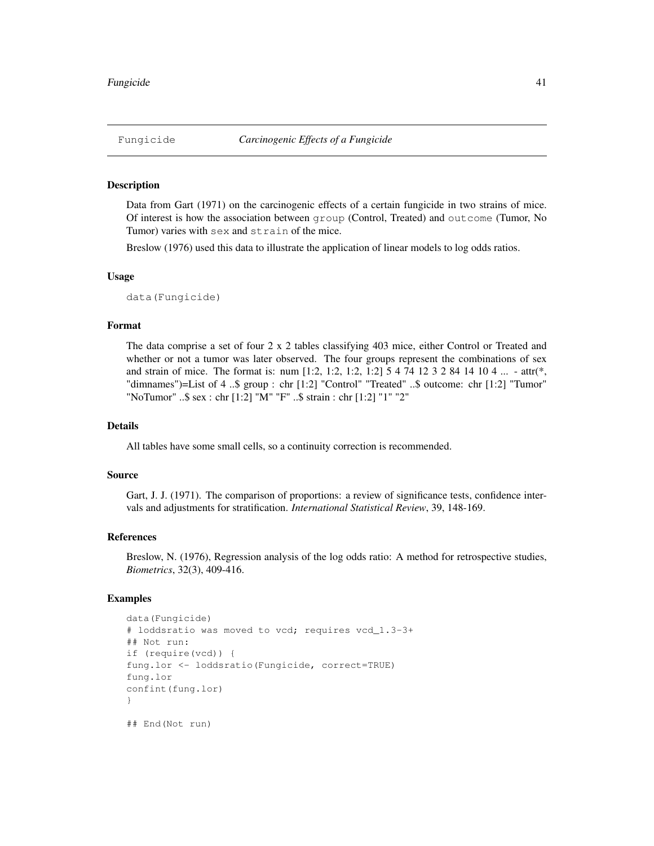#### Description

Data from Gart (1971) on the carcinogenic effects of a certain fungicide in two strains of mice. Of interest is how the association between group (Control, Treated) and outcome (Tumor, No Tumor) varies with sex and strain of the mice.

Breslow (1976) used this data to illustrate the application of linear models to log odds ratios.

## Usage

```
data(Fungicide)
```
# Format

The data comprise a set of four 2 x 2 tables classifying 403 mice, either Control or Treated and whether or not a tumor was later observed. The four groups represent the combinations of sex and strain of mice. The format is: num  $[1:2, 1:2, 1:2, 1:2]$  5 4 74 12 3 2 84 14 10 4 ... - attr(\*, "dimnames")=List of 4 ..\$ group : chr [1:2] "Control" "Treated" ..\$ outcome: chr [1:2] "Tumor" "NoTumor" ..\$ sex : chr [1:2] "M" "F" ..\$ strain : chr [1:2] "1" "2"

#### Details

All tables have some small cells, so a continuity correction is recommended.

# Source

Gart, J. J. (1971). The comparison of proportions: a review of significance tests, confidence intervals and adjustments for stratification. *International Statistical Review*, 39, 148-169.

## References

Breslow, N. (1976), Regression analysis of the log odds ratio: A method for retrospective studies, *Biometrics*, 32(3), 409-416.

```
data(Fungicide)
# loddsratio was moved to vcd; requires vcd_1.3-3+
## Not run:
if (require(vcd)) {
fung.lor <- loddsratio(Fungicide, correct=TRUE)
fung.lor
confint(fung.lor)
}
## End(Not run)
```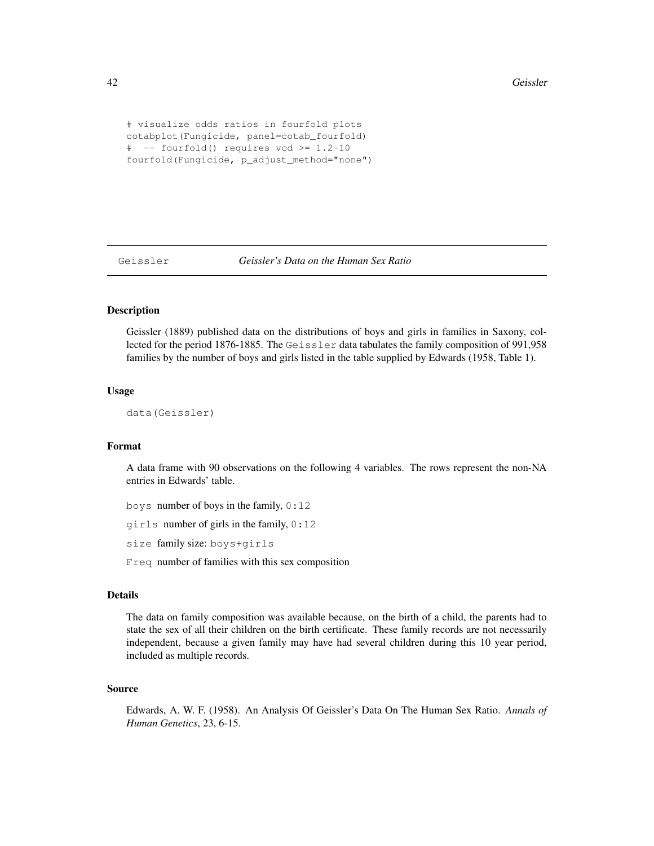```
# visualize odds ratios in fourfold plots
cotabplot(Fungicide, panel=cotab_fourfold)
# -- fourfold() requires vcd >= 1.2-10
fourfold(Fungicide, p_adjust_method="none")
```
Geissler *Geissler's Data on the Human Sex Ratio*

# **Description**

Geissler (1889) published data on the distributions of boys and girls in families in Saxony, collected for the period 1876-1885. The Geissler data tabulates the family composition of 991,958 families by the number of boys and girls listed in the table supplied by Edwards (1958, Table 1).

## Usage

data(Geissler)

# Format

A data frame with 90 observations on the following 4 variables. The rows represent the non-NA entries in Edwards' table.

boys number of boys in the family, 0:12

girls number of girls in the family, 0:12

size family size: boys+girls

Freq number of families with this sex composition

## Details

The data on family composition was available because, on the birth of a child, the parents had to state the sex of all their children on the birth certificate. These family records are not necessarily independent, because a given family may have had several children during this 10 year period, included as multiple records.

## Source

Edwards, A. W. F. (1958). An Analysis Of Geissler's Data On The Human Sex Ratio. *Annals of Human Genetics*, 23, 6-15.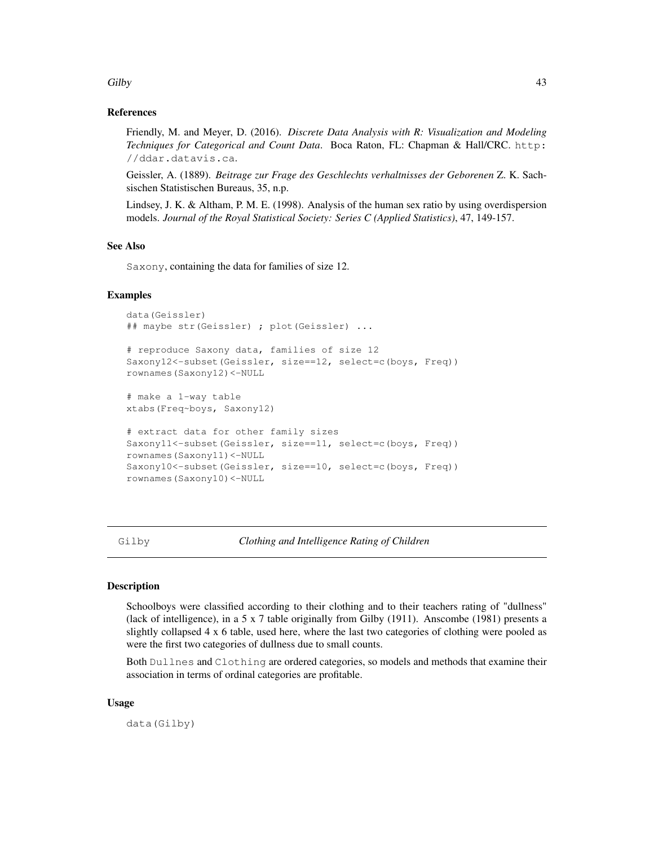## Gilby 23

## References

Friendly, M. and Meyer, D. (2016). *Discrete Data Analysis with R: Visualization and Modeling Techniques for Categorical and Count Data*. Boca Raton, FL: Chapman & Hall/CRC. http: //ddar.datavis.ca.

Geissler, A. (1889). *Beitrage zur Frage des Geschlechts verhaltnisses der Geborenen* Z. K. Sachsischen Statistischen Bureaus, 35, n.p.

Lindsey, J. K. & Altham, P. M. E. (1998). Analysis of the human sex ratio by using overdispersion models. *Journal of the Royal Statistical Society: Series C (Applied Statistics)*, 47, 149-157.

# See Also

Saxony, containing the data for families of size 12.

#### Examples

```
data(Geissler)
## maybe str(Geissler) ; plot(Geissler) ...
# reproduce Saxony data, families of size 12
Saxony12<-subset(Geissler, size==12, select=c(boys, Freq))
rownames(Saxony12)<-NULL
# make a 1-way table
xtabs(Freq~boys, Saxony12)
# extract data for other family sizes
Saxony11<-subset(Geissler, size==11, select=c(boys, Freq))
rownames(Saxony11)<-NULL
Saxony10<-subset(Geissler, size==10, select=c(boys, Freq))
rownames(Saxony10)<-NULL
```
Gilby *Clothing and Intelligence Rating of Children*

#### Description

Schoolboys were classified according to their clothing and to their teachers rating of "dullness" (lack of intelligence), in a 5 x 7 table originally from Gilby (1911). Anscombe (1981) presents a slightly collapsed 4 x 6 table, used here, where the last two categories of clothing were pooled as were the first two categories of dullness due to small counts.

Both Dullnes and Clothing are ordered categories, so models and methods that examine their association in terms of ordinal categories are profitable.

## Usage

data(Gilby)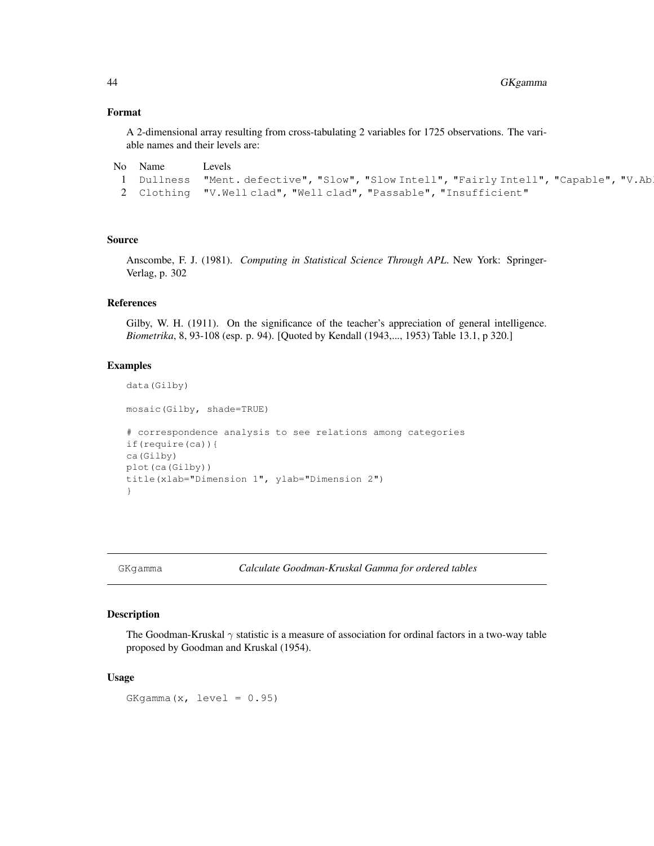## Format

A 2-dimensional array resulting from cross-tabulating 2 variables for 1725 observations. The variable names and their levels are:

```
No Name Levels
 1 Dullness "Ment. defective", "Slow", "Slow Intell", "Fairly Intell", "Capable", "V.Able"
 2 Clothing "V.Well clad", "Well clad", "Passable", "Insufficient"
```
# Source

Anscombe, F. J. (1981). *Computing in Statistical Science Through APL*. New York: Springer-Verlag, p. 302

# **References**

Gilby, W. H. (1911). On the significance of the teacher's appreciation of general intelligence. *Biometrika*, 8, 93-108 (esp. p. 94). [Quoted by Kendall (1943,..., 1953) Table 13.1, p 320.]

#### Examples

```
data(Gilby)
mosaic(Gilby, shade=TRUE)
# correspondence analysis to see relations among categories
if(require(ca)){
ca(Gilby)
plot(ca(Gilby))
title(xlab="Dimension 1", ylab="Dimension 2")
}
```
GKgamma *Calculate Goodman-Kruskal Gamma for ordered tables*

## Description

The Goodman-Kruskal  $\gamma$  statistic is a measure of association for ordinal factors in a two-way table proposed by Goodman and Kruskal (1954).

#### Usage

GKgamma $(x, \text{level} = 0.95)$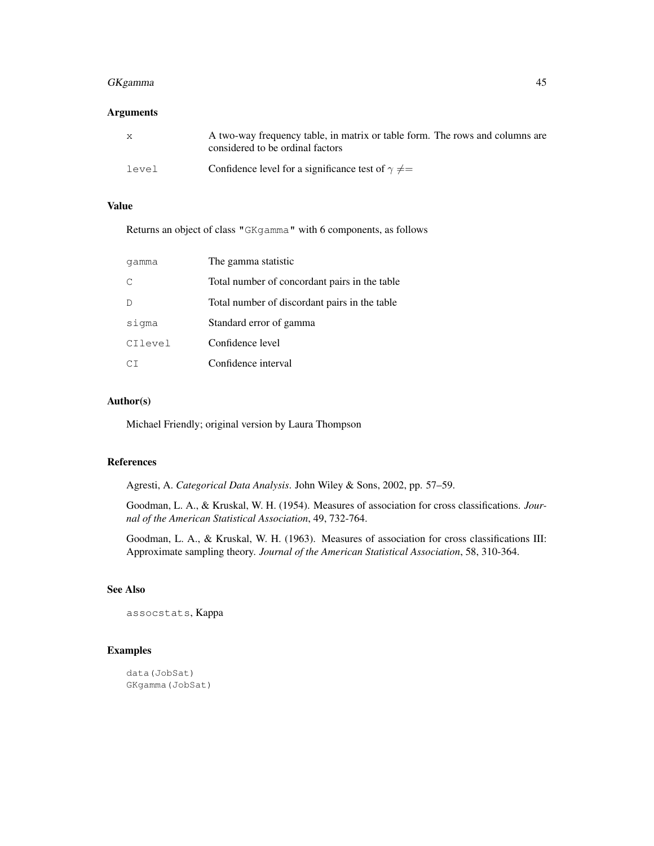# GKgamma 45

# Arguments

| X     | A two-way frequency table, in matrix or table form. The rows and columns are<br>considered to be ordinal factors |
|-------|------------------------------------------------------------------------------------------------------------------|
| level | Confidence level for a significance test of $\gamma \neq$                                                        |

# Value

Returns an object of class "GKgamma" with 6 components, as follows

| qamma   | The gamma statistic                           |
|---------|-----------------------------------------------|
| C       | Total number of concordant pairs in the table |
|         | Total number of discordant pairs in the table |
| sigma   | Standard error of gamma                       |
| CIlevel | Confidence level                              |
| СT      | Confidence interval                           |

# Author(s)

Michael Friendly; original version by Laura Thompson

#### References

Agresti, A. *Categorical Data Analysis*. John Wiley & Sons, 2002, pp. 57–59.

Goodman, L. A., & Kruskal, W. H. (1954). Measures of association for cross classifications. *Journal of the American Statistical Association*, 49, 732-764.

Goodman, L. A., & Kruskal, W. H. (1963). Measures of association for cross classifications III: Approximate sampling theory. *Journal of the American Statistical Association*, 58, 310-364.

# See Also

assocstats, Kappa

```
data(JobSat)
GKgamma(JobSat)
```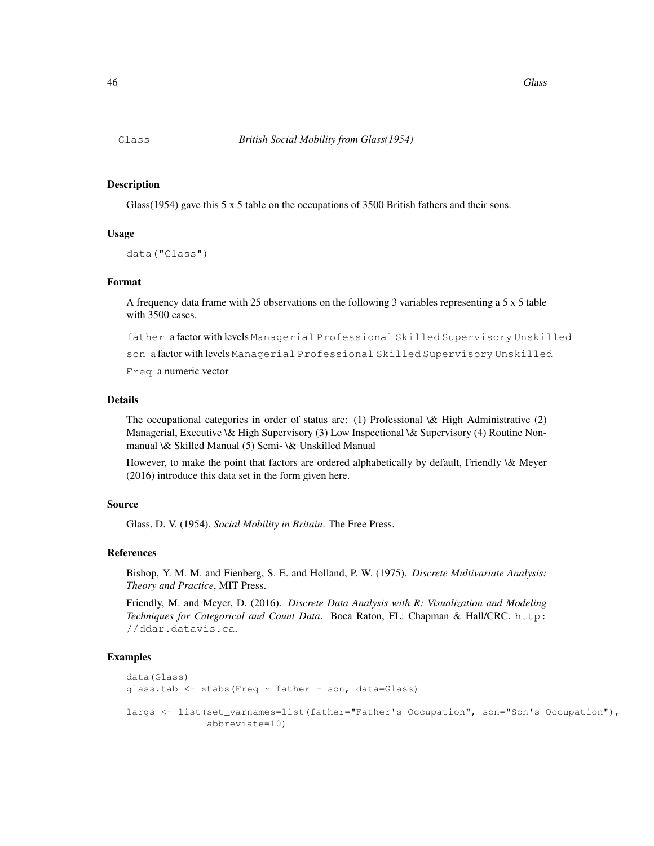#### **Description**

Glass(1954) gave this 5 x 5 table on the occupations of 3500 British fathers and their sons.

## Usage

```
data("Glass")
```
## Format

A frequency data frame with 25 observations on the following 3 variables representing a 5 x 5 table with 3500 cases.

father a factor with levels Managerial Professional Skilled Supervisory Unskilled

son a factor with levels Managerial Professional Skilled Supervisory Unskilled

Freq a numeric vector

#### Details

The occupational categories in order of status are: (1) Professional \& High Administrative (2) Managerial, Executive \& High Supervisory (3) Low Inspectional \& Supervisory (4) Routine Nonmanual \& Skilled Manual (5) Semi- \& Unskilled Manual

However, to make the point that factors are ordered alphabetically by default, Friendly \& Meyer (2016) introduce this data set in the form given here.

#### Source

Glass, D. V. (1954), *Social Mobility in Britain*. The Free Press.

# References

Bishop, Y. M. M. and Fienberg, S. E. and Holland, P. W. (1975). *Discrete Multivariate Analysis: Theory and Practice*, MIT Press.

Friendly, M. and Meyer, D. (2016). *Discrete Data Analysis with R: Visualization and Modeling Techniques for Categorical and Count Data*. Boca Raton, FL: Chapman & Hall/CRC. http: //ddar.datavis.ca.

```
data(Glass)
glass.tab <- xtabs(Freq ~ father + son, data=Glass)
largs <- list(set_varnames=list(father="Father's Occupation", son="Son's Occupation"),
              abbreviate=10)
```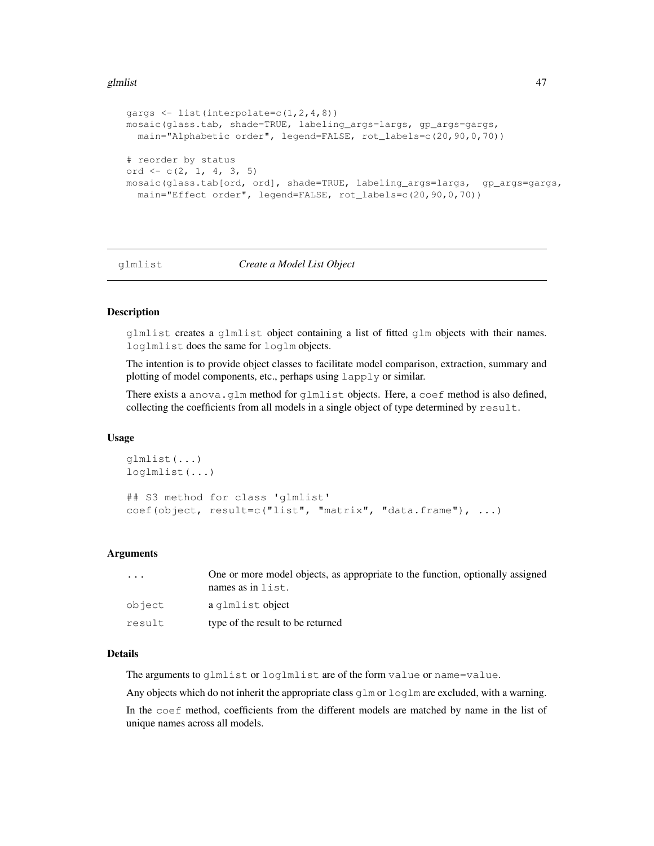#### glmlist to the control of the control of the control of the control of the control of the control of the control of the control of the control of the control of the control of the control of the control of the control of t

```
gargs <- list(interpolate=c(1,2,4,8))
mosaic(glass.tab, shade=TRUE, labeling_args=largs, gp_args=gargs,
 main="Alphabetic order", legend=FALSE, rot_labels=c(20,90,0,70))
# reorder by status
ord \leftarrow c(2, 1, 4, 3, 5)
mosaic(glass.tab[ord, ord], shade=TRUE, labeling_args=largs, gp_args=gargs,
  main="Effect order", legend=FALSE, rot_labels=c(20,90,0,70))
```
# glmlist *Create a Model List Object*

## Description

glmlist creates a glmlist object containing a list of fitted glm objects with their names. loglmlist does the same for loglm objects.

The intention is to provide object classes to facilitate model comparison, extraction, summary and plotting of model components, etc., perhaps using lapply or similar.

There exists a anova.glm method for glmlist objects. Here, a coef method is also defined, collecting the coefficients from all models in a single object of type determined by result.

## Usage

```
glmlist(...)
loglmlist(...)
## S3 method for class 'glmlist'
coef(object, result=c("list", "matrix", "data.frame"), ...)
```
#### **Arguments**

| $\cdot$ | One or more model objects, as appropriate to the function, optionally assigned<br>names as in $list.$ |
|---------|-------------------------------------------------------------------------------------------------------|
| object  | a glmlist object                                                                                      |
| result  | type of the result to be returned                                                                     |

# Details

The arguments to glmlist or loglmlist are of the form value or name=value.

Any objects which do not inherit the appropriate class  $g\text{lm}$  or  $\text{log} \text{lm}$  are excluded, with a warning.

In the coef method, coefficients from the different models are matched by name in the list of unique names across all models.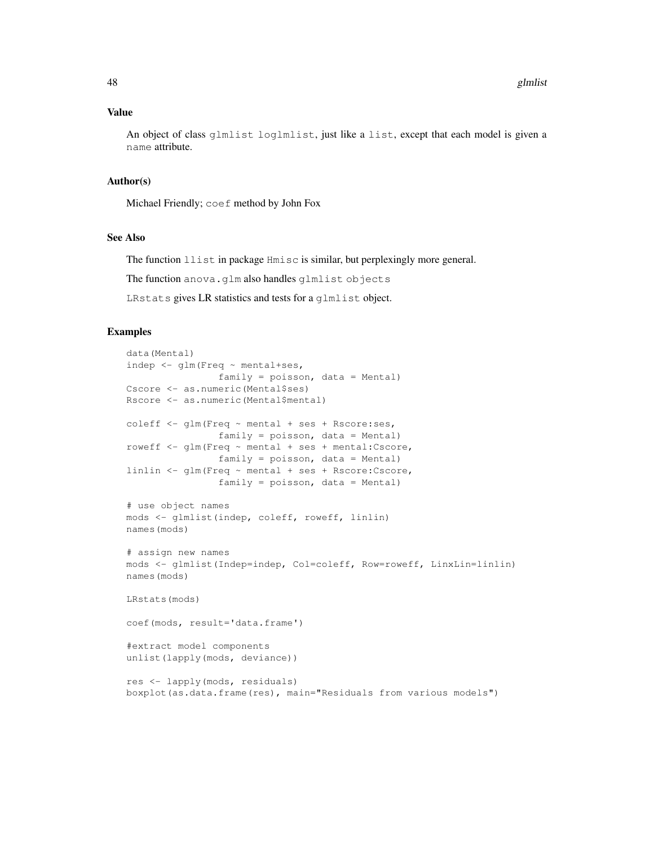## Value

An object of class glmlist loglmlist, just like a list, except that each model is given a name attribute.

# Author(s)

Michael Friendly; coef method by John Fox

# See Also

The function llist in package Hmisc is similar, but perplexingly more general.

The function anova.glm also handles glmlist objects

LRstats gives LR statistics and tests for a glmlist object.

```
data(Mental)
indep <- glm(Freq ~ mental+ses,
               family = poisson, data = Mental)
Cscore <- as.numeric(Mental$ses)
Rscore <- as.numeric(Mental$mental)
coleff <- glm(Freq ~ mental + ses + Rscore:ses,
               family = poisson, data = Mental)roweff <- glm(Freq ~ mental + ses + mental:Cscore,
               family = poisson, data = Mental)
linlin <- glm(Freq ~ mental + ses + Rscore:Cscore,
                family = poisson, data = Mental)
# use object names
mods <- glmlist(indep, coleff, roweff, linlin)
names(mods)
# assign new names
mods <- glmlist(Indep=indep, Col=coleff, Row=roweff, LinxLin=linlin)
names(mods)
LRstats(mods)
coef(mods, result='data.frame')
#extract model components
unlist(lapply(mods, deviance))
res <- lapply(mods, residuals)
boxplot(as.data.frame(res), main="Residuals from various models")
```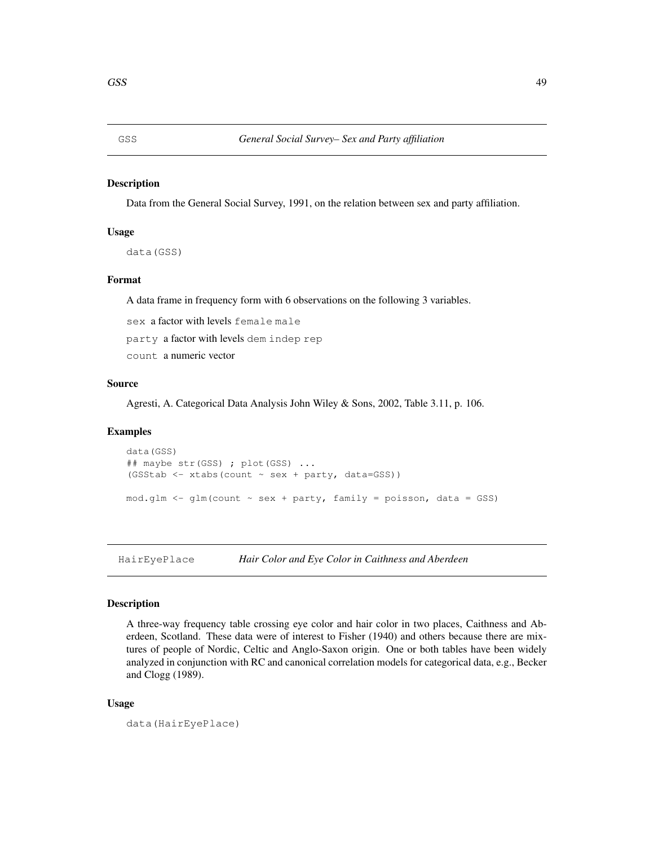## Description

Data from the General Social Survey, 1991, on the relation between sex and party affiliation.

## Usage

data(GSS)

# Format

A data frame in frequency form with 6 observations on the following 3 variables.

sex a factor with levels female male

party a factor with levels dem indep rep

count a numeric vector

#### Source

Agresti, A. Categorical Data Analysis John Wiley & Sons, 2002, Table 3.11, p. 106.

#### Examples

```
data(GSS)
## maybe str(GSS) ; plot(GSS) ...
(GSStab <- xtabs(count ~ sex + party, data=GSS))
mod.qlm \leftarrow qlm (count \sim sex + party, family = poisson, data = GSS)
```
HairEyePlace *Hair Color and Eye Color in Caithness and Aberdeen*

## Description

A three-way frequency table crossing eye color and hair color in two places, Caithness and Aberdeen, Scotland. These data were of interest to Fisher (1940) and others because there are mixtures of people of Nordic, Celtic and Anglo-Saxon origin. One or both tables have been widely analyzed in conjunction with RC and canonical correlation models for categorical data, e.g., Becker and Clogg (1989).

## Usage

```
data(HairEyePlace)
```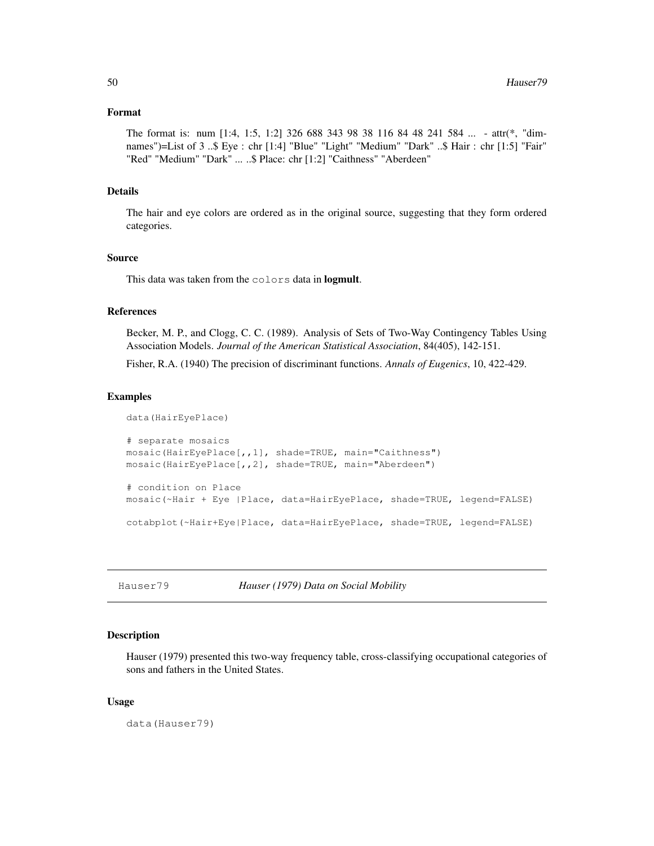# Format

```
The format is: num [1:4, 1:5, 1:2] 326 688 343 98 38 116 84 48 241 584 ... - attr(*, "dim-
names")=List of 3 ..$ Eye : chr [1:4] "Blue" "Light" "Medium" "Dark" ..$ Hair : chr [1:5] "Fair"
"Red" "Medium" "Dark" ... ..$ Place: chr [1:2] "Caithness" "Aberdeen"
```
#### Details

The hair and eye colors are ordered as in the original source, suggesting that they form ordered categories.

# Source

This data was taken from the colors data in logmult.

# References

Becker, M. P., and Clogg, C. C. (1989). Analysis of Sets of Two-Way Contingency Tables Using Association Models. *Journal of the American Statistical Association*, 84(405), 142-151.

Fisher, R.A. (1940) The precision of discriminant functions. *Annals of Eugenics*, 10, 422-429.

#### Examples

```
data(HairEyePlace)
# separate mosaics
mosaic(HairEyePlace[,,1], shade=TRUE, main="Caithness")
mosaic(HairEyePlace[,,2], shade=TRUE, main="Aberdeen")
# condition on Place
mosaic(~Hair + Eye |Place, data=HairEyePlace, shade=TRUE, legend=FALSE)
cotabplot(~Hair+Eye|Place, data=HairEyePlace, shade=TRUE, legend=FALSE)
```
Hauser79 *Hauser (1979) Data on Social Mobility*

# **Description**

Hauser (1979) presented this two-way frequency table, cross-classifying occupational categories of sons and fathers in the United States.

## Usage

data(Hauser79)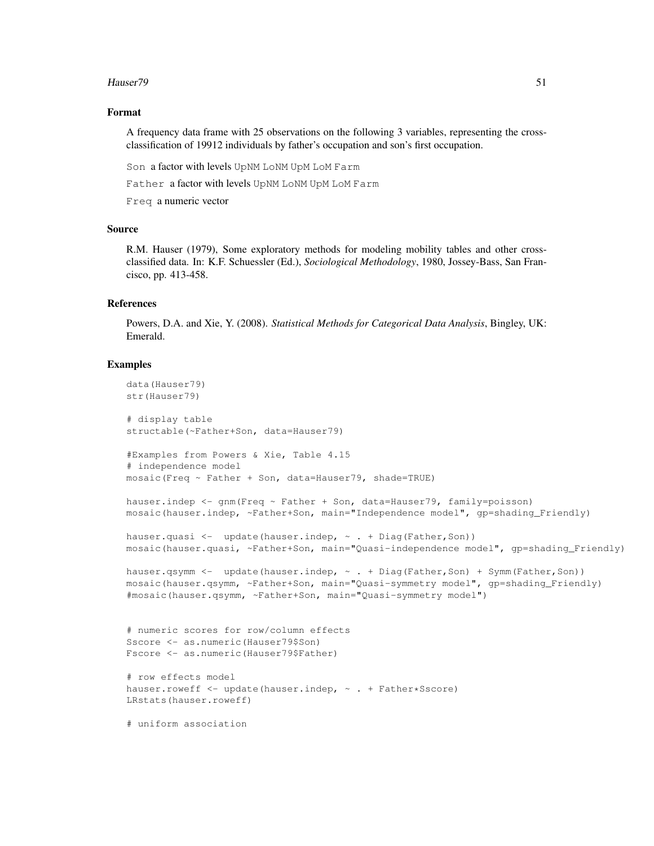#### Hauser79 51

# Format

A frequency data frame with 25 observations on the following 3 variables, representing the crossclassification of 19912 individuals by father's occupation and son's first occupation.

Son a factor with levels UpNM LoNM UpM LoM Farm

Father a factor with levels UpNM LoNM UpM LoM Farm

Freq a numeric vector

## Source

R.M. Hauser (1979), Some exploratory methods for modeling mobility tables and other crossclassified data. In: K.F. Schuessler (Ed.), *Sociological Methodology*, 1980, Jossey-Bass, San Francisco, pp. 413-458.

#### References

Powers, D.A. and Xie, Y. (2008). *Statistical Methods for Categorical Data Analysis*, Bingley, UK: Emerald.

```
data(Hauser79)
str(Hauser79)
# display table
structable(~Father+Son, data=Hauser79)
#Examples from Powers & Xie, Table 4.15
# independence model
mosaic(Freq ~ Father + Son, data=Hauser79, shade=TRUE)
hauser.indep <- qnm (Freq ~ Father + Son, data=Hauser79, family=poisson)
mosaic(hauser.indep, ~Father+Son, main="Independence model", gp=shading_Friendly)
hauser.quasi <- update(hauser.indep, ~ . + Diag(Father, Son))
mosaic(hauser.quasi, ~Father+Son, main="Quasi-independence model", gp=shading_Friendly)
hauser.qsymm <- update(hauser.indep, ~ . + Diag(Father, Son) + Symm(Father, Son))
mosaic(hauser.qsymm, ~Father+Son, main="Quasi-symmetry model", gp=shading_Friendly)
#mosaic(hauser.qsymm, ~Father+Son, main="Quasi-symmetry model")
# numeric scores for row/column effects
Sscore <- as.numeric(Hauser79$Son)
Fscore <- as.numeric(Hauser79$Father)
# row effects model
hauser.roweff <- update(hauser.indep, \sim . + Father*Sscore)
LRstats(hauser.roweff)
# uniform association
```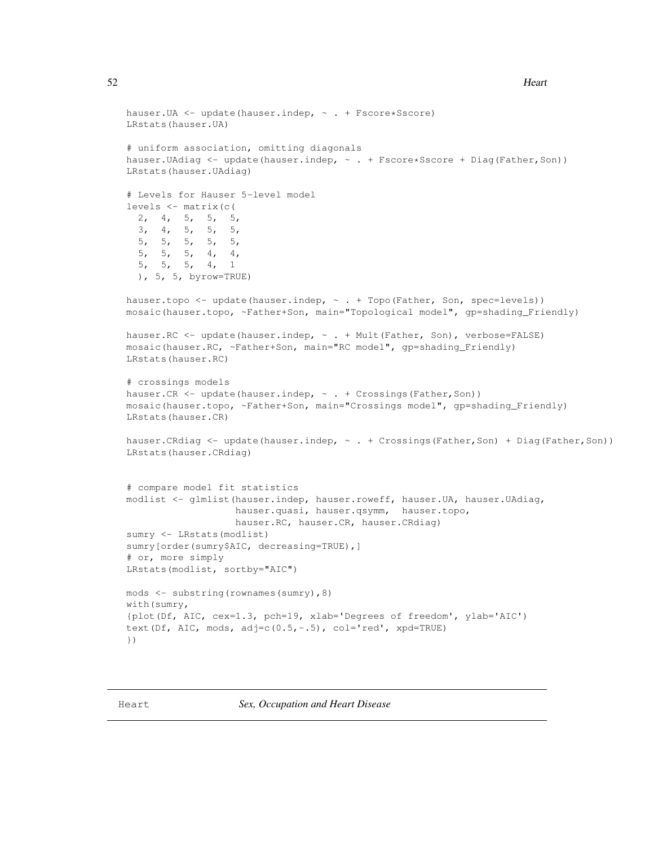```
hauser. UA <- update(hauser.indep, \sim . + Fscore*Sscore)
LRstats(hauser.UA)
# uniform association, omitting diagonals
hauser.UAdiag <- update(hauser.indep, \sim . + Fscore*Sscore + Diag(Father, Son))
LRstats(hauser.UAdiag)
# Levels for Hauser 5-level model
levels <- matrix(c(
  2, 4, 5, 5, 5,
  3, 4, 5, 5, 5,
  5, 5, 5, 5, 5,
  5, 5, 5, 4, 4,
  5, 5, 5, 4, 1
  ), 5, 5, byrow=TRUE)
hauser.topo <- update(hauser.indep, ~ . + Topo(Father, Son, spec=levels))
mosaic(hauser.topo, ~Father+Son, main="Topological model", gp=shading_Friendly)
hauser.RC <- update(hauser.indep, ~ . + Mult(Father, Son), verbose=FALSE)
mosaic(hauser.RC, ~Father+Son, main="RC model", gp=shading_Friendly)
LRstats(hauser.RC)
# crossings models
hauser.CR <- update(hauser.indep, \sim . + Crossings(Father, Son))
mosaic(hauser.topo, ~Father+Son, main="Crossings model", gp=shading_Friendly)
LRstats(hauser.CR)
hauser.CRdiag <- update(hauser.indep, \sim . + Crossings(Father, Son) + Diag(Father, Son))
LRstats(hauser.CRdiag)
# compare model fit statistics
modlist <- glmlist(hauser.indep, hauser.roweff, hauser.UA, hauser.UAdiag,
                   hauser.quasi, hauser.qsymm, hauser.topo,
                   hauser.RC, hauser.CR, hauser.CRdiag)
sumry <- LRstats(modlist)
sumry[order(sumry$AIC, decreasing=TRUE),]
# or, more simply
LRstats(modlist, sortby="AIC")
mods <- substring(rownames(sumry),8)
with(sumry,
{plot(Df, AIC, cex=1.3, pch=19, xlab='Degrees of freedom', ylab='AIC')
text(Df, AIC, mods, adj=c(0.5, -.5), col='red', xpd=TRUE)
})
```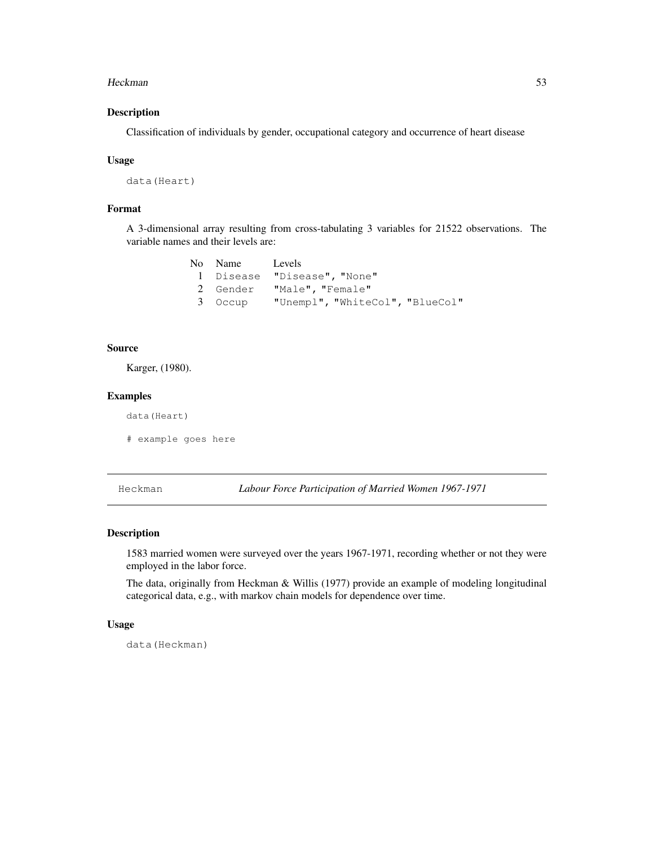#### Heckman 53

# Description

Classification of individuals by gender, occupational category and occurrence of heart disease

#### Usage

```
data(Heart)
```
# Format

A 3-dimensional array resulting from cross-tabulating 3 variables for 21522 observations. The variable names and their levels are:

| No Name Levels |                                         |
|----------------|-----------------------------------------|
|                | 1 Disease "Disease", "None"             |
|                | 2 Gender "Male", "Female"               |
|                | 3 Occup "Unempl", "WhiteCol", "BlueCol" |

# Source

Karger, (1980).

# Examples

data(Heart)

# example goes here

Heckman *Labour Force Participation of Married Women 1967-1971*

# Description

1583 married women were surveyed over the years 1967-1971, recording whether or not they were employed in the labor force.

The data, originally from Heckman & Willis (1977) provide an example of modeling longitudinal categorical data, e.g., with markov chain models for dependence over time.

## Usage

data(Heckman)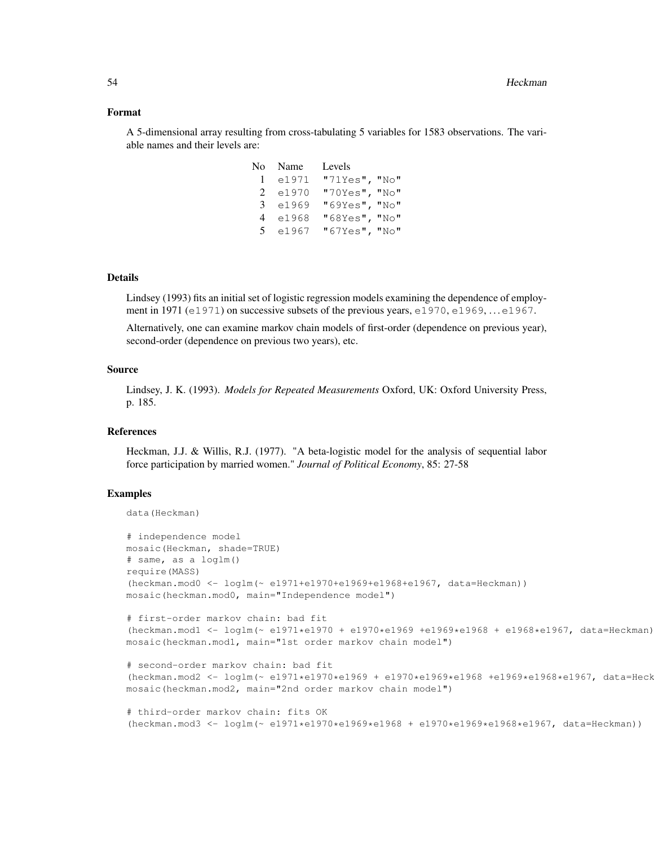#### Format

A 5-dimensional array resulting from cross-tabulating 5 variables for 1583 observations. The variable names and their levels are:

|                | No Name | Levels        |  |
|----------------|---------|---------------|--|
| $\mathbf{1}$   | e1971   | "71Yes", "No" |  |
| $2^{\circ}$    | e1970   | "70Yes", "No" |  |
| 3              | e1969   | "69Yes", "No" |  |
| 4              | e1968   | "68Yes", "No" |  |
| 5 <sup>7</sup> | e1967   | "67Yes", "No" |  |

## Details

Lindsey (1993) fits an initial set of logistic regression models examining the dependence of employment in 1971 (e1971) on successive subsets of the previous years, e1970, e1969, ... e1967.

Alternatively, one can examine markov chain models of first-order (dependence on previous year), second-order (dependence on previous two years), etc.

# Source

Lindsey, J. K. (1993). *Models for Repeated Measurements* Oxford, UK: Oxford University Press, p. 185.

## References

Heckman, J.J. & Willis, R.J. (1977). "A beta-logistic model for the analysis of sequential labor force participation by married women." *Journal of Political Economy*, 85: 27-58

```
data(Heckman)
```

```
# independence model
mosaic(Heckman, shade=TRUE)
# same, as a loglm()
require(MASS)
(heckman.mod0 <- loglm(~ e1971+e1970+e1969+e1968+e1967, data=Heckman))
mosaic(heckman.mod0, main="Independence model")
```

```
# first-order markov chain: bad fit
(heckman.mod1 <- loglm(~ e1971*e1970 + e1970*e1969 +e1969*e1968 + e1968*e1967, data=Heckman))
mosaic(heckman.mod1, main="1st order markov chain model")
```

```
# second-order markov chain: bad fit
(heckman.mod2 <- loglm(~ e1971*e1970*e1969 + e1970*e1969*e1968 +e1969*e1968*e1967, data=Heckman))
mosaic(heckman.mod2, main="2nd order markov chain model")
```

```
# third-order markov chain: fits OK
(heckman.mod3 <- loglm(~ e1971*e1970*e1969*e1968 + e1970*e1969*e1968*e1967, data=Heckman))
```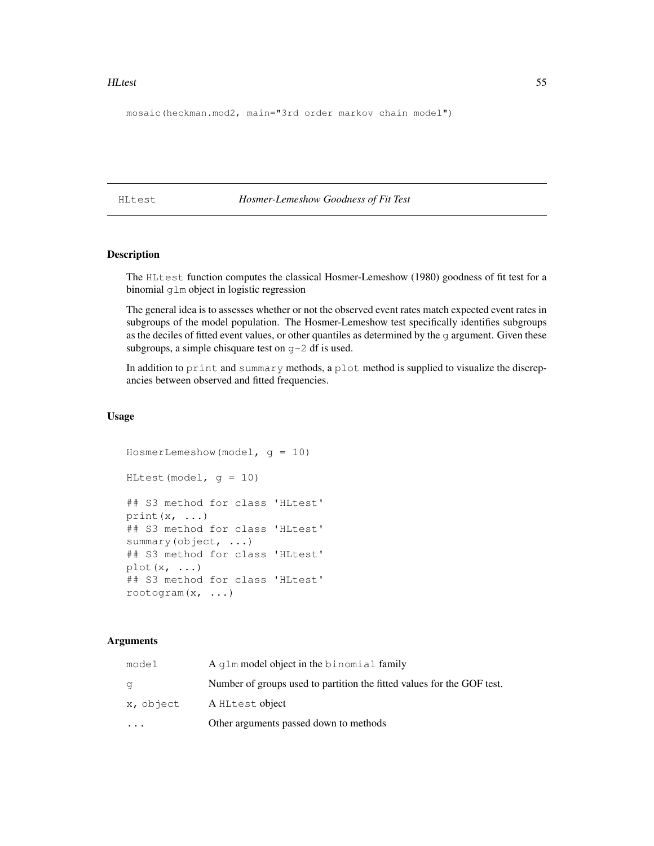#### HLtest 55

```
mosaic(heckman.mod2, main="3rd order markov chain model")
```
HLtest *Hosmer-Lemeshow Goodness of Fit Test*

# Description

The HLtest function computes the classical Hosmer-Lemeshow (1980) goodness of fit test for a binomial glm object in logistic regression

The general idea is to assesses whether or not the observed event rates match expected event rates in subgroups of the model population. The Hosmer-Lemeshow test specifically identifies subgroups as the deciles of fitted event values, or other quantiles as determined by the g argument. Given these subgroups, a simple chisquare test on g-2 df is used.

In addition to print and summary methods, a plot method is supplied to visualize the discrepancies between observed and fitted frequencies.

# Usage

```
HosmerLemeshow(model, g = 10)
HLtest(model, q = 10)
## S3 method for class 'HLtest'
print(x, \ldots)## S3 method for class 'HLtest'
summary(object, ...)
## S3 method for class 'HLtest'
plot(x, \ldots)## S3 method for class 'HLtest'
rootogram(x, ...)
```
#### Arguments

|           | Other arguments passed down to methods                                 |  |
|-----------|------------------------------------------------------------------------|--|
| x, object | A HLtest object                                                        |  |
| q         | Number of groups used to partition the fitted values for the GOF test. |  |
| model     | A glm model object in the binomial family                              |  |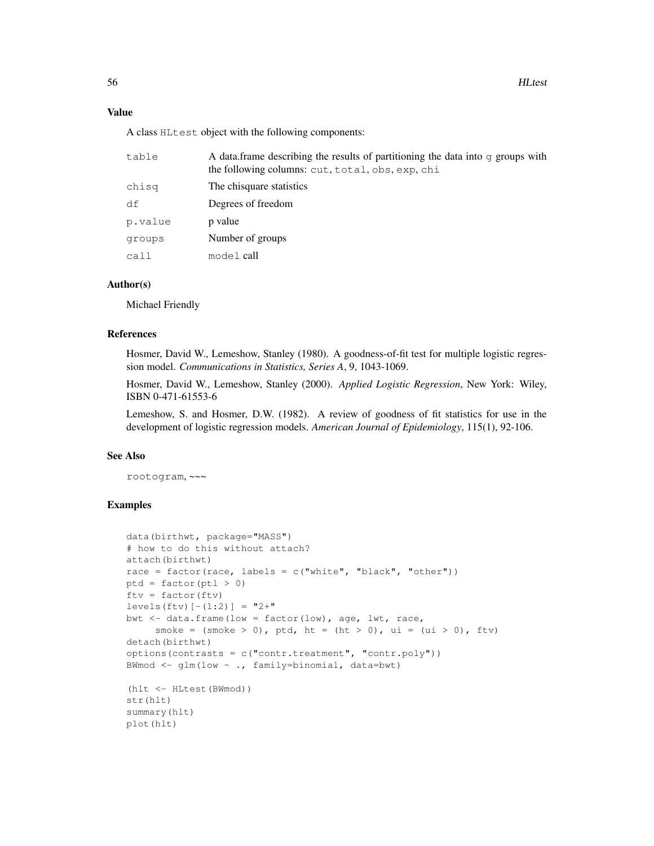## Value

A class HLtest object with the following components:

| table   | A data frame describing the results of partitioning the data into $\sigma$ groups with<br>the following columns: cut, total, obs, exp, chi |  |
|---------|--------------------------------------------------------------------------------------------------------------------------------------------|--|
| chisg   | The chisquare statistics                                                                                                                   |  |
| df      | Degrees of freedom                                                                                                                         |  |
| p.value | p value                                                                                                                                    |  |
| groups  | Number of groups                                                                                                                           |  |
| call    | model call                                                                                                                                 |  |
|         |                                                                                                                                            |  |

## Author(s)

Michael Friendly

# References

Hosmer, David W., Lemeshow, Stanley (1980). A goodness-of-fit test for multiple logistic regression model. *Communications in Statistics, Series A*, 9, 1043-1069.

Hosmer, David W., Lemeshow, Stanley (2000). *Applied Logistic Regression*, New York: Wiley, ISBN 0-471-61553-6

Lemeshow, S. and Hosmer, D.W. (1982). A review of goodness of fit statistics for use in the development of logistic regression models. *American Journal of Epidemiology*, 115(1), 92-106.

## See Also

rootogram, ~~~

```
data(birthwt, package="MASS")
# how to do this without attach?
attach(birthwt)
race = factor(race, labels = c("white", "black", "other"))ptd = factor(pt1 > 0)ftv = factor(ftv)levels(ftv)[-(1:2)] = "2+"bwt <- data.frame(low = factor(low), age, lwt, race,
     smoke = (smoke > 0), ptd, ht = (ht > 0), ui = (ui > 0), ftv)
detach(birthwt)
options(contrasts = c("contr.treatment", "contr.poly"))
BWmod \leq glm(low \sim ., family=binomial, data=bwt)
(hlt <- HLtest(BWmod))
str(hlt)
summary(hlt)
plot(hlt)
```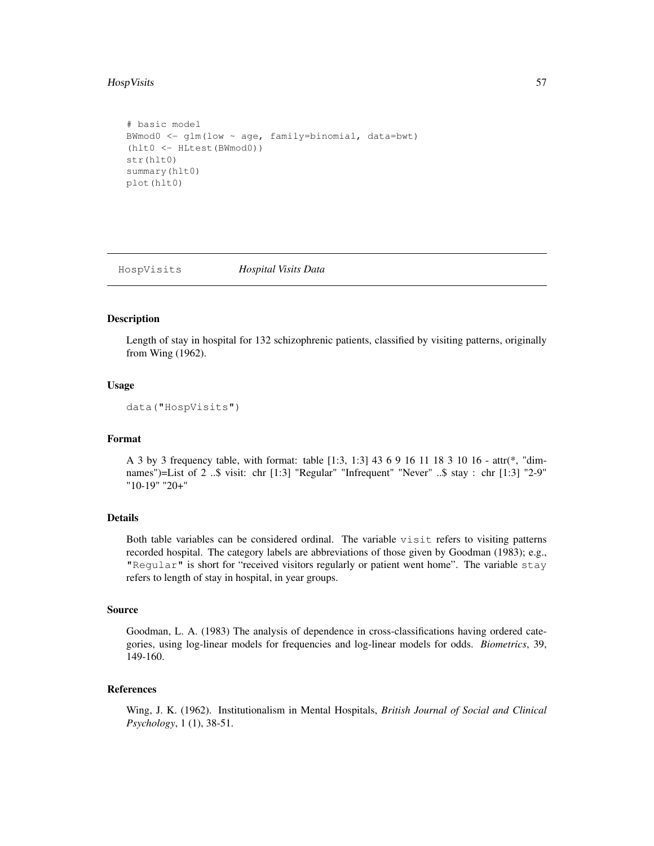## HospVisits 57

```
# basic model
BWmod0 <- glm(low ~ age, family=binomial, data=bwt)
(hlt0 <- HLtest(BWmod0))
str(hlt0)
summary(hlt0)
plot(hlt0)
```
HospVisits *Hospital Visits Data*

#### Description

Length of stay in hospital for 132 schizophrenic patients, classified by visiting patterns, originally from Wing (1962).

#### Usage

```
data("HospVisits")
```
#### Format

A 3 by 3 frequency table, with format: table [1:3, 1:3] 43 6 9 16 11 18 3 10 16 - attr(\*, "dimnames")=List of 2 ..\$ visit: chr [1:3] "Regular" "Infrequent" "Never" ..\$ stay : chr [1:3] "2-9" "10-19" "20+"

# Details

Both table variables can be considered ordinal. The variable visit refers to visiting patterns recorded hospital. The category labels are abbreviations of those given by Goodman (1983); e.g., "Regular" is short for "received visitors regularly or patient went home". The variable stay refers to length of stay in hospital, in year groups.

## Source

Goodman, L. A. (1983) The analysis of dependence in cross-classifications having ordered categories, using log-linear models for frequencies and log-linear models for odds. *Biometrics*, 39, 149-160.

# References

Wing, J. K. (1962). Institutionalism in Mental Hospitals, *British Journal of Social and Clinical Psychology*, 1 (1), 38-51.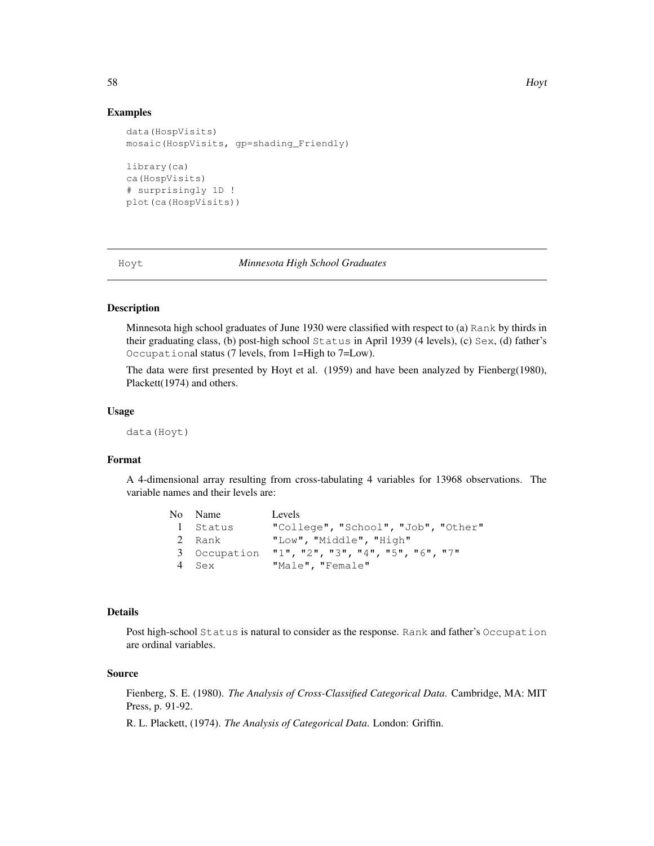## Examples

```
data(HospVisits)
mosaic(HospVisits, gp=shading_Friendly)
library(ca)
ca(HospVisits)
# surprisingly 1D !
plot(ca(HospVisits))
```
Hoyt *Minnesota High School Graduates*

# Description

Minnesota high school graduates of June 1930 were classified with respect to (a) Rank by thirds in their graduating class, (b) post-high school Status in April 1939 (4 levels), (c) Sex, (d) father's Occupational status (7 levels, from 1=High to 7=Low).

The data were first presented by Hoyt et al. (1959) and have been analyzed by Fienberg(1980), Plackett(1974) and others.

## Usage

data(Hoyt)

#### Format

A 4-dimensional array resulting from cross-tabulating 4 variables for 13968 observations. The variable names and their levels are:

| No Name      | Levels                              |
|--------------|-------------------------------------|
| l Status     | "College", "School", "Job", "Other" |
| 2 Rank       | "Low", "Middle", "High"             |
| 3 Occupation | "1", "2", "3", "4", "5", "6", "7"   |
| 4 Sex        | "Male", "Female"                    |

## Details

Post high-school Status is natural to consider as the response. Rank and father's Occupation are ordinal variables.

#### Source

Fienberg, S. E. (1980). *The Analysis of Cross-Classified Categorical Data*. Cambridge, MA: MIT Press, p. 91-92.

R. L. Plackett, (1974). *The Analysis of Categorical Data*. London: Griffin.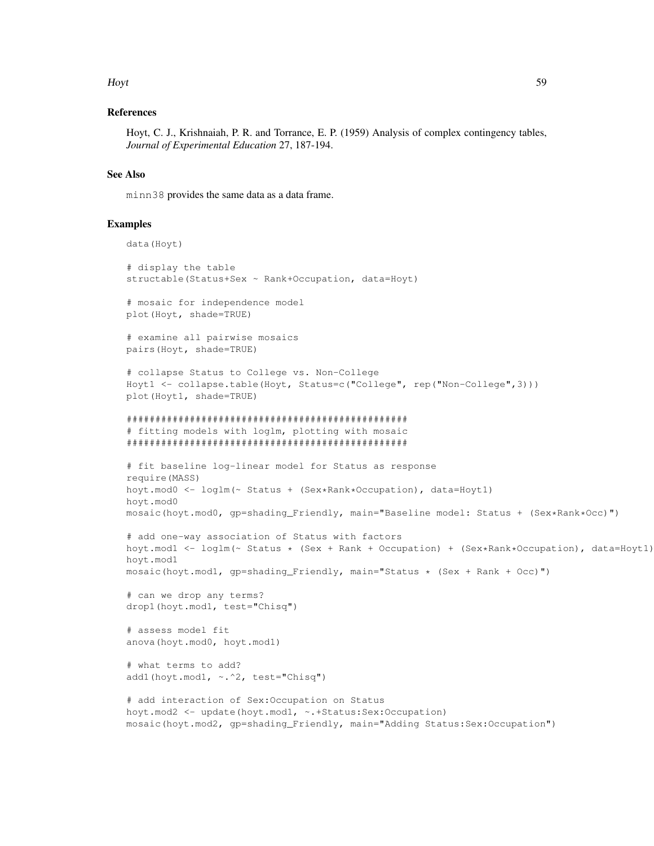#### Hoyt 59

## References

Hoyt, C. J., Krishnaiah, P. R. and Torrance, E. P. (1959) Analysis of complex contingency tables, *Journal of Experimental Education* 27, 187-194.

## See Also

minn38 provides the same data as a data frame.

```
data(Hoyt)
# display the table
structable(Status+Sex ~ Rank+Occupation, data=Hoyt)
# mosaic for independence model
plot(Hoyt, shade=TRUE)
# examine all pairwise mosaics
pairs(Hoyt, shade=TRUE)
# collapse Status to College vs. Non-College
Hoyt1 <- collapse.table(Hoyt, Status=c("College", rep("Non-College",3)))
plot(Hoyt1, shade=TRUE)
#################################################
# fitting models with loglm, plotting with mosaic
#################################################
# fit baseline log-linear model for Status as response
require(MASS)
hoyt.mod0 <- loglm(~ Status + (Sex*Rank*Occupation), data=Hoyt1)
hoyt.mod0
mosaic(hoyt.mod0, qp=shading_Friendly, main="Baseline model: Status + (Sex*Rank*Occ)")
# add one-way association of Status with factors
hoyt.mod1 <- loglm(~ Status * (Sex + Rank + Occupation) + (Sex*Rank*Occupation), data=Hoyt1)
hoyt.mod1
mosaic(hoyt.mod1, gp=shading_Friendly, main="Status * (Sex + Rank + Occ)")
# can we drop any terms?
drop1(hoyt.mod1, test="Chisq")
# assess model fit
anova(hoyt.mod0, hoyt.mod1)
# what terms to add?
add1(hoyt.mod1, ~.^2, test="Chisq")
# add interaction of Sex:Occupation on Status
hoyt.mod2 <- update(hoyt.mod1, ~.+Status:Sex:Occupation)
mosaic(hoyt.mod2, gp=shading_Friendly, main="Adding Status:Sex:Occupation")
```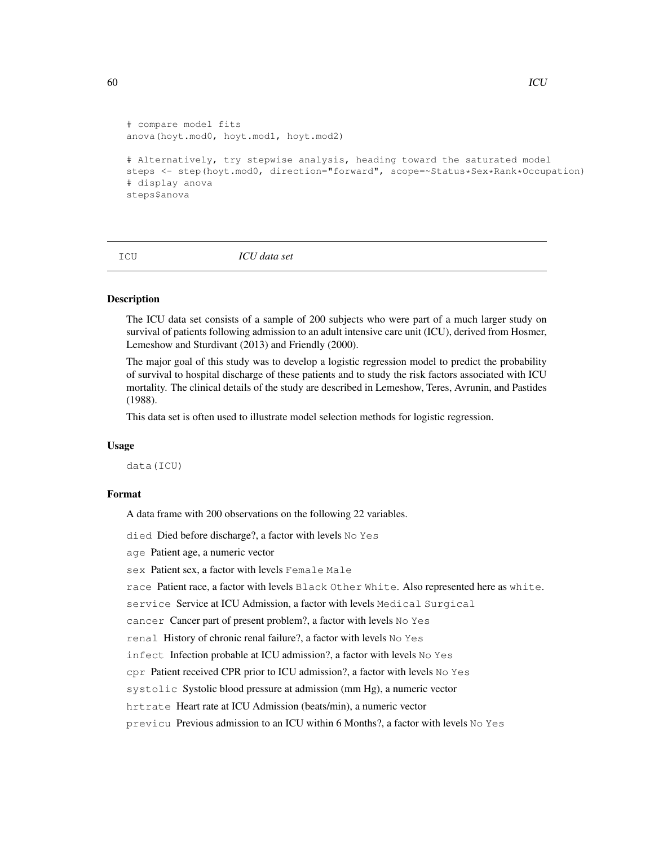```
# compare model fits
anova(hoyt.mod0, hoyt.mod1, hoyt.mod2)
# Alternatively, try stepwise analysis, heading toward the saturated model
steps <- step(hoyt.mod0, direction="forward", scope=~Status*Sex*Rank*Occupation)
# display anova
steps$anova
```
ICU *ICU data set*

# **Description**

The ICU data set consists of a sample of 200 subjects who were part of a much larger study on survival of patients following admission to an adult intensive care unit (ICU), derived from Hosmer, Lemeshow and Sturdivant (2013) and Friendly (2000).

The major goal of this study was to develop a logistic regression model to predict the probability of survival to hospital discharge of these patients and to study the risk factors associated with ICU mortality. The clinical details of the study are described in Lemeshow, Teres, Avrunin, and Pastides (1988).

This data set is often used to illustrate model selection methods for logistic regression.

#### Usage

data(ICU)

# Format

A data frame with 200 observations on the following 22 variables.

died Died before discharge?, a factor with levels No Yes

age Patient age, a numeric vector

sex Patient sex, a factor with levels Female Male

race Patient race, a factor with levels Black Other White. Also represented here as white.

service Service at ICU Admission, a factor with levels Medical Surgical

cancer Cancer part of present problem?, a factor with levels No Yes

renal History of chronic renal failure?, a factor with levels No Yes

infect Infection probable at ICU admission?, a factor with levels No Yes

cpr Patient received CPR prior to ICU admission?, a factor with levels No Yes

systolic Systolic blood pressure at admission (mm Hg), a numeric vector

hrtrate Heart rate at ICU Admission (beats/min), a numeric vector

previcu Previous admission to an ICU within 6 Months?, a factor with levels No Yes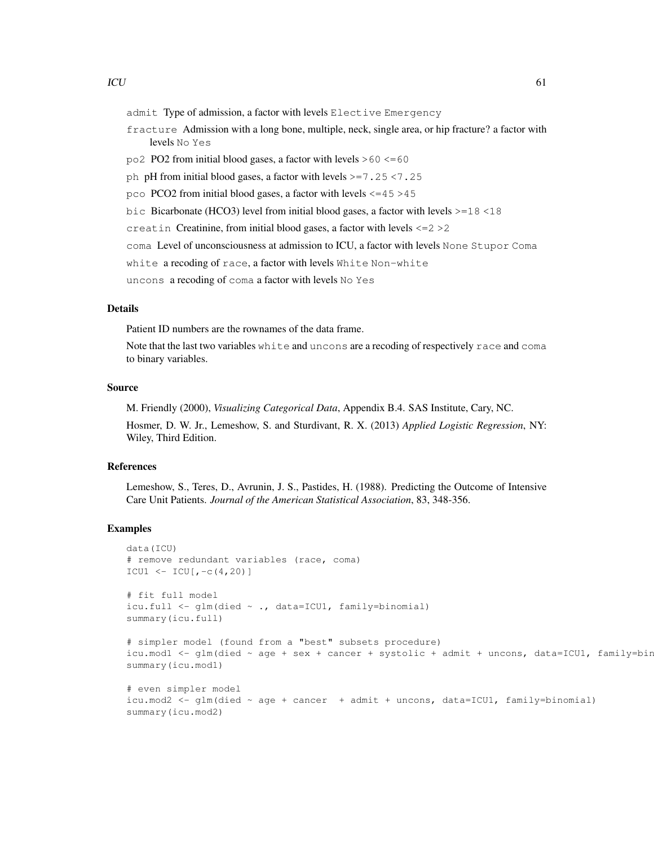- admit Type of admission, a factor with levels Elective Emergency
- fracture Admission with a long bone, multiple, neck, single area, or hip fracture? a factor with levels No Yes
- $po2$  PO2 from initial blood gases, a factor with levels  $>60 \le 60$
- ph pH from initial blood gases, a factor with levels >=7.25 <7.25
- pco PCO2 from initial blood gases, a factor with levels <=45 >45
- bic Bicarbonate (HCO3) level from initial blood gases, a factor with levels >=18 <18
- creatin Creatinine, from initial blood gases, a factor with levels <=2 >2
- coma Level of unconsciousness at admission to ICU, a factor with levels None Stupor Coma
- white a recoding of race, a factor with levels White Non-white
- uncons a recoding of coma a factor with levels No Yes

# Details

Patient ID numbers are the rownames of the data frame.

Note that the last two variables white and uncons are a recoding of respectively race and coma to binary variables.

# Source

M. Friendly (2000), *Visualizing Categorical Data*, Appendix B.4. SAS Institute, Cary, NC. Hosmer, D. W. Jr., Lemeshow, S. and Sturdivant, R. X. (2013) *Applied Logistic Regression*, NY: Wiley, Third Edition.

# References

Lemeshow, S., Teres, D., Avrunin, J. S., Pastides, H. (1988). Predicting the Outcome of Intensive Care Unit Patients. *Journal of the American Statistical Association*, 83, 348-356.

```
data(ICU)
# remove redundant variables (race, coma)
ICU1 \leftarrow ICU[, -c(4,20)]
# fit full model
icu.full <- glm(died ~ ., data=ICU1, family=binomial)
summary(icu.full)
# simpler model (found from a "best" subsets procedure)
icu.mod1 <- qlm(died \sim age + sex + cancer + systolic + admit + uncons, data=ICU1, family=bir
summary(icu.mod1)
# even simpler model
icu.mod2 <- glm(died ~ age + cancer + admit + uncons, data=ICU1, family=binomial)
summary(icu.mod2)
```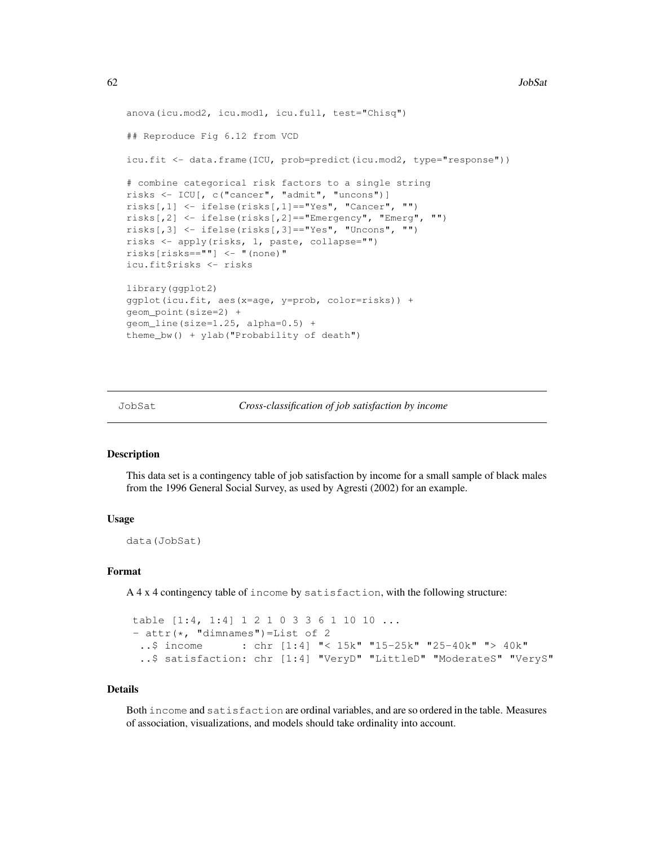```
anova(icu.mod2, icu.mod1, icu.full, test="Chisq")
## Reproduce Fig 6.12 from VCD
icu.fit <- data.frame(ICU, prob=predict(icu.mod2, type="response"))
# combine categorical risk factors to a single string
risks <- ICU[, c("cancer", "admit", "uncons")]
risks[,1] <- ifelse(risks[,1]=="Yes", "Cancer", "")
risks[,2] <- ifelse(risks[,2]=="Emergency", "Emerg", "")
risks[,3] <- ifelse(risks[,3]=="Yes", "Uncons", "")
risks <- apply(risks, 1, paste, collapse="")
risks[risks==""] <- "(none)"
icu.fit$risks <- risks
library(ggplot2)
ggplot(icu.fit, aes(x=age, y=prob, color=risks)) +
geom_point(size=2) +
geom_line(size=1.25, alpha=0.5) +
theme_bw() + ylab("Probability of death")
```
JobSat *Cross-classification of job satisfaction by income*

#### Description

This data set is a contingency table of job satisfaction by income for a small sample of black males from the 1996 General Social Survey, as used by Agresti (2002) for an example.

## Usage

data(JobSat)

## Format

A 4 x 4 contingency table of income by satisfaction, with the following structure:

```
table [1:4, 1:4] 1 2 1 0 3 3 6 1 10 10 ...
- attr(\star, "dimnames")=List of 2<br>..$ income : chr [1:4] "<
                   : chr [1:4] "< 15k" "15-25k" "25-40k" "> 40k"
 ..$ satisfaction: chr [1:4] "VeryD" "LittleD" "ModerateS" "VeryS"
```
## Details

Both income and satisfaction are ordinal variables, and are so ordered in the table. Measures of association, visualizations, and models should take ordinality into account.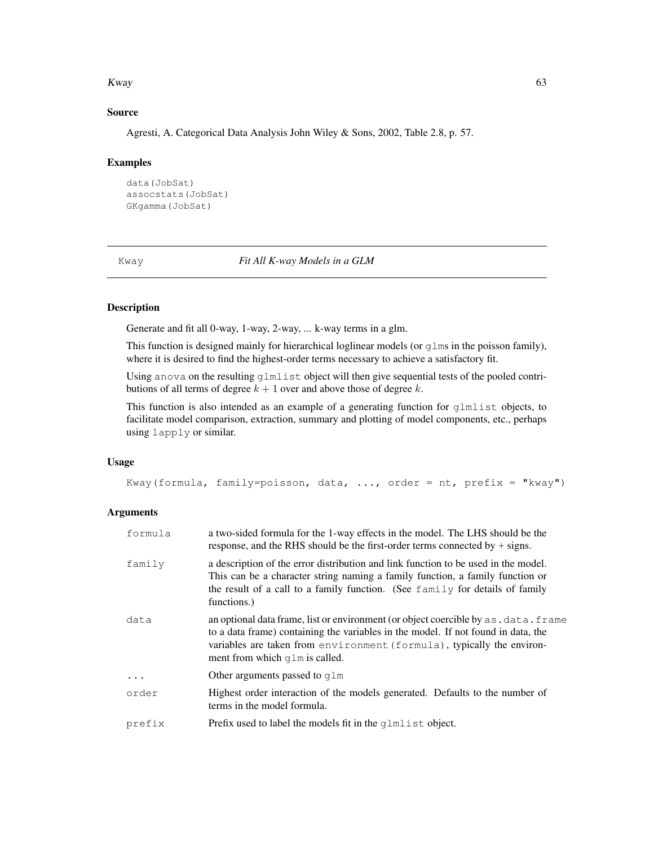#### Kway 63

## Source

Agresti, A. Categorical Data Analysis John Wiley & Sons, 2002, Table 2.8, p. 57.

## Examples

```
data(JobSat)
assocstats(JobSat)
GKgamma(JobSat)
```
Kway *Fit All K-way Models in a GLM*

## Description

Generate and fit all 0-way, 1-way, 2-way, ... k-way terms in a glm.

This function is designed mainly for hierarchical loglinear models (or  $g\text{1ms}$  in the poisson family), where it is desired to find the highest-order terms necessary to achieve a satisfactory fit.

Using anova on the resulting glmlist object will then give sequential tests of the pooled contributions of all terms of degree  $k + 1$  over and above those of degree k.

This function is also intended as an example of a generating function for glmlist objects, to facilitate model comparison, extraction, summary and plotting of model components, etc., perhaps using lapply or similar.

## Usage

Kway(formula, family=poisson, data, ..., order = nt, prefix = "kway")

## Arguments

| formula  | a two-sided formula for the 1-way effects in the model. The LHS should be the<br>response, and the RHS should be the first-order terms connected by $+$ signs.                                                                                                                              |  |
|----------|---------------------------------------------------------------------------------------------------------------------------------------------------------------------------------------------------------------------------------------------------------------------------------------------|--|
| family   | a description of the error distribution and link function to be used in the model.<br>This can be a character string naming a family function, a family function or<br>the result of a call to a family function. (See family for details of family<br>functions.)                          |  |
| data     | an optional data frame, list or environment (or object coercible by as . data. frame<br>to a data frame) containing the variables in the model. If not found in data, the<br>variables are taken from environment (formula), typically the environ-<br>ment from which $q \ln i$ is called. |  |
| $\ddots$ | Other arguments passed to $q \text{lm}$                                                                                                                                                                                                                                                     |  |
| order    | Highest order interaction of the models generated. Defaults to the number of<br>terms in the model formula.                                                                                                                                                                                 |  |
| prefix   | Prefix used to label the models fit in the qlml ist object.                                                                                                                                                                                                                                 |  |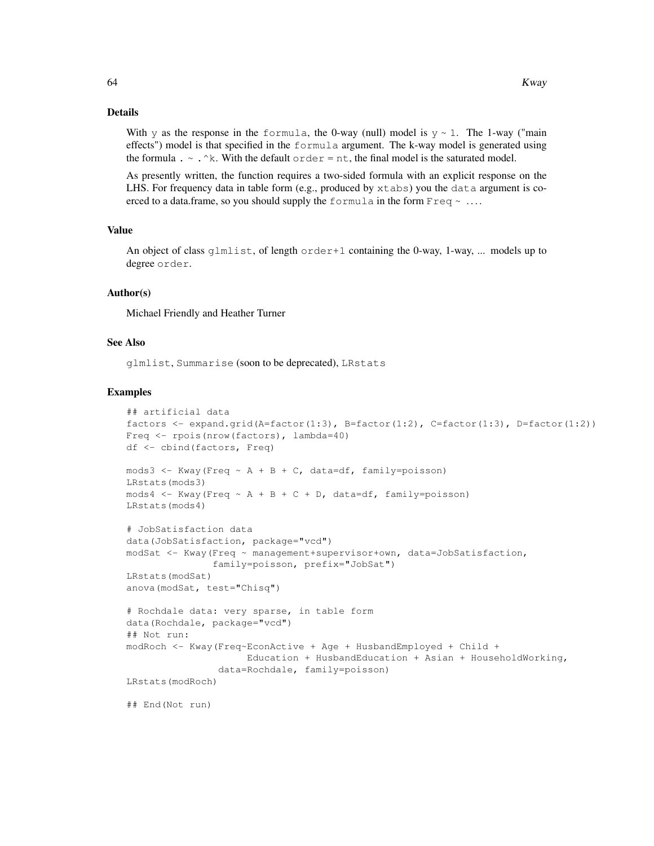# Details

With y as the response in the formula, the 0-way (null) model is  $y \sim 1$ . The 1-way ("main effects") model is that specified in the formula argument. The k-way model is generated using the formula .  $\sim$  .  $\wedge$ k. With the default order = nt, the final model is the saturated model.

As presently written, the function requires a two-sided formula with an explicit response on the LHS. For frequency data in table form (e.g., produced by  $x$ tabs) you the data argument is coerced to a data.frame, so you should supply the formula in the form  $F$ req  $\sim \ldots$ .

## Value

An object of class glmlist, of length  $\text{order}+1$  containing the 0-way, 1-way, ... models up to degree order.

#### Author(s)

Michael Friendly and Heather Turner

# See Also

glmlist, Summarise (soon to be deprecated), LRstats

```
## artificial data
factors <- expand.grid(A=factor(1:3), B=factor(1:2), C=factor(1:3), D=factor(1:2))
Freq <- rpois(nrow(factors), lambda=40)
df <- cbind(factors, Freq)
mods3 <- Kway(Freq \sim A + B + C, data=df, family=poisson)
LRstats(mods3)
mods4 \leftarrow Kway(Freq \sim A + B + C + D, data=df, family=poisson)
LRstats(mods4)
# JobSatisfaction data
data(JobSatisfaction, package="vcd")
modSat <- Kway(Freq ~ management+supervisor+own, data=JobSatisfaction,
               family=poisson, prefix="JobSat")
LRstats(modSat)
anova(modSat, test="Chisq")
# Rochdale data: very sparse, in table form
data(Rochdale, package="vcd")
## Not run:
modRoch <- Kway(Freq~EconActive + Age + HusbandEmployed + Child +
                     Education + HusbandEducation + Asian + HouseholdWorking,
                data=Rochdale, family=poisson)
LRstats(modRoch)
## End(Not run)
```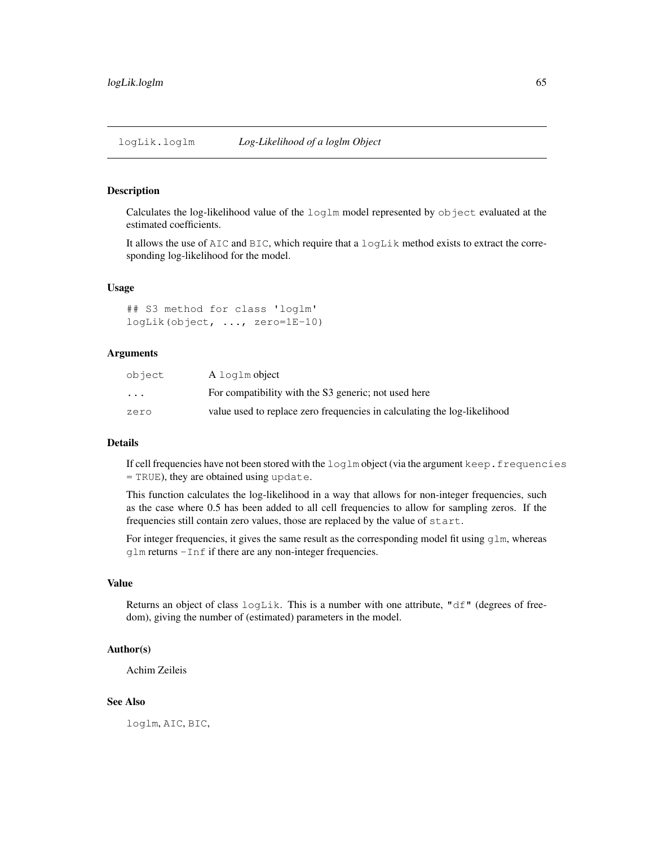## Description

Calculates the log-likelihood value of the loglm model represented by object evaluated at the estimated coefficients.

It allows the use of AIC and BIC, which require that a logLik method exists to extract the corresponding log-likelihood for the model.

## Usage

## S3 method for class 'loglm' logLik(object, ..., zero=1E-10)

## Arguments

| object   | A log lm object                                                          |
|----------|--------------------------------------------------------------------------|
| $\ddots$ | For compatibility with the S3 generic; not used here                     |
| zero     | value used to replace zero frequencies in calculating the log-likelihood |

#### Details

If cell frequencies have not been stored with the loglm object (via the argument keep.frequencies = TRUE), they are obtained using update.

This function calculates the log-likelihood in a way that allows for non-integer frequencies, such as the case where 0.5 has been added to all cell frequencies to allow for sampling zeros. If the frequencies still contain zero values, those are replaced by the value of start.

For integer frequencies, it gives the same result as the corresponding model fit using  $g \ln m$ , whereas glm returns -Inf if there are any non-integer frequencies.

## Value

Returns an object of class logLik. This is a number with one attribute, "df" (degrees of freedom), giving the number of (estimated) parameters in the model.

## Author(s)

Achim Zeileis

## See Also

loglm, AIC, BIC,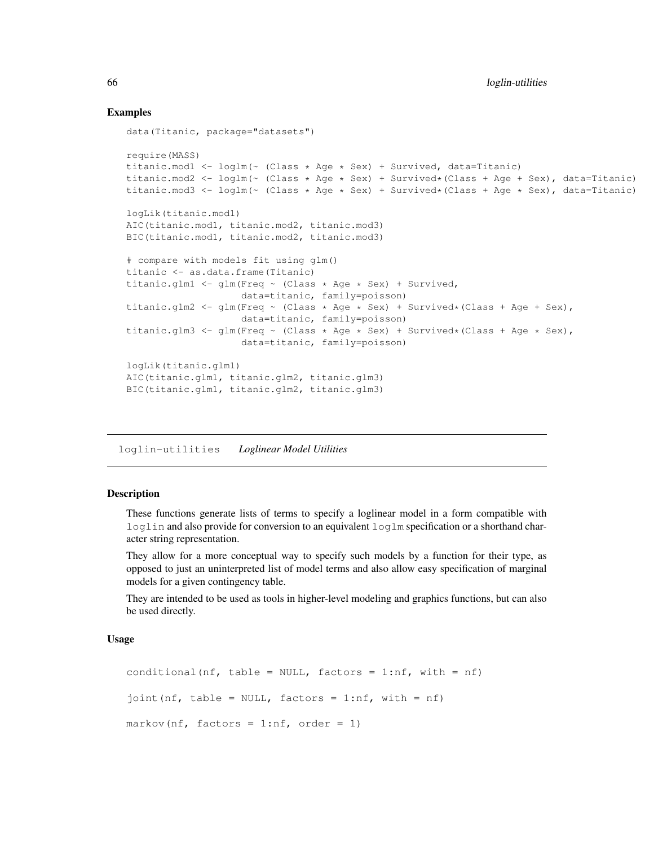# Examples

```
data(Titanic, package="datasets")
require(MASS)
titanic.mod1 <- loglm(~ (Class * Age * Sex) + Survived, data=Titanic)
titanic.mod2 <- \text{loglm}(\sim \text{(Class } \star \text{ Age } \star \text{ Sex}) + \text{Survived*}(\text{Class } + \text{Age } + \text{Sex}), \text{ data} = \text{Titanic})titanic.mod3 <- loglm(~ (Class * Age * Sex) + Survived*(Class + Age * Sex), data=Titanic)
logLik(titanic.mod1)
AIC(titanic.mod1, titanic.mod2, titanic.mod3)
BIC(titanic.mod1, titanic.mod2, titanic.mod3)
# compare with models fit using glm()
titanic <- as.data.frame(Titanic)
titanic.glm1 <- glm(Freq ~ (Class * Age * Sex) + Survived,
                      data=titanic, family=poisson)
titanic.glm2 <- glm(Freq \sim (Class \star Age \star Sex) + Survived\star(Class + Age + Sex),
                      data=titanic, family=poisson)
titanic.glm3 <- glm(Freq \sim (Class \star Age \star Sex) + Survived\star (Class + Age \star Sex),
                       data=titanic, family=poisson)
logLik(titanic.glm1)
AIC(titanic.glm1, titanic.glm2, titanic.glm3)
BIC(titanic.glm1, titanic.glm2, titanic.glm3)
```
loglin-utilities *Loglinear Model Utilities*

## Description

These functions generate lists of terms to specify a loglinear model in a form compatible with loglin and also provide for conversion to an equivalent loglm specification or a shorthand character string representation.

They allow for a more conceptual way to specify such models by a function for their type, as opposed to just an uninterpreted list of model terms and also allow easy specification of marginal models for a given contingency table.

They are intended to be used as tools in higher-level modeling and graphics functions, but can also be used directly.

## Usage

```
conditional(nf, table = NULL, factors = 1:nf, with = nf)
joint(nf, table = NULL, factors = 1:nf, with = nf)
markov(nf, factors = 1:nf, order = 1)
```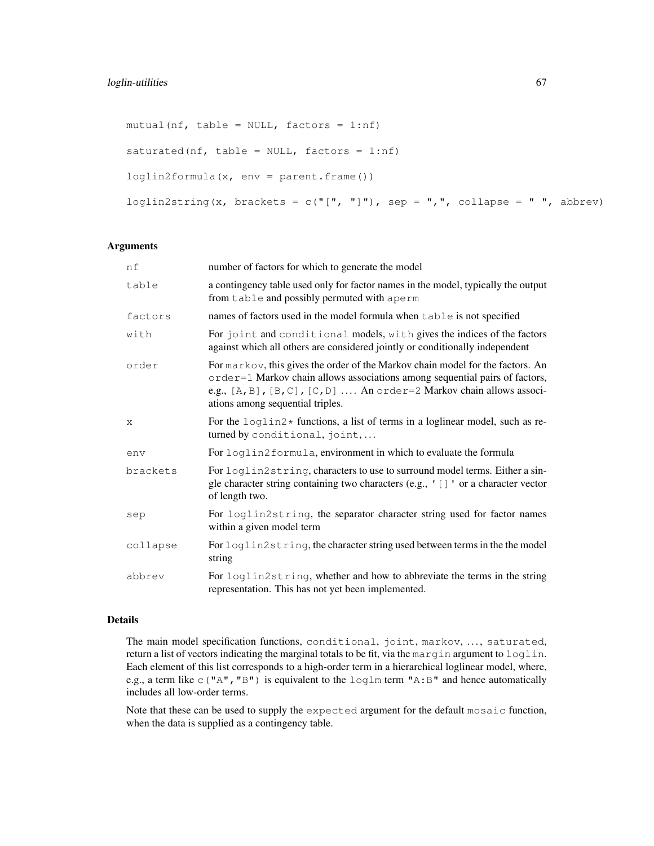```
mutual(nf, table = NULL, factors = 1:nf)
saturated(nf, table = NULL, factors = 1:nf)
loglin2formula(x, env = parent.frame())
loglin2string(x, brackets = c("[", "]"), sep = ",", collapse = " ", abbrev)
```
## Arguments

| nf       | number of factors for which to generate the model                                                                                                                                                                                                                         |
|----------|---------------------------------------------------------------------------------------------------------------------------------------------------------------------------------------------------------------------------------------------------------------------------|
| table    | a contingency table used only for factor names in the model, typically the output<br>from table and possibly permuted with aperm                                                                                                                                          |
| factors  | names of factors used in the model formula when table is not specified                                                                                                                                                                                                    |
| with     | For joint and conditional models, with gives the indices of the factors<br>against which all others are considered jointly or conditionally independent                                                                                                                   |
| order    | For markov, this gives the order of the Markov chain model for the factors. An<br>order=1 Markov chain allows associations among sequential pairs of factors,<br>e.g., [A, B], [B, C], [C, D]  An order=2 Markov chain allows associ-<br>ations among sequential triples. |
| X        | For the $\log \frac{1}{n^2}$ functions, a list of terms in a loglinear model, such as re-<br>turned by conditional, joint,                                                                                                                                                |
| env      | For loglin2formula, environment in which to evaluate the formula                                                                                                                                                                                                          |
| brackets | For loglin2string, characters to use to surround model terms. Either a sin-<br>gle character string containing two characters (e.g., '[]' or a character vector<br>of length two.                                                                                         |
| sep      | For loglin2string, the separator character string used for factor names<br>within a given model term                                                                                                                                                                      |
| collapse | For loglin2string, the character string used between terms in the the model<br>string                                                                                                                                                                                     |
| abbrev   | For loglin2string, whether and how to abbreviate the terms in the string<br>representation. This has not yet been implemented.                                                                                                                                            |

#### Details

The main model specification functions, conditional, joint, markov, ..., saturated, return a list of vectors indicating the marginal totals to be fit, via the margin argument to loglin. Each element of this list corresponds to a high-order term in a hierarchical loglinear model, where, e.g., a term like c("A", "B") is equivalent to the  $\log \text{Im}$  term "A:B" and hence automatically includes all low-order terms.

Note that these can be used to supply the expected argument for the default mosaic function, when the data is supplied as a contingency table.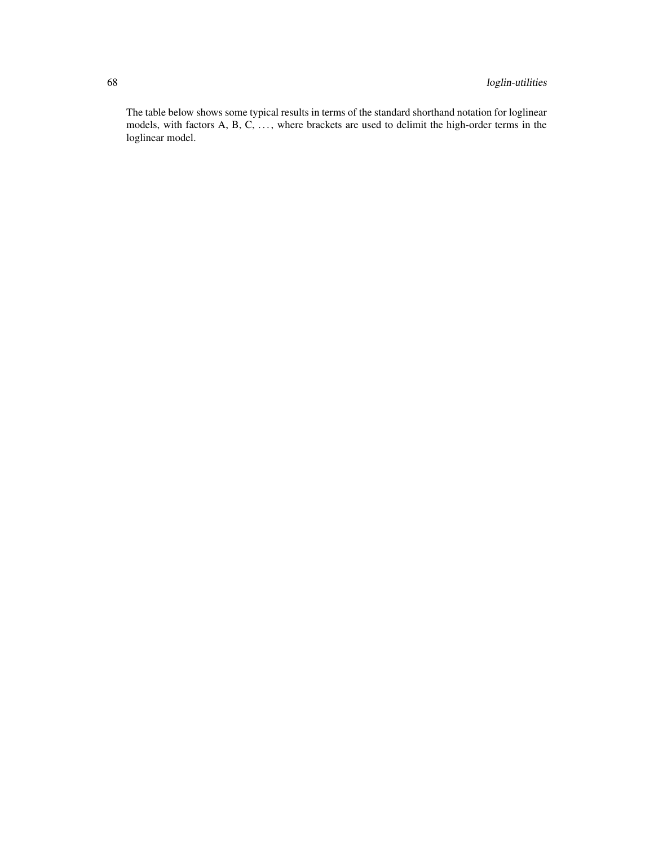The table below shows some typical results in terms of the standard shorthand notation for loglinear models, with factors A, B, C, ..., where brackets are used to delimit the high-order terms in the loglinear model.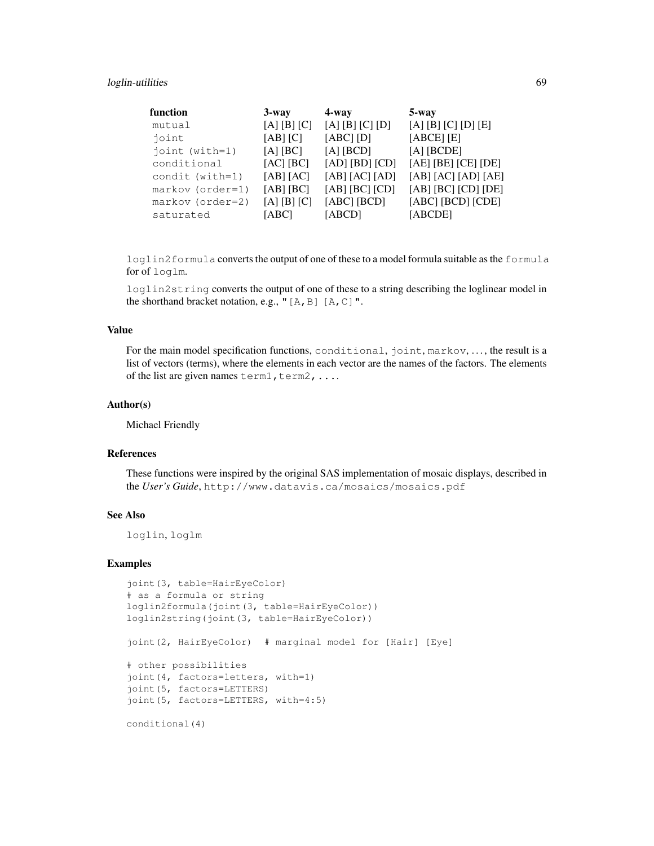# loglin-utilities 69

| function           | $3$ -way     | $4 - way$         | 5-way               |
|--------------------|--------------|-------------------|---------------------|
| mutual             | [A] [B] [C]  | $[A]$ [B] [C] [D] | [A] [B] [C] [D] [E] |
| joint              | $[AB]$ $[C]$ | $[ABC]$ $[D]$     | $[ABCE]$ $[E]$      |
| joint (with=1)     | $[A]$ [BC]   | $[A]$ [BCD]       | $[A]$ [BCDE]        |
| conditional        | [AC] [BC]    | [AD] [BD] [CD]    | [AE] [BE] [CE] [DE] |
| condit (with=1)    | [AB] [AC]    | [AB] [AC] [AD]    | [AB] [AC] [AD] [AE] |
| $markov (order=1)$ | [AB] [BC]    | [AB] [BC] [CD]    | [AB] [BC] [CD] [DE] |
| $markov (order=2)$ | [A][B][C]    | $[ABC]$ $[BCD]$   | [ABC] [BCD] [CDE]   |
| saturated          | [ABC]        | [ABCD]            | [ABCDE]             |

loglin2formula converts the output of one of these to a model formula suitable as the formula for of loglm.

loglin2string converts the output of one of these to a string describing the loglinear model in the shorthand bracket notation, e.g., " $[A, B]$   $[A, C]$ ".

# Value

For the main model specification functions, conditional, joint, markov, . . . , the result is a list of vectors (terms), where the elements in each vector are the names of the factors. The elements of the list are given names term1, term2, ....

# Author(s)

Michael Friendly

## References

These functions were inspired by the original SAS implementation of mosaic displays, described in the *User's Guide*, http://www.datavis.ca/mosaics/mosaics.pdf

## See Also

loglin, loglm

```
joint(3, table=HairEyeColor)
# as a formula or string
loglin2formula(joint(3, table=HairEyeColor))
loglin2string(joint(3, table=HairEyeColor))
joint(2, HairEyeColor) # marginal model for [Hair] [Eye]
# other possibilities
joint(4, factors=letters, with=1)
joint(5, factors=LETTERS)
joint(5, factors=LETTERS, with=4:5)
conditional(4)
```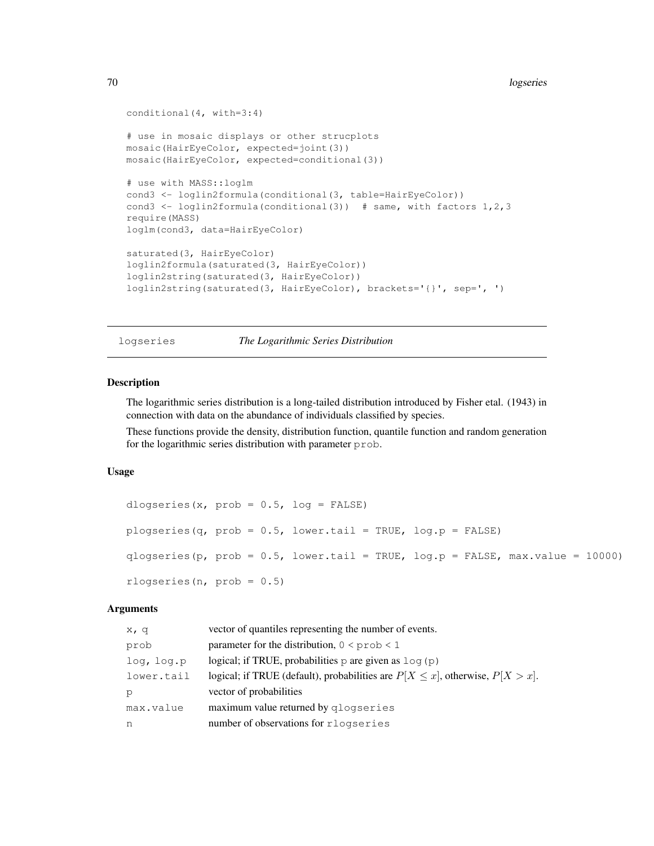```
conditional(4, with=3:4)
# use in mosaic displays or other strucplots
mosaic(HairEyeColor, expected=joint(3))
mosaic(HairEyeColor, expected=conditional(3))
# use with MASS::loglm
cond3 <- loglin2formula(conditional(3, table=HairEyeColor))
cond3 <- loglin2formula(conditional(3)) # same, with factors 1, 2, 3
require(MASS)
loglm(cond3, data=HairEyeColor)
saturated(3, HairEyeColor)
loglin2formula(saturated(3, HairEyeColor))
loglin2string(saturated(3, HairEyeColor))
loglin2string(saturated(3, HairEyeColor), brackets='{}', sep=', ')
```
logseries *The Logarithmic Series Distribution*

#### Description

The logarithmic series distribution is a long-tailed distribution introduced by Fisher etal. (1943) in connection with data on the abundance of individuals classified by species.

These functions provide the density, distribution function, quantile function and random generation for the logarithmic series distribution with parameter prob.

## Usage

```
dlogseries(x, prob = 0.5, log = FALSE)
plogseries(q, prob = 0.5, lower.tail = TRUE, log.p = FALSE)
qlogseries(p, prob = 0.5, lower.tail = TRUE, log.p = FALSE, max.value = 10000)
rlogseries(n, prob = 0.5)
```
## Arguments

| x, q       | vector of quantiles representing the number of events.                               |
|------------|--------------------------------------------------------------------------------------|
| prob       | parameter for the distribution, $0 \leq p \cdot p \cdot 1$                           |
| log, log.p | logical; if TRUE, probabilities $p$ are given as $log(p)$                            |
| lower.tail | logical; if TRUE (default), probabilities are $P[X \le x]$ , otherwise, $P[X > x]$ . |
| p          | vector of probabilities                                                              |
| max.value  | maximum value returned by qlogseries                                                 |
| n          | number of observations for rlogseries                                                |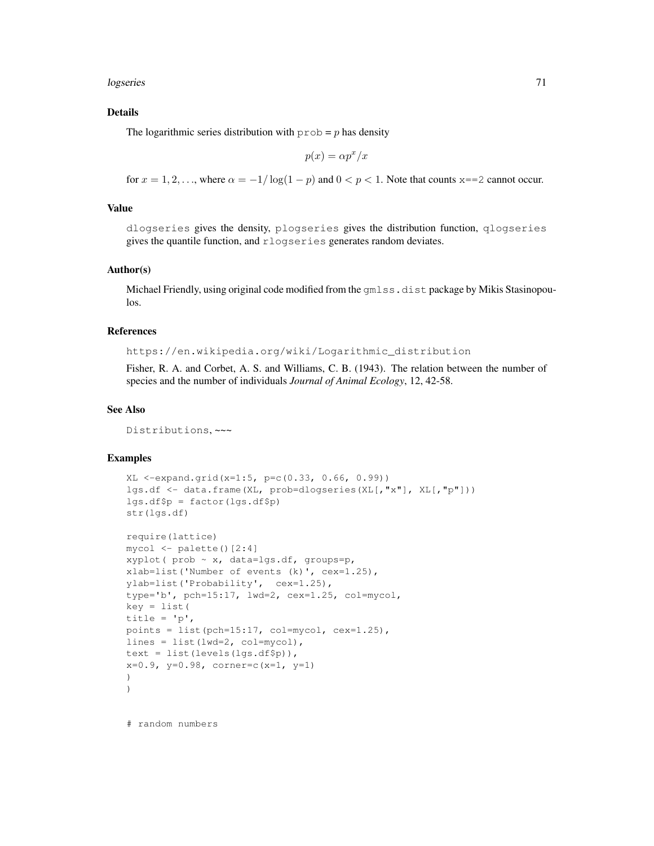logseries 71

## Details

The logarithmic series distribution with  $p_{\text{rob}} = p$  has density

$$
p(x) = \alpha p^x / x
$$

for  $x = 1, 2, \ldots$ , where  $\alpha = -1/\log(1 - p)$  and  $0 < p < 1$ . Note that counts x==2 cannot occur.

#### Value

dlogseries gives the density, plogseries gives the distribution function, qlogseries gives the quantile function, and rlogseries generates random deviates.

## Author(s)

Michael Friendly, using original code modified from the  $cmlss$ . dist package by Mikis Stasinopoulos.

#### References

https://en.wikipedia.org/wiki/Logarithmic\_distribution

Fisher, R. A. and Corbet, A. S. and Williams, C. B. (1943). The relation between the number of species and the number of individuals *Journal of Animal Ecology*, 12, 42-58.

# See Also

Distributions, ~~~

#### Examples

```
XL <-expand.grid(x=1:5, p=c(0.33, 0.66, 0.99))
lgs.df <- data.frame(XL, prob=dlogseries(XL[,"x"], XL[,"p"]))
lgs.df$p = factor(lgs.df$p)
str(lgs.df)
require(lattice)
```

```
mycol <- palette()[2:4]
xyplot( prob ~ x, data=lgs.df, groups=p,
xlab=list('Number of events (k)', cex=1.25),
ylab=list('Probability', cex=1.25),
type='b', pch=15:17, lwd=2, cex=1.25, col=mycol,
key = list(title = 'p',
points = list(pch=15:17, col=mycol, cex=1.25),
lines = list(lwd=2, col=mycol),
text = list(levels(lgs.df$p)),
x=0.9, y=0.98, corner=c(x=1, y=1)
)
)
```
# random numbers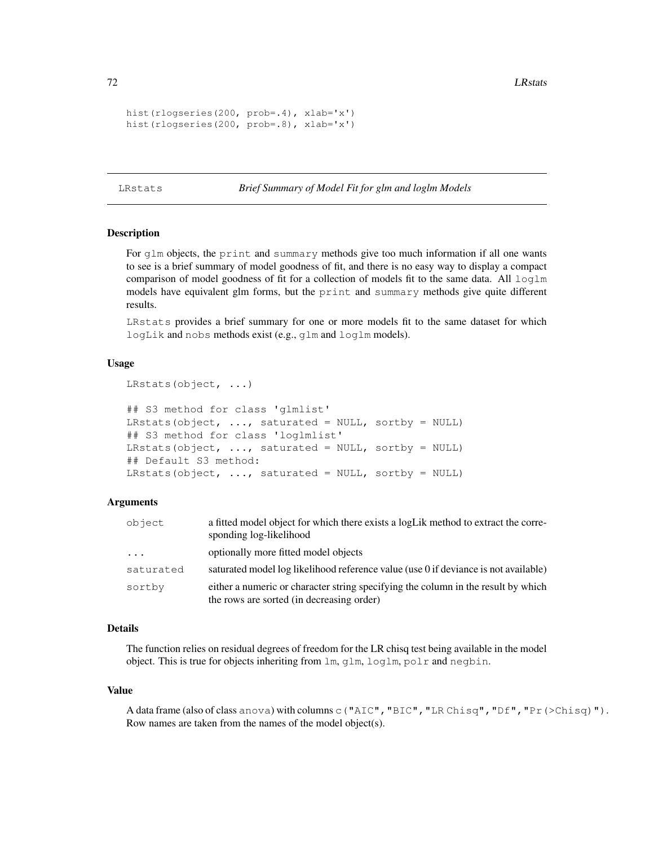```
hist(rlogseries(200, prob=.4), xlab='x')
hist(rlogseries(200, prob=.8), xlab='x')
```
LRstats *Brief Summary of Model Fit for glm and loglm Models*

## Description

For glm objects, the print and summary methods give too much information if all one wants to see is a brief summary of model goodness of fit, and there is no easy way to display a compact comparison of model goodness of fit for a collection of models fit to the same data. All loglm models have equivalent glm forms, but the print and summary methods give quite different results.

LRstats provides a brief summary for one or more models fit to the same dataset for which logLik and nobs methods exist (e.g., glm and loglm models).

#### Usage

```
LRstats(object, ...)
```

```
## S3 method for class 'glmlist'
LRstats(object, ..., saturated = NULL, sortby = NULL)
## S3 method for class 'loglmlist'
LRstats(object, \ldots, saturated = NULL, sortby = NULL)
## Default S3 method:
LRstats(object, \ldots, saturated = NULL, sortby = NULL)
```
## Arguments

| object    | a fitted model object for which there exists a logLik method to extract the corre-<br>sponding log-likelihood                  |
|-----------|--------------------------------------------------------------------------------------------------------------------------------|
| $\cdot$   | optionally more fitted model objects                                                                                           |
| saturated | saturated model log likelihood reference value (use 0 if deviance is not available)                                            |
| sortby    | either a numeric or character string specifying the column in the result by which<br>the rows are sorted (in decreasing order) |

#### Details

The function relies on residual degrees of freedom for the LR chisq test being available in the model object. This is true for objects inheriting from lm, glm, loglm, polr and negbin.

#### Value

A data frame (also of class anova) with columns c("AIC","BIC","LR Chisq","Df","Pr(>Chisq)"). Row names are taken from the names of the model object(s).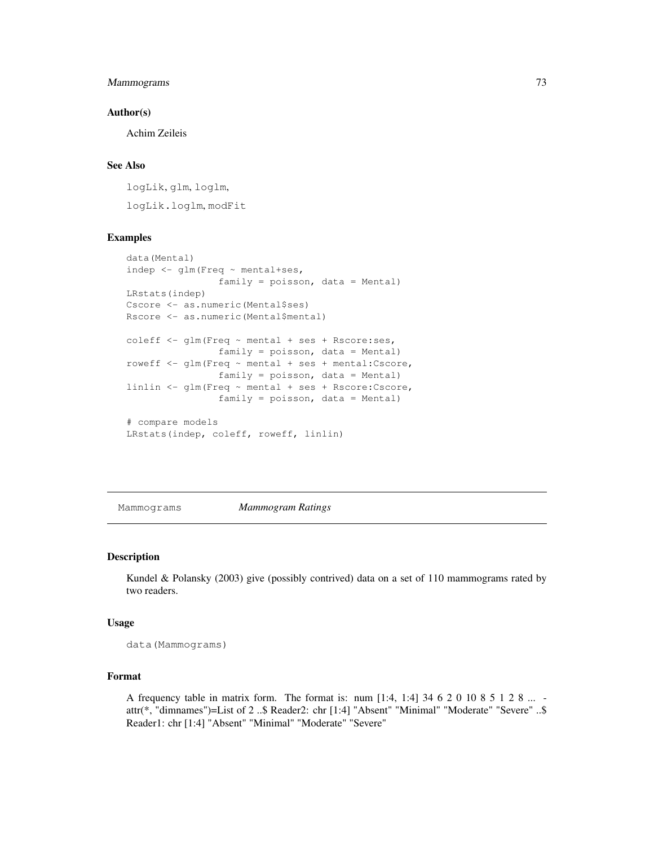# Mammograms 73

### Author(s)

Achim Zeileis

# See Also

logLik, glm, loglm, logLik.loglm, modFit

## Examples

```
data(Mental)
indep <- glm(Freq ~ mental+ses,
               family = poisson, data = Mental)
LRstats(indep)
Cscore <- as.numeric(Mental$ses)
Rscore <- as.numeric(Mental$mental)
coleff <- glm(Freq ~ mental + ses + Rscore:ses,
                family = poisson, data = Mental)roweff <- glm(Freq ~ mental + ses + mental:Cscore,
                family = poisson, data = Mental)
linlin <- glm(Freq ~ mental + ses + Rscore:Cscore,
                family = poisson, data = Mental)
# compare models
LRstats(indep, coleff, roweff, linlin)
```
Mammograms *Mammogram Ratings*

#### Description

Kundel & Polansky (2003) give (possibly contrived) data on a set of 110 mammograms rated by two readers.

#### Usage

data(Mammograms)

## Format

A frequency table in matrix form. The format is: num [1:4, 1:4] 34 6 2 0 10 8 5 1 2 8 ... attr(\*, "dimnames")=List of 2 ..\$ Reader2: chr [1:4] "Absent" "Minimal" "Moderate" "Severe" ..\$ Reader1: chr [1:4] "Absent" "Minimal" "Moderate" "Severe"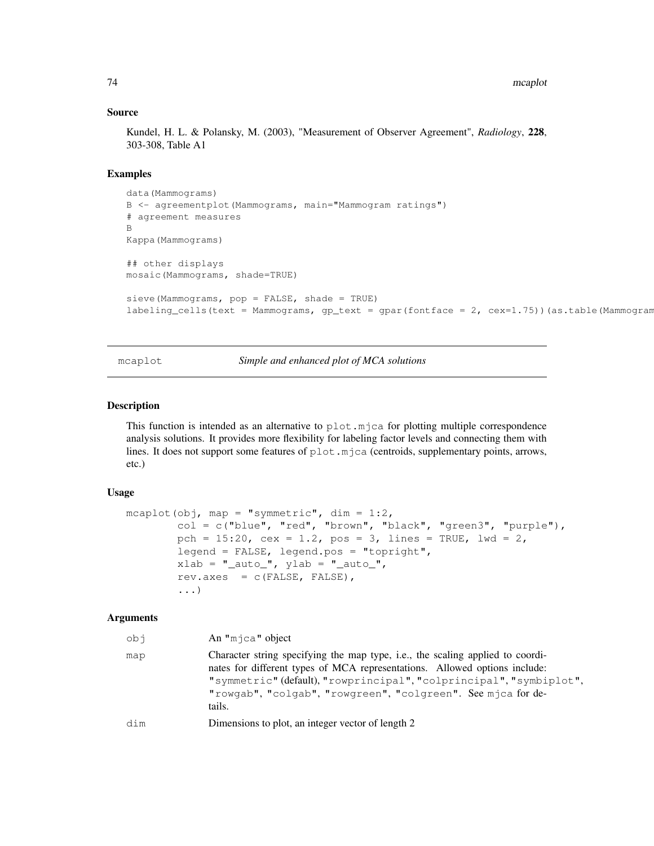#### Source

Kundel, H. L. & Polansky, M. (2003), "Measurement of Observer Agreement", *Radiology*, 228, 303-308, Table A1

### Examples

```
data(Mammograms)
B <- agreementplot(Mammograms, main="Mammogram ratings")
# agreement measures
B
Kappa(Mammograms)
## other displays
mosaic(Mammograms, shade=TRUE)
sieve(Mammograms, pop = FALSE, shade = TRUE)
labeling_cells(text = Mammograms, gp_text = gpar(fontface = 2, cex=1.75))(as.table(Mammogram
```
mcaplot *Simple and enhanced plot of MCA solutions*

### Description

This function is intended as an alternative to  $p$ lot.mjca for plotting multiple correspondence analysis solutions. It provides more flexibility for labeling factor levels and connecting them with lines. It does not support some features of plot.mjca (centroids, supplementary points, arrows, etc.)

### Usage

```
mcaplot(obj, map = "symmetric", \dim = 1:2,
        col = c("blue", "red", "brown", "black", "green3", "purple"),
        pch = 15:20, cex = 1.2, pos = 3, lines = TRUE, lwd = 2,
        legend = FALSE, legend.pos = "topright",
        xlab = "_auto", ylab = "_auto",
        rev.axes = c(FALSE, FALSE),
        ...)
```
## Arguments

| ido | An " $m$ $\uparrow$ ca" object                                                                                                                                                                                                                                                                                |
|-----|---------------------------------------------------------------------------------------------------------------------------------------------------------------------------------------------------------------------------------------------------------------------------------------------------------------|
| map | Character string specifying the map type, i.e., the scaling applied to coordi-<br>nates for different types of MCA representations. Allowed options include:<br>"symmetric" (default), "rowprincipal", "colprincipal", "symbiplot",<br>"rowgab", "colgab", "rowgreen", "colgreen". See mjca for de-<br>tails. |
| dim | Dimensions to plot, an integer vector of length 2                                                                                                                                                                                                                                                             |
|     |                                                                                                                                                                                                                                                                                                               |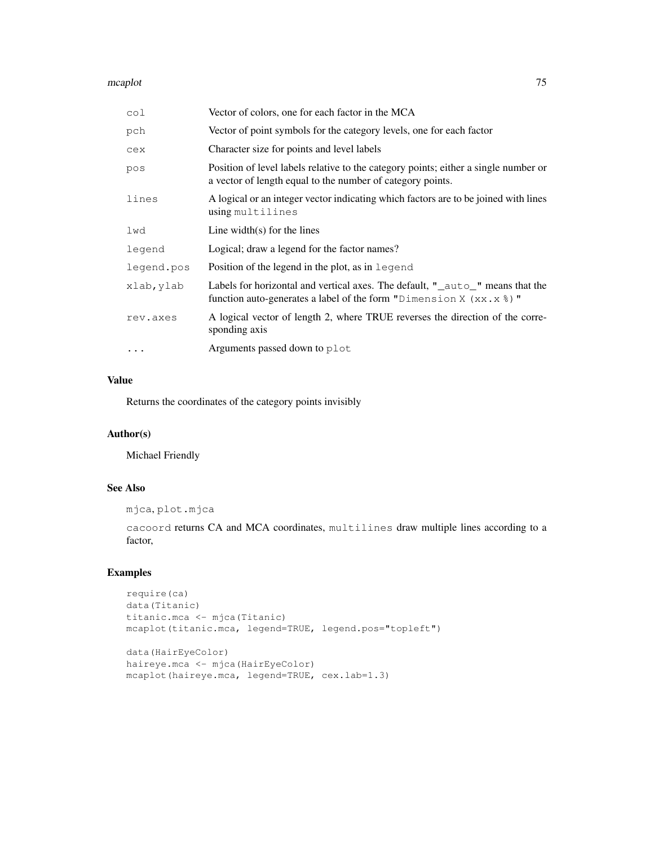#### mcaplot 75

| col        | Vector of colors, one for each factor in the MCA                                                                                                        |
|------------|---------------------------------------------------------------------------------------------------------------------------------------------------------|
| pch        | Vector of point symbols for the category levels, one for each factor                                                                                    |
| cex        | Character size for points and level labels                                                                                                              |
| pos        | Position of level labels relative to the category points; either a single number or<br>a vector of length equal to the number of category points.       |
| lines      | A logical or an integer vector indicating which factors are to be joined with lines<br>using multilines                                                 |
| lwd        | Line width(s) for the lines                                                                                                                             |
| legend     | Logical; draw a legend for the factor names?                                                                                                            |
| legend.pos | Position of the legend in the plot, as in legend                                                                                                        |
| xlab, ylab | Labels for horizontal and vertical axes. The default, "_auto_" means that the<br>function auto-generates a label of the form "Dimension X $(xx.x$ $)$ " |
| rev.axes   | A logical vector of length 2, where TRUE reverses the direction of the corre-<br>sponding axis                                                          |
| $\cdots$   | Arguments passed down to plot                                                                                                                           |

## Value

Returns the coordinates of the category points invisibly

# Author(s)

Michael Friendly

# See Also

```
mjca, plot.mjca
```
cacoord returns CA and MCA coordinates, multilines draw multiple lines according to a factor,

```
require(ca)
data(Titanic)
titanic.mca <- mjca(Titanic)
mcaplot(titanic.mca, legend=TRUE, legend.pos="topleft")
data(HairEyeColor)
haireye.mca <- mjca(HairEyeColor)
mcaplot(haireye.mca, legend=TRUE, cex.lab=1.3)
```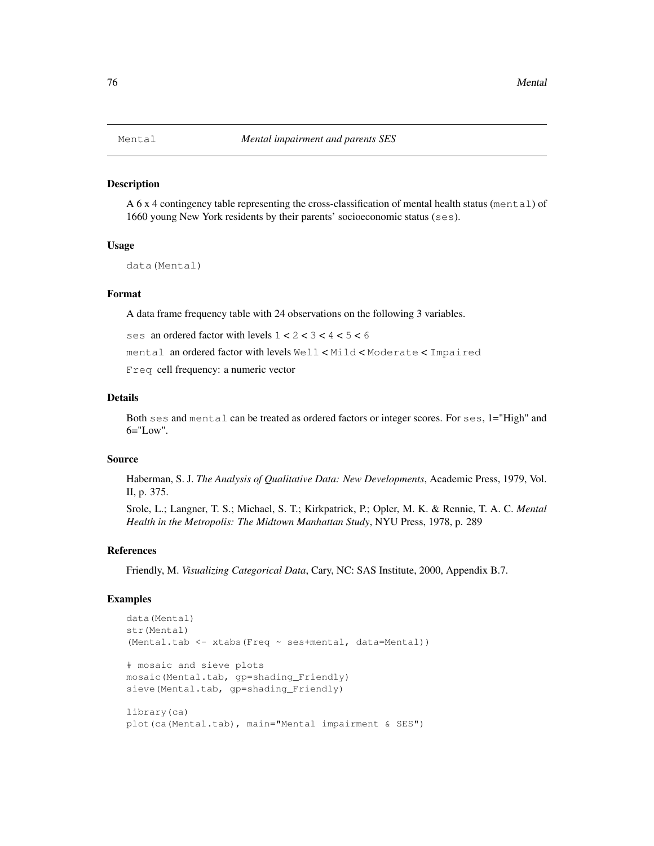#### Description

A 6 x 4 contingency table representing the cross-classification of mental health status (mental) of 1660 young New York residents by their parents' socioeconomic status (ses).

### Usage

```
data(Mental)
```
# Format

A data frame frequency table with 24 observations on the following 3 variables.

ses an ordered factor with levels  $1 < 2 < 3 < 4 < 5 < 6$ 

mental an ordered factor with levels Well < Mild < Moderate < Impaired

Freq cell frequency: a numeric vector

#### Details

Both ses and mental can be treated as ordered factors or integer scores. For ses, 1="High" and  $6=""Low"$ .

#### Source

Haberman, S. J. *The Analysis of Qualitative Data: New Developments*, Academic Press, 1979, Vol. II, p. 375.

Srole, L.; Langner, T. S.; Michael, S. T.; Kirkpatrick, P.; Opler, M. K. & Rennie, T. A. C. *Mental Health in the Metropolis: The Midtown Manhattan Study*, NYU Press, 1978, p. 289

#### References

Friendly, M. *Visualizing Categorical Data*, Cary, NC: SAS Institute, 2000, Appendix B.7.

```
data(Mental)
str(Mental)
(Mental.tab <- xtabs(Freq ~ ses+mental, data=Mental))
# mosaic and sieve plots
mosaic(Mental.tab, gp=shading_Friendly)
sieve(Mental.tab, qp=shading_Friendly)
library(ca)
plot(ca(Mental.tab), main="Mental impairment & SES")
```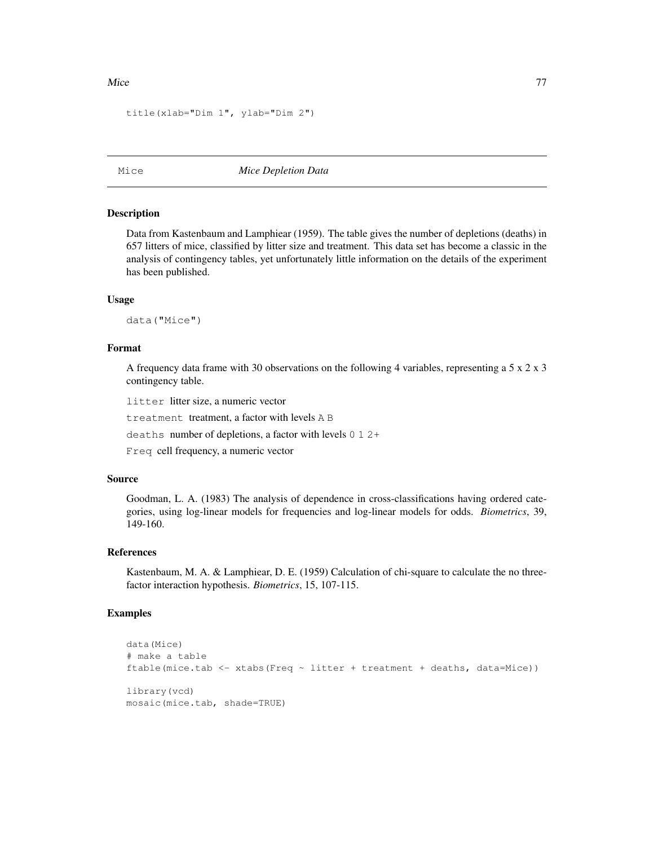```
title(xlab="Dim 1", ylab="Dim 2")
```
Mice *Mice Depletion Data*

#### Description

Data from Kastenbaum and Lamphiear (1959). The table gives the number of depletions (deaths) in 657 litters of mice, classified by litter size and treatment. This data set has become a classic in the analysis of contingency tables, yet unfortunately little information on the details of the experiment has been published.

#### Usage

data("Mice")

## Format

A frequency data frame with 30 observations on the following 4 variables, representing a  $5 \times 2 \times 3$ contingency table.

litter litter size, a numeric vector

treatment treatment, a factor with levels A B

deaths number of depletions, a factor with levels 0 1 2+

Freq cell frequency, a numeric vector

### Source

Goodman, L. A. (1983) The analysis of dependence in cross-classifications having ordered categories, using log-linear models for frequencies and log-linear models for odds. *Biometrics*, 39, 149-160.

#### References

Kastenbaum, M. A. & Lamphiear, D. E. (1959) Calculation of chi-square to calculate the no threefactor interaction hypothesis. *Biometrics*, 15, 107-115.

```
data(Mice)
# make a table
ftable(mice.tab \le xtabs(Freq \sim litter + treatment + deaths, data=Mice))
library(vcd)
mosaic(mice.tab, shade=TRUE)
```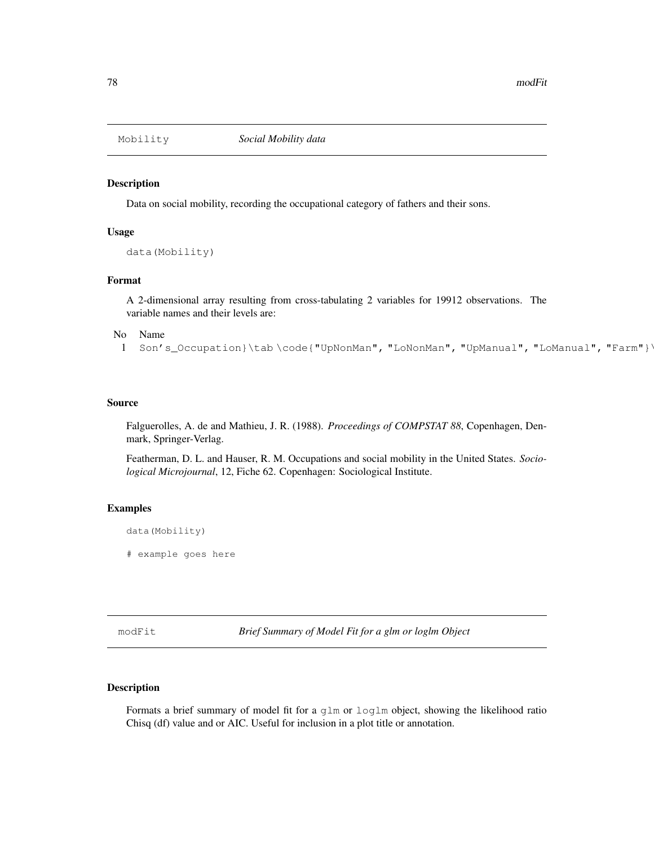#### Description

Data on social mobility, recording the occupational category of fathers and their sons.

### Usage

```
data(Mobility)
```
# Format

A 2-dimensional array resulting from cross-tabulating 2 variables for 19912 observations. The variable names and their levels are:

No Name  $\blacksquare$ 

```
1 Son's_Occupation}\tab \code{"UpNonMan", "LoNonMan", "UpManual", "LoManual", "Farm"}`
```
## Source

Falguerolles, A. de and Mathieu, J. R. (1988). *Proceedings of COMPSTAT 88*, Copenhagen, Denmark, Springer-Verlag.

Featherman, D. L. and Hauser, R. M. Occupations and social mobility in the United States. *Sociological Microjournal*, 12, Fiche 62. Copenhagen: Sociological Institute.

### Examples

```
data(Mobility)
```
# example goes here

modFit *Brief Summary of Model Fit for a glm or loglm Object*

# Description

Formats a brief summary of model fit for a glm or loglm object, showing the likelihood ratio Chisq (df) value and or AIC. Useful for inclusion in a plot title or annotation.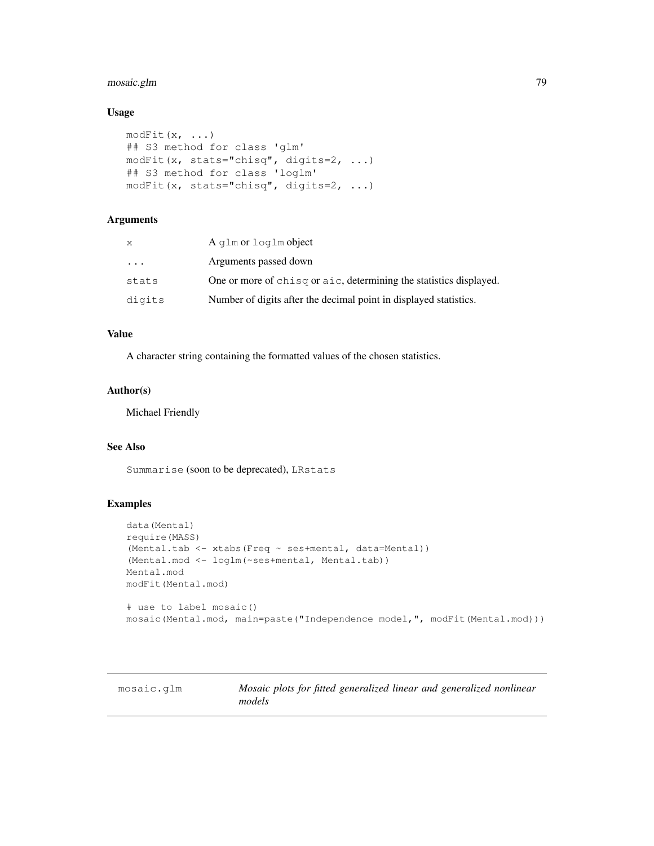# mosaic.glm 79

# Usage

```
modFit(x, \ldots)## S3 method for class 'glm'
modFit(x, stats="chisq", digits=2, ...)
## S3 method for class 'loglm'
modFit(x, stats="chisq", digits=2, ...)
```
## Arguments

| X        | A glm or loglm object                                              |
|----------|--------------------------------------------------------------------|
| $\cdots$ | Arguments passed down                                              |
| stats    | One or more of chisq or aic, determining the statistics displayed. |
| digits   | Number of digits after the decimal point in displayed statistics.  |

# Value

A character string containing the formatted values of the chosen statistics.

# Author(s)

Michael Friendly

# See Also

Summarise (soon to be deprecated), LRstats

# Examples

```
data(Mental)
require(MASS)
(Mental.tab <- xtabs(Freq ~ ses+mental, data=Mental))
(Mental.mod <- loglm(~ses+mental, Mental.tab))
Mental.mod
modFit(Mental.mod)
# use to label mosaic()
mosaic(Mental.mod, main=paste("Independence model,", modFit(Mental.mod)))
```
mosaic.glm *Mosaic plots for fitted generalized linear and generalized nonlinear models*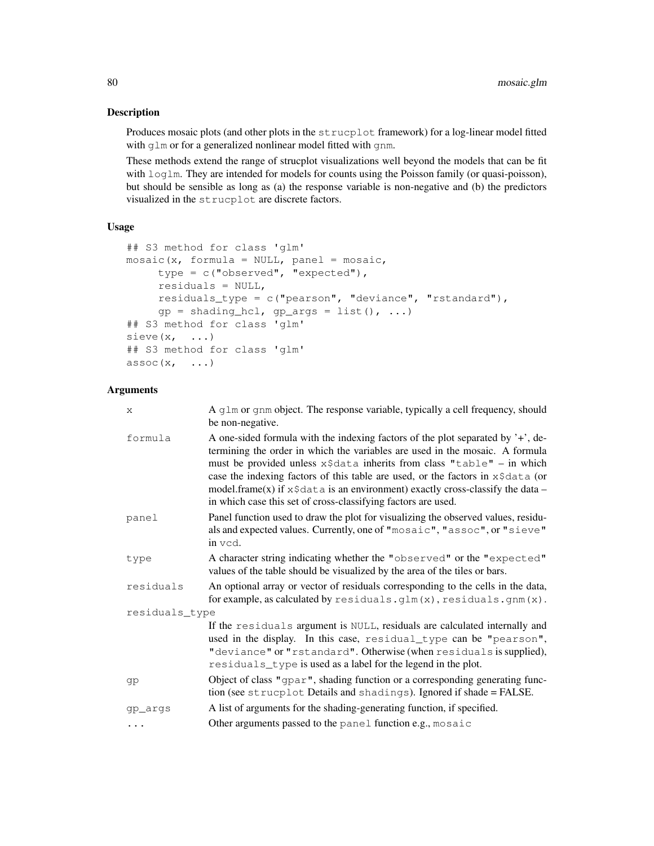# Description

Produces mosaic plots (and other plots in the strucplot framework) for a log-linear model fitted with qlm or for a generalized nonlinear model fitted with qnm.

These methods extend the range of strucplot visualizations well beyond the models that can be fit with  $log\ln$ . They are intended for models for counts using the Poisson family (or quasi-poisson), but should be sensible as long as (a) the response variable is non-negative and (b) the predictors visualized in the strucplot are discrete factors.

## Usage

```
## S3 method for class 'glm'
mosaic(x, formula = NULL, panel = mosaic,
     type = c("observed", "expected"),
     residuals = NULL,
     residuals_type = c("pearson", "deviance", "rstandard"),
     gp = shading_hcl, gp_{args} = list(), ...## S3 method for class 'glm'
sieve(x, \ldots)## S3 method for class 'glm'
assoc(x, \ldots)
```
# Arguments

| X              | A glm or gnm object. The response variable, typically a cell frequency, should<br>be non-negative.                                                                                                                                                                                                                                                                                                                                                                                               |
|----------------|--------------------------------------------------------------------------------------------------------------------------------------------------------------------------------------------------------------------------------------------------------------------------------------------------------------------------------------------------------------------------------------------------------------------------------------------------------------------------------------------------|
| formula        | A one-sided formula with the indexing factors of the plot separated by $\dot{\gamma}$ , de-<br>termining the order in which the variables are used in the mosaic. A formula<br>must be provided unless x\$data inherits from class "table" - in which<br>case the indexing factors of this table are used, or the factors in x\$data (or<br>model.frame(x) if $x \xi$ data is an environment) exactly cross-classify the data –<br>in which case this set of cross-classifying factors are used. |
| panel          | Panel function used to draw the plot for visualizing the observed values, residu-<br>als and expected values. Currently, one of "mosaic", "assoc", or "sieve"<br>in vcd.                                                                                                                                                                                                                                                                                                                         |
| type           | A character string indicating whether the "observed" or the "expected"<br>values of the table should be visualized by the area of the tiles or bars.                                                                                                                                                                                                                                                                                                                                             |
| residuals      | An optional array or vector of residuals corresponding to the cells in the data,<br>for example, as calculated by $residuals.glm(x)$ , $residuals.gnm(x)$ .                                                                                                                                                                                                                                                                                                                                      |
| residuals_type |                                                                                                                                                                                                                                                                                                                                                                                                                                                                                                  |
|                | If the residuals argument is NULL, residuals are calculated internally and<br>used in the display. In this case, residual_type can be "pearson",<br>"deviance" or "rstandard". Otherwise (when residuals is supplied),<br>residuals_type is used as a label for the legend in the plot.                                                                                                                                                                                                          |
| gp             | Object of class "gpar", shading function or a corresponding generating func-<br>tion (see strucplot Details and shadings). Ignored if shade = FALSE.                                                                                                                                                                                                                                                                                                                                             |
| gp_args        | A list of arguments for the shading-generating function, if specified.                                                                                                                                                                                                                                                                                                                                                                                                                           |
| $\cdots$       | Other arguments passed to the panel function e.g., mosaic                                                                                                                                                                                                                                                                                                                                                                                                                                        |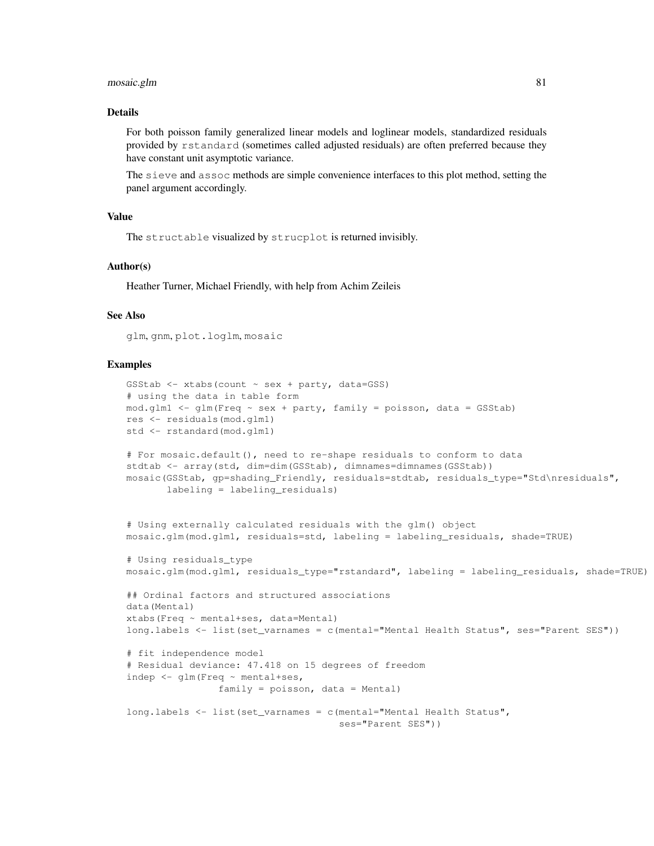#### mosaic.glm 81

## Details

For both poisson family generalized linear models and loglinear models, standardized residuals provided by rstandard (sometimes called adjusted residuals) are often preferred because they have constant unit asymptotic variance.

The sieve and assoc methods are simple convenience interfaces to this plot method, setting the panel argument accordingly.

#### Value

The structable visualized by strucplot is returned invisibly.

#### Author(s)

Heather Turner, Michael Friendly, with help from Achim Zeileis

## See Also

glm, gnm, plot.loglm, mosaic

```
GSStab \le xtabs(count \sim sex + party, data=GSS)
# using the data in table form
mod.g1m1 \leq-g1m(Freq \sim sex + party, family = poisson, data = GSStab)res <- residuals(mod.glm1)
std <- rstandard(mod.glm1)
# For mosaic.default(), need to re-shape residuals to conform to data
stdtab <- array(std, dim=dim(GSStab), dimnames=dimnames(GSStab))
mosaic(GSStab, gp=shading_Friendly, residuals=stdtab, residuals_type="Std\nresiduals",
       labeling = labeling_residuals)
# Using externally calculated residuals with the glm() object
mosaic.glm(mod.glm1, residuals=std, labeling = labeling_residuals, shade=TRUE)
# Using residuals_type
mosaic.glm(mod.glm1, residuals_type="rstandard", labeling = labeling_residuals, shade=TRUE)
## Ordinal factors and structured associations
data(Mental)
xtabs(Freq ~ mental+ses, data=Mental)
long.labels <- list(set_varnames = c(mental="Mental Health Status", ses="Parent SES"))
# fit independence model
# Residual deviance: 47.418 on 15 degrees of freedom
indep <- glm(Freq ~ mental+ses,
                family = poisson, data = Mental)
long.labels <- list(set_varnames = c(mental="Mental Health Status",
                                     ses="Parent SES"))
```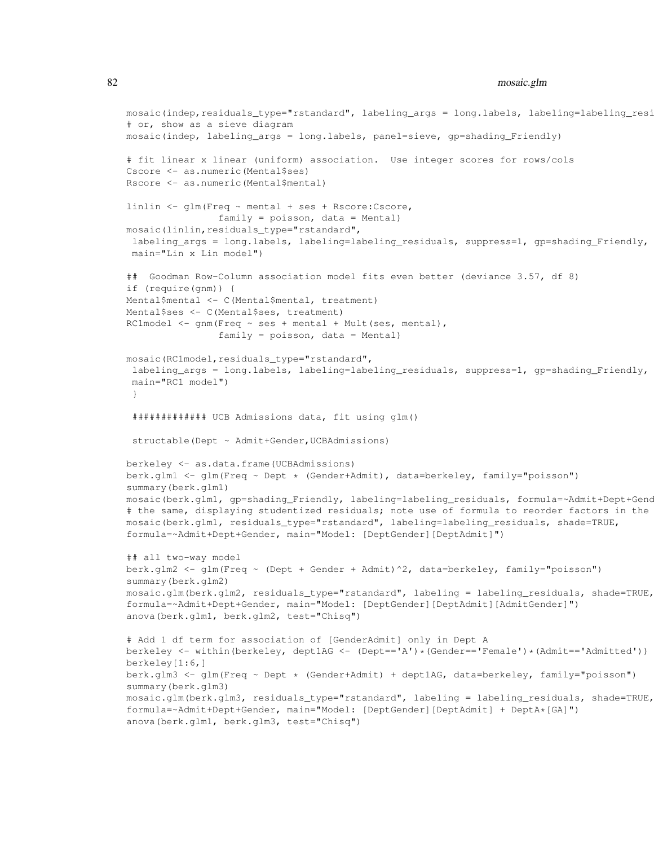## 82 mosaic.glm

```
mosaic(indep,residuals_type="rstandard", labeling_args = long.labels, labeling=labeling_resi
# or, show as a sieve diagram
mosaic(indep, labeling_args = long.labels, panel=sieve, gp=shading_Friendly)
# fit linear x linear (uniform) association. Use integer scores for rows/cols
Cscore <- as.numeric(Mental$ses)
Rscore <- as.numeric(Mental$mental)
linlin <- glm(Freq ~ mental + ses + Rscore:Cscore,
                family = poisson, data = Mental)mosaic(linlin,residuals_type="rstandard",
labeling_args = long.labels, labeling=labeling_residuals, suppress=1, gp=shading_Friendly,
main="Lin x Lin model")
## Goodman Row-Column association model fits even better (deviance 3.57, df 8)
if (require(gnm)) {
Mental$mental <- C(Mental$mental, treatment)
Mental$ses <- C(Mental$ses, treatment)
RC1model <- gnm(Freq ~ ses + mental + Mult(ses, mental),
                family = poisson, data = Mental)mosaic(RC1model,residuals_type="rstandard",
labeling_args = long.labels, labeling=labeling_residuals, suppress=1, gp=shading_Friendly,
 main="RC1 model")
 }
 ############# UCB Admissions data, fit using glm()
structable(Dept ~ Admit+Gender, UCBAdmissions)
berkeley <- as.data.frame(UCBAdmissions)
berk.glm1 <- glm(Freq ~ Dept * (Gender+Admit), data=berkeley, family="poisson")
summary(berk.glm1)
mosaic(berk.glm1, gp=shading_Friendly, labeling=labeling_residuals, formula=~Admit+Dept+Gend
# the same, displaying studentized residuals; note use of formula to reorder factors in the
mosaic(berk.glm1, residuals_type="rstandard", labeling=labeling_residuals, shade=TRUE,
formula=~Admit+Dept+Gender, main="Model: [DeptGender][DeptAdmit]")
## all two-way model
berk.glm2 <- glm(Freq ~ (Dept + Gender + Admit)^2, data=berkeley, family="poisson")
summary(berk.glm2)
mosaic.glm(berk.glm2, residuals_type="rstandard", labeling = labeling_residuals, shade=TRUE,
formula=~Admit+Dept+Gender, main="Model: [DeptGender][DeptAdmit][AdmitGender]")
anova(berk.glm1, berk.glm2, test="Chisq")
# Add 1 df term for association of [GenderAdmit] only in Dept A
berkeley <- within(berkeley, dept1AG <- (Dept=='A')*(Gender=='Female')*(Admit=='Admitted'))
berkeley[1:6,]
berk.glm3 <- glm(Freq ~ Dept * (Gender+Admit) + dept1AG, data=berkeley, family="poisson")
summary(berk.glm3)
mosaic.glm(berk.glm3, residuals_type="rstandard", labeling = labeling_residuals, shade=TRUE,
formula=~Admit+Dept+Gender, main="Model: [DeptGender][DeptAdmit] + DeptA*[GA]")
anova(berk.glm1, berk.glm3, test="Chisq")
```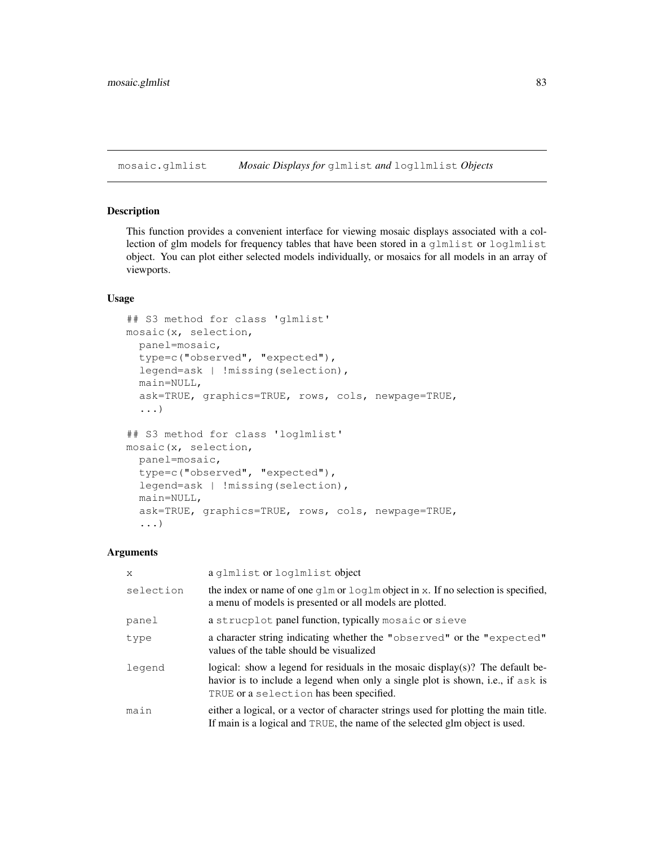mosaic.glmlist *Mosaic Displays for* glmlist *and* logllmlist *Objects*

# Description

This function provides a convenient interface for viewing mosaic displays associated with a collection of glm models for frequency tables that have been stored in a glmlist or loglmlist object. You can plot either selected models individually, or mosaics for all models in an array of viewports.

### Usage

```
## S3 method for class 'glmlist'
mosaic(x, selection,
 panel=mosaic,
 type=c("observed", "expected"),
  legend=ask | !missing(selection),
 main=NULL,
  ask=TRUE, graphics=TRUE, rows, cols, newpage=TRUE,
  ...)
## S3 method for class 'loglmlist'
mosaic(x, selection,
 panel=mosaic,
  type=c("observed", "expected"),
  legend=ask | !missing(selection),
 main=NULL,
  ask=TRUE, graphics=TRUE, rows, cols, newpage=TRUE,
  ...)
```
#### Arguments

| X         | a qlmlist or loglmlist object                                                                                                                                                                                |
|-----------|--------------------------------------------------------------------------------------------------------------------------------------------------------------------------------------------------------------|
| selection | the index or name of one $q \ln \text{or} \log \ln \text{object}$ in x. If no selection is specified,<br>a menu of models is presented or all models are plotted.                                            |
| panel     | a strucplot panel function, typically mosaic or sieve                                                                                                                                                        |
| type      | a character string indicating whether the "observed" or the "expected"<br>values of the table should be visualized                                                                                           |
| legend    | logical: show a legend for residuals in the mosaic display(s)? The default be-<br>havior is to include a legend when only a single plot is shown, i.e., if ask is<br>TRUE or a selection has been specified. |
| main      | either a logical, or a vector of character strings used for plotting the main title.<br>If main is a logical and TRUE, the name of the selected glm object is used.                                          |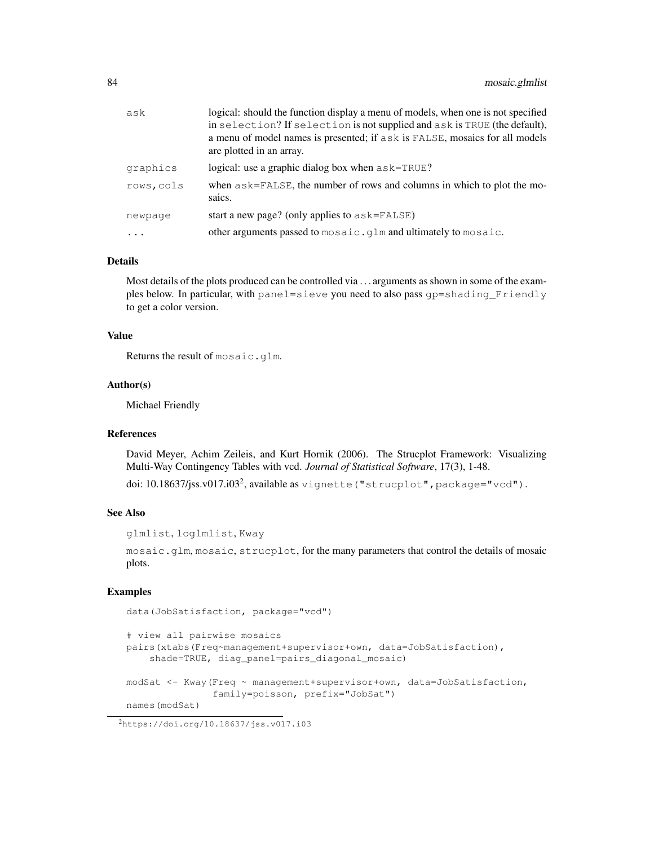| ask       | logical: should the function display a menu of models, when one is not specified<br>in selection? If selection is not supplied and ask is TRUE (the default),<br>a menu of model names is presented; if ask is FALSE, mosaics for all models<br>are plotted in an array. |
|-----------|--------------------------------------------------------------------------------------------------------------------------------------------------------------------------------------------------------------------------------------------------------------------------|
| graphics  | logical: use a graphic dialog box when $a$ sk=TRUE?                                                                                                                                                                                                                      |
| rows,cols | when $a$ sk=FALSE, the number of rows and columns in which to plot the mo-<br>saics.                                                                                                                                                                                     |
| newpaqe   | start a new page? (only applies to $a$ sk=FALSE)                                                                                                                                                                                                                         |
| $\cdots$  | other arguments passed to mosaic. glm and ultimately to mosaic.                                                                                                                                                                                                          |

## Details

Most details of the plots produced can be controlled via . . . arguments as shown in some of the examples below. In particular, with panel=sieve you need to also pass gp=shading\_Friendly to get a color version.

#### Value

Returns the result of mosaic.glm.

#### Author(s)

Michael Friendly

#### References

David Meyer, Achim Zeileis, and Kurt Hornik (2006). The Strucplot Framework: Visualizing Multi-Way Contingency Tables with vcd. *Journal of Statistical Software*, 17(3), 1-48.

doi: 10.18637/jss.v017.i03<sup>2</sup>, available as vignette ("strucplot", package="vcd").

#### See Also

```
glmlist, loglmlist, Kway
```
mosaic.glm, mosaic, strucplot, for the many parameters that control the details of mosaic plots.

## Examples

```
data(JobSatisfaction, package="vcd")
```

```
# view all pairwise mosaics
pairs(xtabs(Freq~management+supervisor+own, data=JobSatisfaction),
    shade=TRUE, diag_panel=pairs_diagonal_mosaic)
modSat <- Kway(Freq ~ management+supervisor+own, data=JobSatisfaction,
               family=poisson, prefix="JobSat")
names(modSat)
```
<sup>2</sup>https://doi.org/10.18637/jss.v017.i03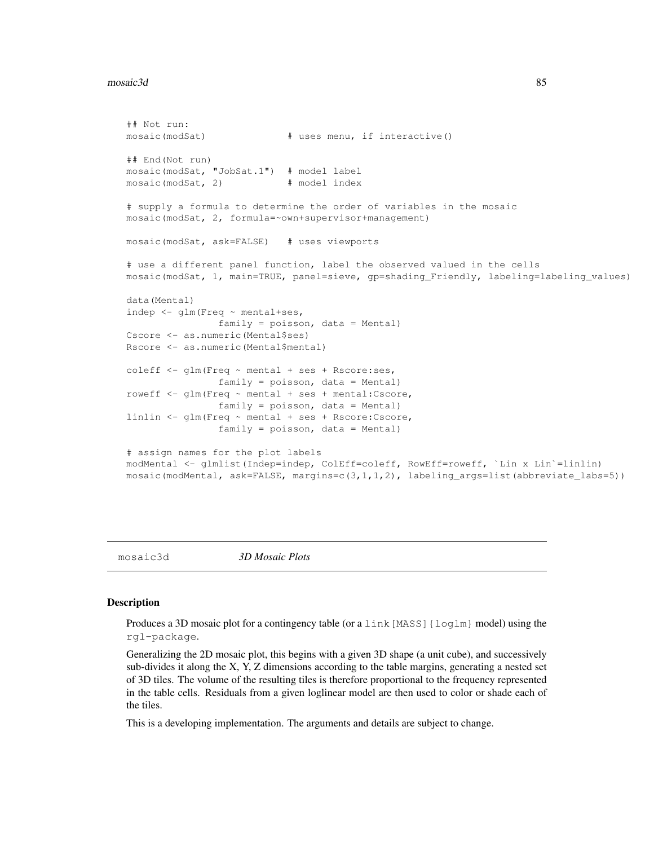#### $\text{meas}$  and  $\text{meas}$  85

```
## Not run:
mosaic(modSat) # uses menu, if interactive()
## End(Not run)
mosaic(modSat, "JobSat.1") # model label
mosaic(modSat, 2) # model index
# supply a formula to determine the order of variables in the mosaic
mosaic(modSat, 2, formula=~own+supervisor+management)
mosaic(modSat, ask=FALSE) # uses viewports
# use a different panel function, label the observed valued in the cells
mosaic(modSat, 1, main=TRUE, panel=sieve, gp=shading_Friendly, labeling=labeling_values)
data(Mental)
indep <- glm(Freq ~ mental+ses,
               family = poisson, data = Mental)
Cscore <- as.numeric(Mental$ses)
Rscore <- as.numeric(Mental$mental)
coleff <- glm(Freq ~ mental + ses + Rscore:ses,
               family = poisson, data = Mental)
roweff <- glm(Freq ~ mental + ses + mental:Cscore,
               family = poisson, data = Mental)linlin <- glm(Freq ~ mental + ses + Rscore:Cscore,
               family = poisson, data = Mental)
# assign names for the plot labels
modMental <- glmlist(Indep=indep, ColEff=coleff, RowEff=roweff, `Lin x Lin`=linlin)
mosaic(modMental, ask=FALSE, margins=c(3,1,1,2), labeling_args=list(abbreviate_labs=5))
```
mosaic3d *3D Mosaic Plots*

#### Description

Produces a 3D mosaic plot for a contingency table (or a link [MASS] {loglm} model) using the rgl-package.

Generalizing the 2D mosaic plot, this begins with a given 3D shape (a unit cube), and successively sub-divides it along the X, Y, Z dimensions according to the table margins, generating a nested set of 3D tiles. The volume of the resulting tiles is therefore proportional to the frequency represented in the table cells. Residuals from a given loglinear model are then used to color or shade each of the tiles.

This is a developing implementation. The arguments and details are subject to change.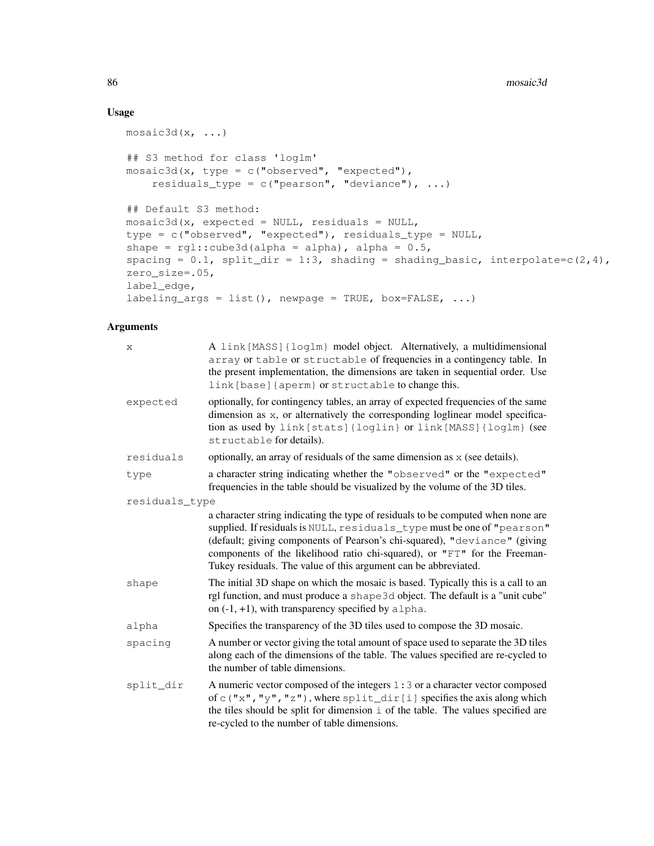# Usage

```
mostcd(x, \ldots)## S3 method for class 'loglm'
mosaic3d(x, type = c("observed", "expected"),
    residuals_type = c("pearson", "deviance"), ...)
## Default S3 method:
mosaic3d(x, expected = NULL, residuals = NULL,
type = c("observed", "expected"), residuals_type = NULL,
shape = rgl::cube3d(alpha = alpha), alpha = 0.5,
spacing = 0.1, split_dir = 1:3, shading = shading_basic, interpolate=c(2,4),
zero_size=.05,
label_edge,
labeling_args = list(), newpage = TRUE, box=FALSE, ...)
```
## Arguments

| X              | A link [MASS] {loglm} model object. Alternatively, a multidimensional<br>array or table or structable of frequencies in a contingency table. In<br>the present implementation, the dimensions are taken in sequential order. Use<br>link [base] {aperm} or structable to change this.                                                                                                    |
|----------------|------------------------------------------------------------------------------------------------------------------------------------------------------------------------------------------------------------------------------------------------------------------------------------------------------------------------------------------------------------------------------------------|
| expected       | optionally, for contingency tables, an array of expected frequencies of the same<br>dimension as x, or alternatively the corresponding loglinear model specifica-<br>tion as used by link [stats] {loglin} or link [MASS] {loglm} (see<br>structable for details).                                                                                                                       |
| residuals      | optionally, an array of residuals of the same dimension as x (see details).                                                                                                                                                                                                                                                                                                              |
| type           | a character string indicating whether the "observed" or the "expected"<br>frequencies in the table should be visualized by the volume of the 3D tiles.                                                                                                                                                                                                                                   |
| residuals_type |                                                                                                                                                                                                                                                                                                                                                                                          |
|                | a character string indicating the type of residuals to be computed when none are<br>supplied. If residuals is NULL, residuals_type must be one of "pearson"<br>(default; giving components of Pearson's chi-squared), "deviance" (giving<br>components of the likelihood ratio chi-squared), or "FT" for the Freeman-<br>Tukey residuals. The value of this argument can be abbreviated. |
| shape          | The initial 3D shape on which the mosaic is based. Typically this is a call to an<br>rgl function, and must produce a shape 3d object. The default is a "unit cube"<br>on $(-1, +1)$ , with transparency specified by alpha.                                                                                                                                                             |
| alpha          | Specifies the transparency of the 3D tiles used to compose the 3D mosaic.                                                                                                                                                                                                                                                                                                                |
| spacing        | A number or vector giving the total amount of space used to separate the 3D tiles<br>along each of the dimensions of the table. The values specified are re-cycled to<br>the number of table dimensions.                                                                                                                                                                                 |
| split_dir      | A numeric vector composed of the integers $1:3$ or a character vector composed<br>of $c$ ("x", "y", "z"), where split_dir[i] specifies the axis along which<br>the tiles should be split for dimension i of the table. The values specified are<br>re-cycled to the number of table dimensions.                                                                                          |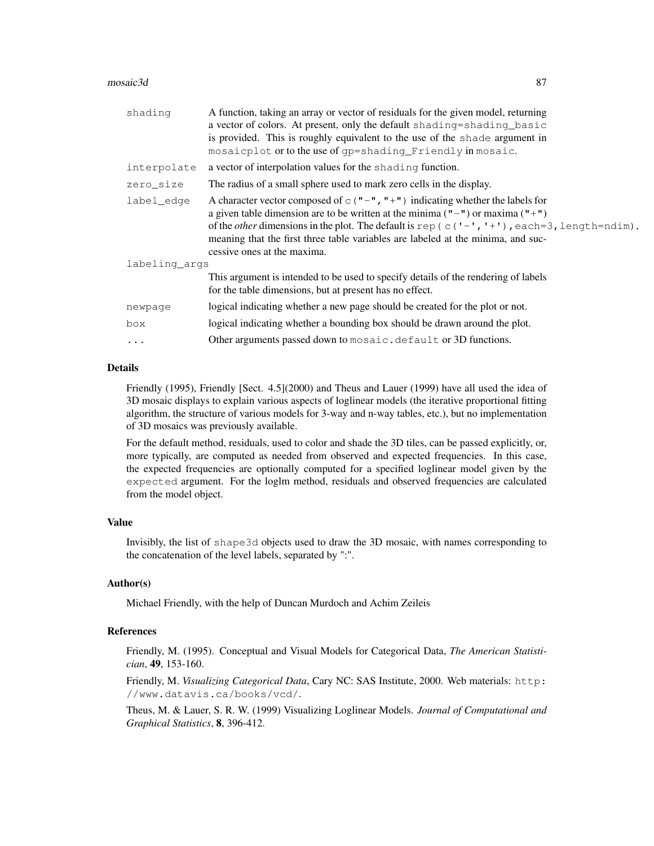#### $\text{meas}$  and  $\text{meas}$  87

| shading       | A function, taking an array or vector of residuals for the given model, returning                      |
|---------------|--------------------------------------------------------------------------------------------------------|
|               | a vector of colors. At present, only the default shading=shading_basic                                 |
|               | is provided. This is roughly equivalent to the use of the shade argument in                            |
|               | mosaicplot or to the use of qp=shading_Friendly in mosaic.                                             |
| interpolate   | a vector of interpolation values for the shading function.                                             |
| zero_size     | The radius of a small sphere used to mark zero cells in the display.                                   |
| label edge    | A character vector composed of $\subset$ ("-", "+") indicating whether the labels for                  |
|               | a given table dimension are to be written at the minima $(" -")$ or maxima $(" +")$                    |
|               | of the <i>other</i> dimensions in the plot. The default is rep (c( $'$ -', '+'), each=3, length=ndim), |
|               | meaning that the first three table variables are labeled at the minima, and suc-                       |
|               | cessive ones at the maxima.                                                                            |
| labeling args |                                                                                                        |
|               | This argument is intended to be used to specify details of the rendering of labels                     |
|               | for the table dimensions, but at present has no effect.                                                |
| newpage       | logical indicating whether a new page should be created for the plot or not.                           |
| box           | logical indicating whether a bounding box should be drawn around the plot.                             |
| $\ddots$      | Other arguments passed down to mosaic. default or 3D functions.                                        |
|               |                                                                                                        |

#### Details

Friendly (1995), Friendly [Sect. 4.5](2000) and Theus and Lauer (1999) have all used the idea of 3D mosaic displays to explain various aspects of loglinear models (the iterative proportional fitting algorithm, the structure of various models for 3-way and n-way tables, etc.), but no implementation of 3D mosaics was previously available.

For the default method, residuals, used to color and shade the 3D tiles, can be passed explicitly, or, more typically, are computed as needed from observed and expected frequencies. In this case, the expected frequencies are optionally computed for a specified loglinear model given by the expected argument. For the loglm method, residuals and observed frequencies are calculated from the model object.

# Value

Invisibly, the list of shape3d objects used to draw the 3D mosaic, with names corresponding to the concatenation of the level labels, separated by ":".

### Author(s)

Michael Friendly, with the help of Duncan Murdoch and Achim Zeileis

## References

Friendly, M. (1995). Conceptual and Visual Models for Categorical Data, *The American Statistician*, 49, 153-160.

Friendly, M. *Visualizing Categorical Data*, Cary NC: SAS Institute, 2000. Web materials: http: //www.datavis.ca/books/vcd/.

Theus, M. & Lauer, S. R. W. (1999) Visualizing Loglinear Models. *Journal of Computational and Graphical Statistics*, 8, 396-412.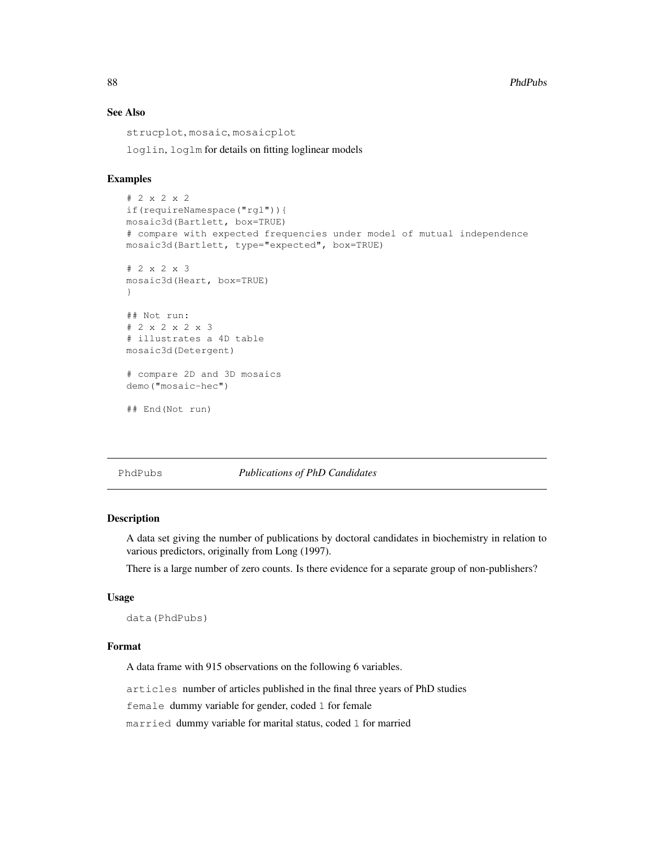88 **PhdPubs Photos in the contract of the contract of the contract of the contract of the contract of the contract of the contract of the contract of the contract of the contract of the contract of the contract of the co** 

# See Also

strucplot, mosaic, mosaicplot loglin, loglm for details on fitting loglinear models

## Examples

```
# 2 x 2 x 2
if(requireNamespace("rgl")){
mosaic3d(Bartlett, box=TRUE)
# compare with expected frequencies under model of mutual independence
mosaic3d(Bartlett, type="expected", box=TRUE)
# 2 x 2 x 3
mosaic3d(Heart, box=TRUE)
}
## Not run:
# 2 x 2 x 2 x 3
# illustrates a 4D table
mosaic3d(Detergent)
# compare 2D and 3D mosaics
demo("mosaic-hec")
## End(Not run)
```
#### PhdPubs *Publications of PhD Candidates*

### Description

A data set giving the number of publications by doctoral candidates in biochemistry in relation to various predictors, originally from Long (1997).

There is a large number of zero counts. Is there evidence for a separate group of non-publishers?

### Usage

```
data(PhdPubs)
```
## Format

A data frame with 915 observations on the following 6 variables.

articles number of articles published in the final three years of PhD studies

female dummy variable for gender, coded 1 for female

married dummy variable for marital status, coded 1 for married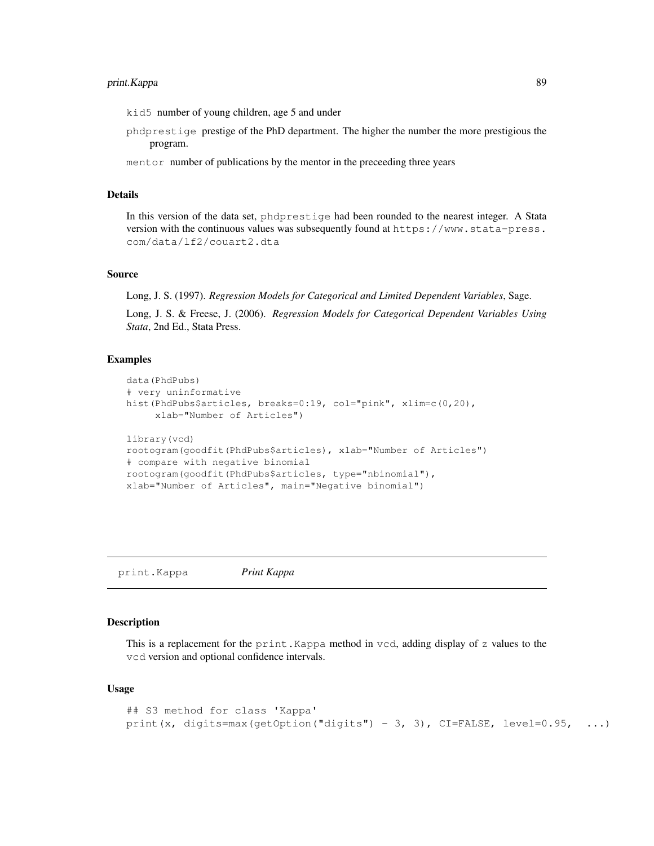# print. Kappa 89

kid5 number of young children, age 5 and under

- phdprestige prestige of the PhD department. The higher the number the more prestigious the program.
- mentor number of publications by the mentor in the preceeding three years

#### Details

In this version of the data set, phdprestige had been rounded to the nearest integer. A Stata version with the continuous values was subsequently found at https://www.stata-press. com/data/lf2/couart2.dta

### Source

Long, J. S. (1997). *Regression Models for Categorical and Limited Dependent Variables*, Sage.

Long, J. S. & Freese, J. (2006). *Regression Models for Categorical Dependent Variables Using Stata*, 2nd Ed., Stata Press.

### Examples

```
data(PhdPubs)
# very uninformative
hist(PhdPubs$articles, breaks=0:19, col="pink", xlim=c(0,20),
     xlab="Number of Articles")
library(vcd)
rootogram(goodfit(PhdPubs$articles), xlab="Number of Articles")
# compare with negative binomial
rootogram(goodfit(PhdPubs$articles, type="nbinomial"),
xlab="Number of Articles", main="Negative binomial")
```
print.Kappa *Print Kappa*

### Description

This is a replacement for the print.Kappa method in vcd, adding display of z values to the vcd version and optional confidence intervals.

### Usage

```
## S3 method for class 'Kappa'
print(x, digits=max(getOption("digits") - 3, 3), CI = FALSE, level = 0.95, ...)
```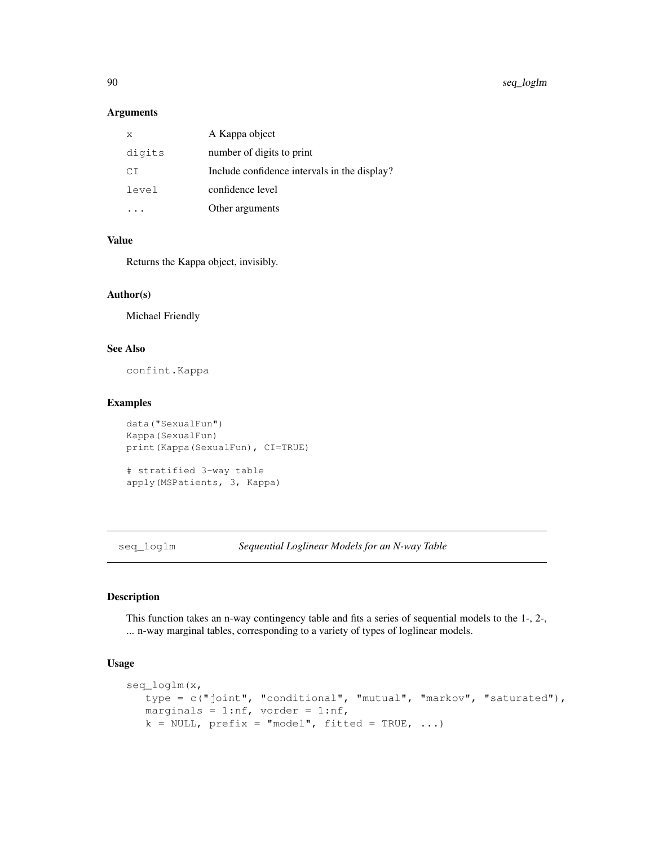## Arguments

| X      | A Kappa object                               |
|--------|----------------------------------------------|
| digits | number of digits to print                    |
| СT     | Include confidence intervals in the display? |
| level  | confidence level                             |
|        | Other arguments                              |

# Value

Returns the Kappa object, invisibly.

## Author(s)

Michael Friendly

# See Also

confint.Kappa

### Examples

```
data("SexualFun")
Kappa(SexualFun)
print(Kappa(SexualFun), CI=TRUE)
# stratified 3-way table
```
apply(MSPatients, 3, Kappa)

seq\_loglm *Sequential Loglinear Models for an N-way Table*

# Description

This function takes an n-way contingency table and fits a series of sequential models to the 1-, 2-, ... n-way marginal tables, corresponding to a variety of types of loglinear models.

## Usage

```
seq_loglm(x,
  type = c("joint", "conditional", "mutual", "markov", "saturated"),
  marginals = 1:nf, vorder = 1:nf,
  k = NULL, prefix = "model", fitted = TRUE, ...)
```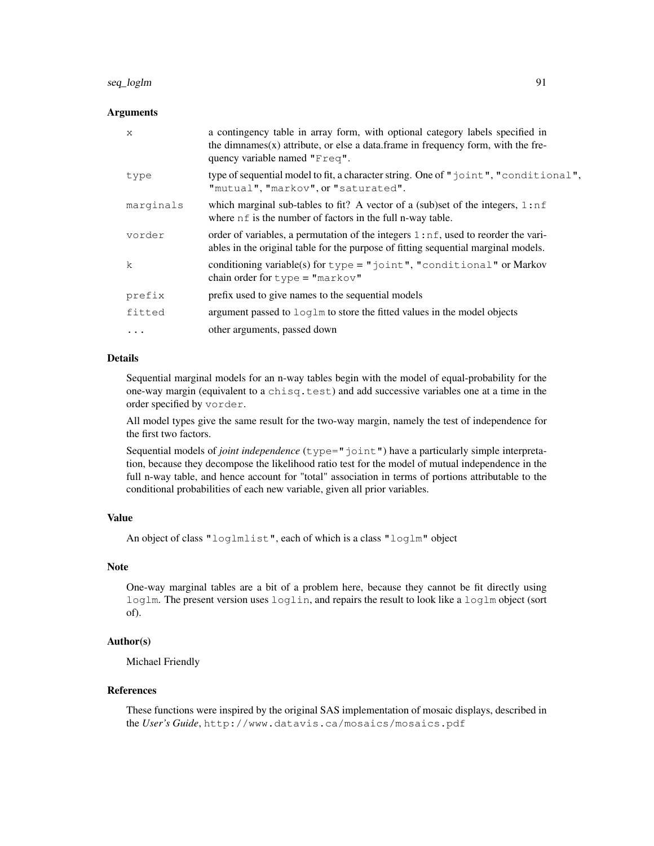# seq\_loglm 91

### Arguments

| X            | a contingency table in array form, with optional category labels specified in<br>the dimnames $(x)$ attribute, or else a data. frame in frequency form, with the fre-<br>quency variable named "Freq". |
|--------------|--------------------------------------------------------------------------------------------------------------------------------------------------------------------------------------------------------|
| type         | type of sequential model to fit, a character string. One of "joint", "conditional",<br>"mutual", "markov", or "saturated".                                                                             |
| marginals    | which marginal sub-tables to fit? A vector of a (sub)set of the integers, $1:nf$<br>where nf is the number of factors in the full n-way table.                                                         |
| vorder       | order of variables, a permutation of the integers 1:nf, used to reorder the vari-<br>ables in the original table for the purpose of fitting sequential marginal models.                                |
| $\mathsf{k}$ | conditioning variable(s) for $type = "joint", "conditional"$ or Markov<br>chain order for $type = "markov"$                                                                                            |
| prefix       | prefix used to give names to the sequential models                                                                                                                                                     |
| fitted       | argument passed to $\log \ln$ to store the fitted values in the model objects                                                                                                                          |
| .            | other arguments, passed down                                                                                                                                                                           |

## Details

Sequential marginal models for an n-way tables begin with the model of equal-probability for the one-way margin (equivalent to a chisq.test) and add successive variables one at a time in the order specified by vorder.

All model types give the same result for the two-way margin, namely the test of independence for the first two factors.

Sequential models of *joint independence* (type="joint") have a particularly simple interpretation, because they decompose the likelihood ratio test for the model of mutual independence in the full n-way table, and hence account for "total" association in terms of portions attributable to the conditional probabilities of each new variable, given all prior variables.

# Value

```
An object of class "loglmlist", each of which is a class "loglm" object
```
## **Note**

One-way marginal tables are a bit of a problem here, because they cannot be fit directly using loglm. The present version uses loglin, and repairs the result to look like a loglm object (sort of).

# Author(s)

Michael Friendly

#### References

These functions were inspired by the original SAS implementation of mosaic displays, described in the *User's Guide*, http://www.datavis.ca/mosaics/mosaics.pdf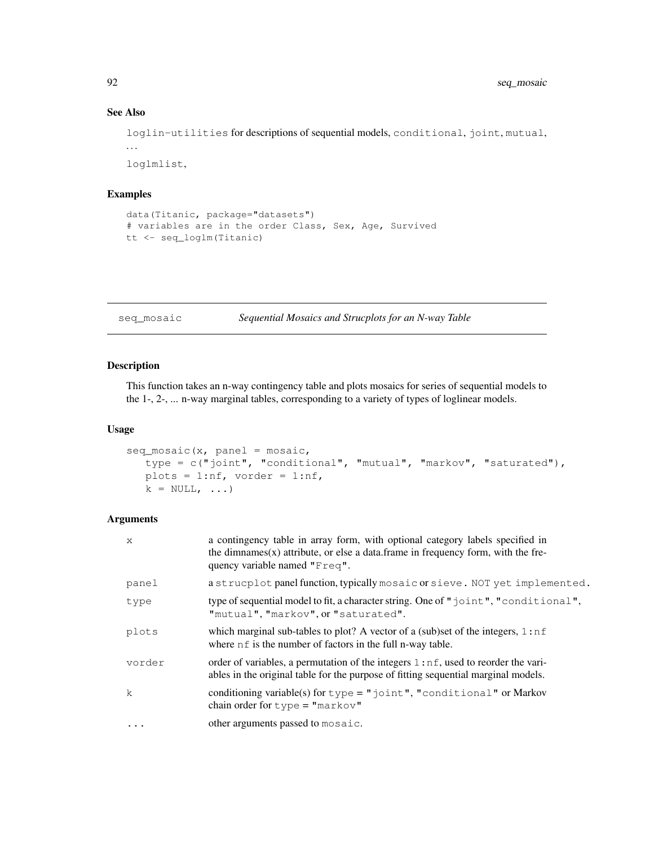## See Also

loglin-utilities for descriptions of sequential models, conditional, joint, mutual, . . . loglmlist,

## Examples

```
data(Titanic, package="datasets")
# variables are in the order Class, Sex, Age, Survived
tt <- seq_loglm(Titanic)
```
seq\_mosaic *Sequential Mosaics and Strucplots for an N-way Table*

## Description

This function takes an n-way contingency table and plots mosaics for series of sequential models to the 1-, 2-, ... n-way marginal tables, corresponding to a variety of types of loglinear models.

### Usage

```
seq\_mosaic(x, panel = mosaic,type = c("joint", "conditional", "mutual", "markov", "saturated"),
  plots = 1:nf, vorder = 1:nf,
  k = NULL, ...
```
# Arguments

| X            | a contingency table in array form, with optional category labels specified in<br>the dimnames $(x)$ attribute, or else a data. frame in frequency form, with the fre-<br>quency variable named "Freq". |
|--------------|--------------------------------------------------------------------------------------------------------------------------------------------------------------------------------------------------------|
| panel        | a strucplot panel function, typically mosaic or sieve. NOT yet implemented.                                                                                                                            |
| type         | type of sequential model to fit, a character string. One of $\mathbb{I}$ joint", "conditional",<br>"mutual", "markov", or "saturated".                                                                 |
| plots        | which marginal sub-tables to plot? A vector of a (sub)set of the integers, $1:nf$<br>where nf is the number of factors in the full n-way table.                                                        |
| vorder       | order of variables, a permutation of the integers $1:nf$ , used to reorder the vari-<br>ables in the original table for the purpose of fitting sequential marginal models.                             |
| $\mathbf{k}$ | conditioning variable(s) for $type = "joint", "conditional"$ or Markov<br>chain order for $type = "markov"$                                                                                            |
| $\ddots$ .   | other arguments passed to mosaic.                                                                                                                                                                      |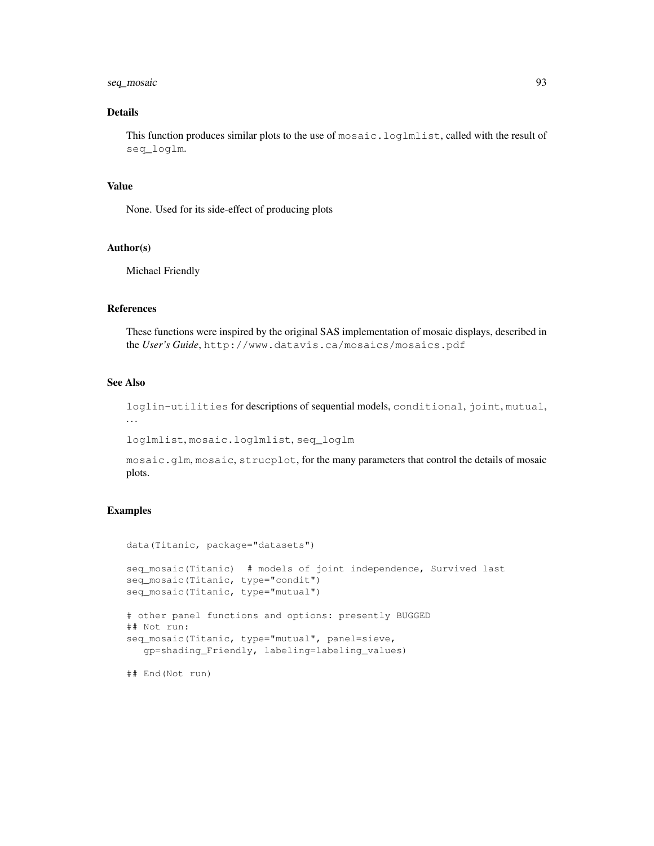# seq\_mosaic 93

# Details

This function produces similar plots to the use of mosaic.loglmlist, called with the result of seq\_loglm.

#### Value

None. Used for its side-effect of producing plots

### Author(s)

Michael Friendly

## References

These functions were inspired by the original SAS implementation of mosaic displays, described in the *User's Guide*, http://www.datavis.ca/mosaics/mosaics.pdf

## See Also

loglin-utilities for descriptions of sequential models, conditional, joint, mutual, . . .

loglmlist, mosaic.loglmlist, seq\_loglm

mosaic.glm, mosaic, strucplot, for the many parameters that control the details of mosaic plots.

## Examples

```
data(Titanic, package="datasets")
seq_mosaic(Titanic) # models of joint independence, Survived last
seq_mosaic(Titanic, type="condit")
seq_mosaic(Titanic, type="mutual")
# other panel functions and options: presently BUGGED
## Not run:
seq_mosaic(Titanic, type="mutual", panel=sieve,
  gp=shading_Friendly, labeling=labeling_values)
```
## End(Not run)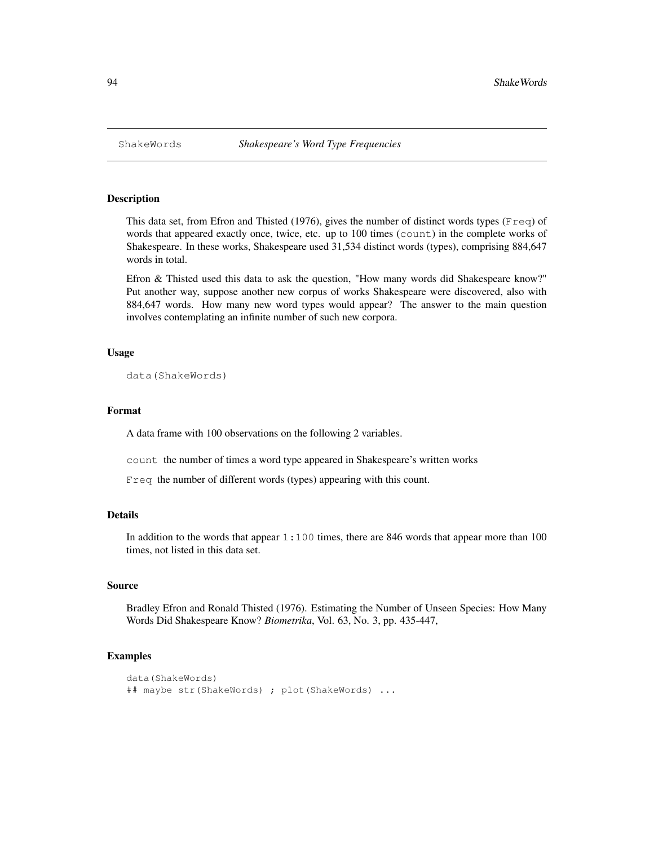### Description

This data set, from Efron and Thisted (1976), gives the number of distinct words types ( $F_{\text{req}}$ ) of words that appeared exactly once, twice, etc. up to 100 times (count) in the complete works of Shakespeare. In these works, Shakespeare used 31,534 distinct words (types), comprising 884,647 words in total.

Efron & Thisted used this data to ask the question, "How many words did Shakespeare know?" Put another way, suppose another new corpus of works Shakespeare were discovered, also with 884,647 words. How many new word types would appear? The answer to the main question involves contemplating an infinite number of such new corpora.

### Usage

data(ShakeWords)

## Format

A data frame with 100 observations on the following 2 variables.

count the number of times a word type appeared in Shakespeare's written works

Freq the number of different words (types) appearing with this count.

### Details

In addition to the words that appear  $1:100$  times, there are 846 words that appear more than 100 times, not listed in this data set.

#### Source

Bradley Efron and Ronald Thisted (1976). Estimating the Number of Unseen Species: How Many Words Did Shakespeare Know? *Biometrika*, Vol. 63, No. 3, pp. 435-447,

```
data(ShakeWords)
## maybe str(ShakeWords) ; plot(ShakeWords) ...
```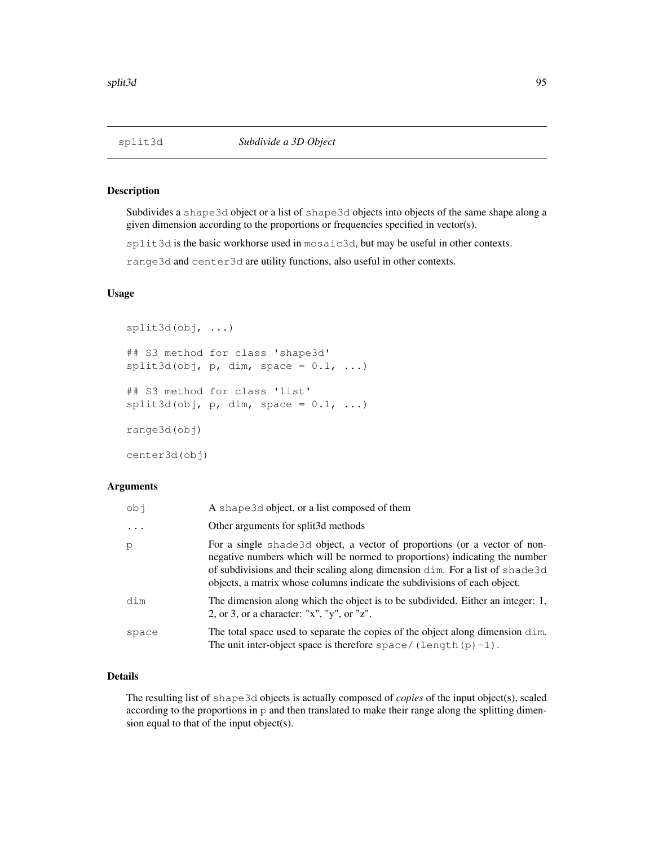## Description

Subdivides a shape3d object or a list of shape3d objects into objects of the same shape along a given dimension according to the proportions or frequencies specified in vector(s).

split3d is the basic workhorse used in mosaic3d, but may be useful in other contexts.

range3d and center3d are utility functions, also useful in other contexts.

# Usage

```
split3d(obj, ...)
## S3 method for class 'shape3d'
split3d(obj, p, dim, space = 0.1, ...)## S3 method for class 'list'
split3d(obj, p, dim, space = 0.1, ...)range3d(obj)
center3d(obj)
```
## Arguments

| ido      | A shape 3d object, or a list composed of them                                                                                                                                                                                                                                                                          |
|----------|------------------------------------------------------------------------------------------------------------------------------------------------------------------------------------------------------------------------------------------------------------------------------------------------------------------------|
| $\cdots$ | Other arguments for split3d methods                                                                                                                                                                                                                                                                                    |
| p        | For a single shade 3d object, a vector of proportions (or a vector of non-<br>negative numbers which will be normed to proportions) indicating the number<br>of subdivisions and their scaling along dimension dim. For a list of shade3d<br>objects, a matrix whose columns indicate the subdivisions of each object. |
| dim      | The dimension along which the object is to be subdivided. Either an integer: 1,<br>2, or 3, or a character: " $x$ ", " $y$ ", or " $z$ ".                                                                                                                                                                              |
| space    | The total space used to separate the copies of the object along dimension dim.<br>The unit inter-object space is therefore space/(length(p)-1).                                                                                                                                                                        |

# Details

The resulting list of shape3d objects is actually composed of *copies* of the input object(s), scaled according to the proportions in p and then translated to make their range along the splitting dimension equal to that of the input object(s).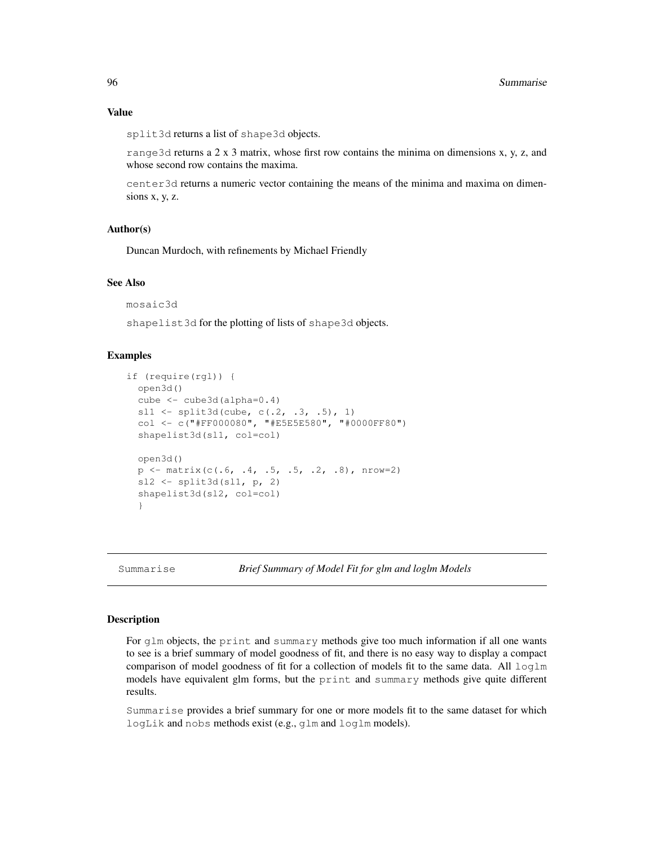#### Value

split3d returns a list of shape3d objects.

range3d returns a 2 x 3 matrix, whose first row contains the minima on dimensions x, y, z, and whose second row contains the maxima.

center3d returns a numeric vector containing the means of the minima and maxima on dimensions x, y, z.

# Author(s)

Duncan Murdoch, with refinements by Michael Friendly

### See Also

mosaic3d

shapelist3d for the plotting of lists of shape3d objects.

## Examples

```
if (require(rgl)) {
  open3d()
  cube <- cube3d(alpha=0.4)
  sl1 <- split3d(cube, c(.2, .3, .5), 1)col <- c("#FF000080", "#E5E5E580", "#0000FF80")
  shapelist3d(sl1, col=col)
  open3d()
  p \leftarrow matrix(c(.6, .4, .5, .5, .2, .8), nrow=2)
  sl2 \leftarrow split3d(sl1, p, 2)
  shapelist3d(sl2, col=col)
  }
```
Summarise *Brief Summary of Model Fit for glm and loglm Models*

## Description

For glm objects, the print and summary methods give too much information if all one wants to see is a brief summary of model goodness of fit, and there is no easy way to display a compact comparison of model goodness of fit for a collection of models fit to the same data. All  $\log \ln$ models have equivalent glm forms, but the print and summary methods give quite different results.

Summarise provides a brief summary for one or more models fit to the same dataset for which logLik and nobs methods exist (e.g., glm and loglm models).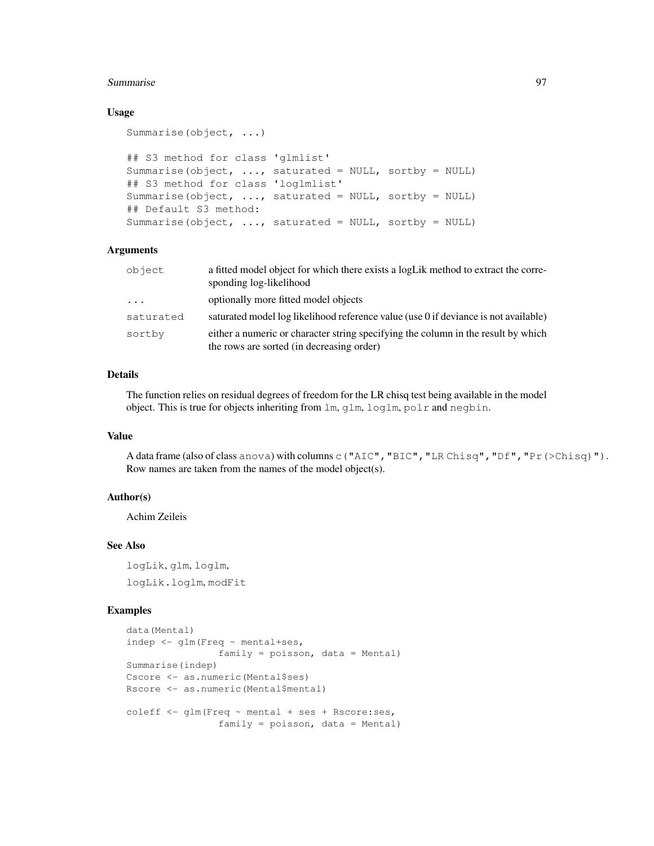#### Summarise 97

### Usage

```
Summarise(object, ...)
## S3 method for class 'glmlist'
Summarise(object, ..., saturated = NULL, sortby = NULL)
## S3 method for class 'loglmlist'
Summarise(object, \ldots, saturated = NULL, sortby = NULL)
## Default S3 method:
Summarise(object, ..., saturated = NULL, sortby = NULL)
```
## Arguments

| object     | a fitted model object for which there exists a logLik method to extract the corre-<br>sponding log-likelihood                  |
|------------|--------------------------------------------------------------------------------------------------------------------------------|
| $\ddots$ . | optionally more fitted model objects                                                                                           |
| saturated  | saturated model log likelihood reference value (use 0 if deviance is not available)                                            |
| sortby     | either a numeric or character string specifying the column in the result by which<br>the rows are sorted (in decreasing order) |

## Details

The function relies on residual degrees of freedom for the LR chisq test being available in the model object. This is true for objects inheriting from lm, glm, loglm, polr and negbin.

# Value

A data frame (also of class anova) with columns c("AIC","BIC","LR Chisq","Df","Pr(>Chisq)"). Row names are taken from the names of the model object(s).

## Author(s)

Achim Zeileis

# See Also

logLik, glm, loglm, logLik.loglm, modFit

```
data(Mental)
indep <- glm(Freq ~ mental+ses,
                family = poisson, data = Mental)Summarise(indep)
Cscore <- as.numeric(Mental$ses)
Rscore <- as.numeric(Mental$mental)
coleff \leq qlm (Freq \sim mental + ses + Rscore:ses,
                family = poisson, data = Mental)
```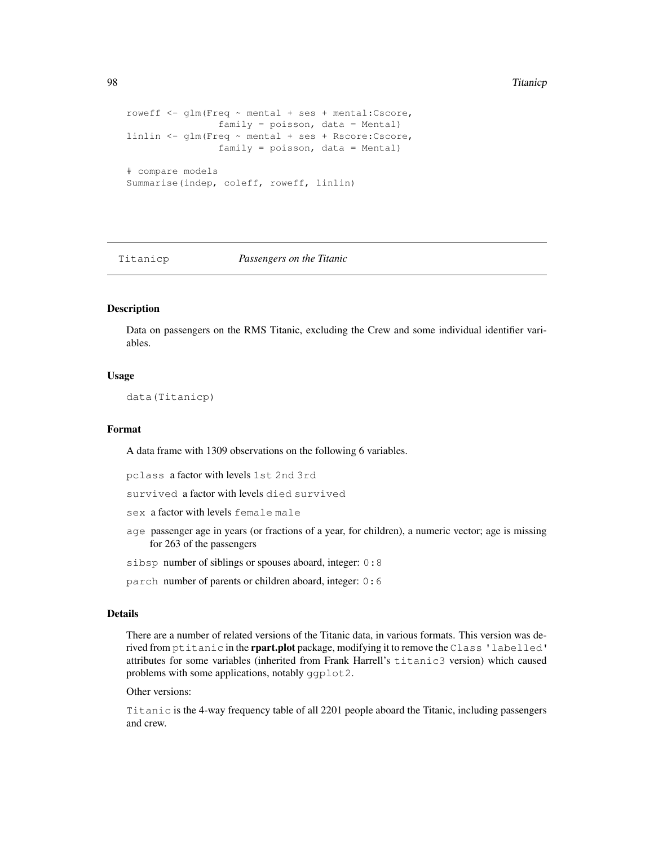```
roweff <- glm(Freq ~ mental + ses + mental:Cscore,
               family = poisson, data = Mental)
linlin <- glm(Freq ~ mental + ses + Rscore:Cscore,
               family = poisson, data = Mental)
# compare models
Summarise(indep, coleff, roweff, linlin)
```
Titanicp *Passengers on the Titanic*

## Description

Data on passengers on the RMS Titanic, excluding the Crew and some individual identifier variables.

# Usage

data(Titanicp)

## Format

A data frame with 1309 observations on the following 6 variables.

pclass a factor with levels 1st 2nd 3rd

survived a factor with levels died survived

sex a factor with levels female male

- age passenger age in years (or fractions of a year, for children), a numeric vector; age is missing for 263 of the passengers
- sibsp number of siblings or spouses aboard, integer: 0:8
- parch number of parents or children aboard, integer: 0:6

## Details

There are a number of related versions of the Titanic data, in various formats. This version was derived from ptitanic in the rpart.plot package, modifying it to remove the Class 'labelled' attributes for some variables (inherited from Frank Harrell's titanic3 version) which caused problems with some applications, notably ggplot2.

#### Other versions:

Titanic is the 4-way frequency table of all 2201 people aboard the Titanic, including passengers and crew.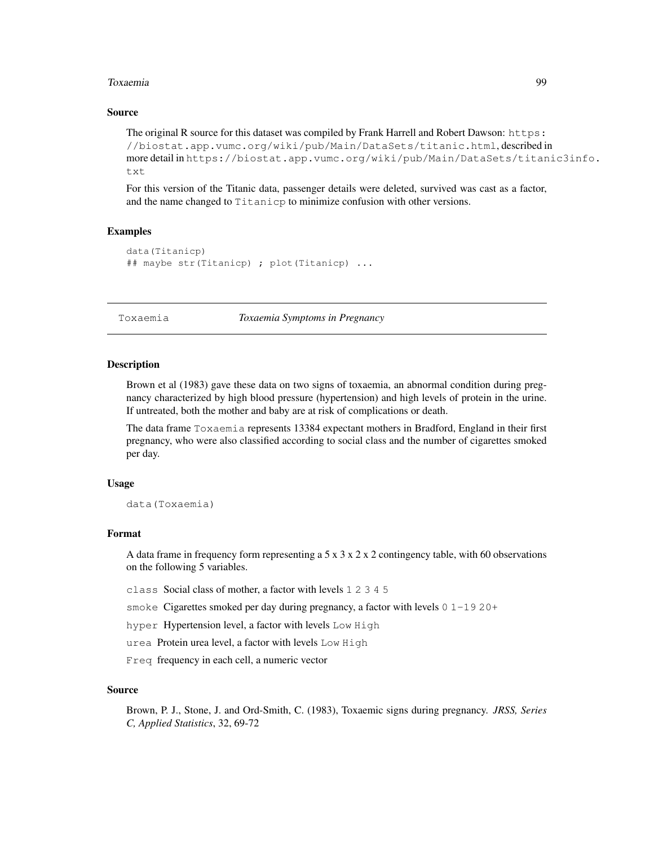#### Toxaemia 99

### Source

```
The original R source for this dataset was compiled by Frank Harrell and Robert Dawson: https:
//biostat.app.vumc.org/wiki/pub/Main/DataSets/titanic.html, described in
more detail in https://biostat.app.vumc.org/wiki/pub/Main/DataSets/titanic3info.
txt
```
For this version of the Titanic data, passenger details were deleted, survived was cast as a factor, and the name changed to Titanicp to minimize confusion with other versions.

### Examples

```
data(Titanicp)
## maybe str(Titanicp) ; plot(Titanicp) ...
```
Toxaemia *Toxaemia Symptoms in Pregnancy*

# Description

Brown et al (1983) gave these data on two signs of toxaemia, an abnormal condition during pregnancy characterized by high blood pressure (hypertension) and high levels of protein in the urine. If untreated, both the mother and baby are at risk of complications or death.

The data frame Toxaemia represents 13384 expectant mothers in Bradford, England in their first pregnancy, who were also classified according to social class and the number of cigarettes smoked per day.

#### Usage

```
data(Toxaemia)
```
## Format

A data frame in frequency form representing a 5 x  $3 \times 2 \times 2$  contingency table, with 60 observations on the following 5 variables.

class Social class of mother, a factor with levels 1 2 3 4 5

smoke Cigarettes smoked per day during pregnancy, a factor with levels  $0\ 1-19\ 20+$ 

hyper Hypertension level, a factor with levels Low High

urea Protein urea level, a factor with levels Low High

Freq frequency in each cell, a numeric vector

#### Source

Brown, P. J., Stone, J. and Ord-Smith, C. (1983), Toxaemic signs during pregnancy. *JRSS, Series C, Applied Statistics*, 32, 69-72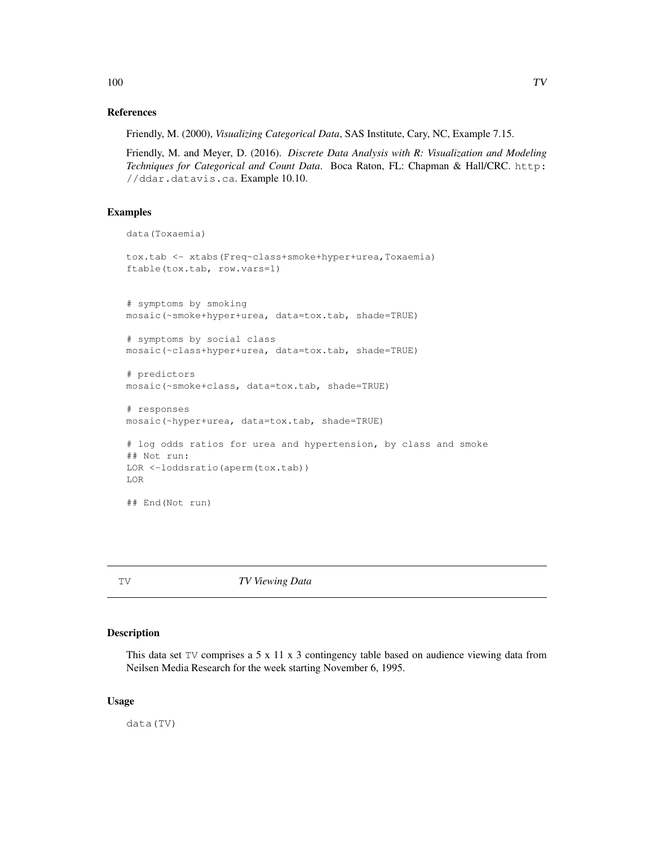#### References

Friendly, M. (2000), *Visualizing Categorical Data*, SAS Institute, Cary, NC, Example 7.15.

Friendly, M. and Meyer, D. (2016). *Discrete Data Analysis with R: Visualization and Modeling Techniques for Categorical and Count Data*. Boca Raton, FL: Chapman & Hall/CRC. http: //ddar.datavis.ca. Example 10.10.

# Examples

```
data(Toxaemia)
tox.tab <- xtabs(Freq~class+smoke+hyper+urea,Toxaemia)
ftable(tox.tab, row.vars=1)
# symptoms by smoking
mosaic(~smoke+hyper+urea, data=tox.tab, shade=TRUE)
# symptoms by social class
mosaic(~class+hyper+urea, data=tox.tab, shade=TRUE)
# predictors
mosaic(~smoke+class, data=tox.tab, shade=TRUE)
# responses
mosaic(~hyper+urea, data=tox.tab, shade=TRUE)
# log odds ratios for urea and hypertension, by class and smoke
## Not run:
LOR <-loddsratio(aperm(tox.tab))
LOR
## End(Not run)
```
TV *TV Viewing Data*

## Description

This data set TV comprises a 5 x 11 x 3 contingency table based on audience viewing data from Neilsen Media Research for the week starting November 6, 1995.

### Usage

data(TV)

 $100$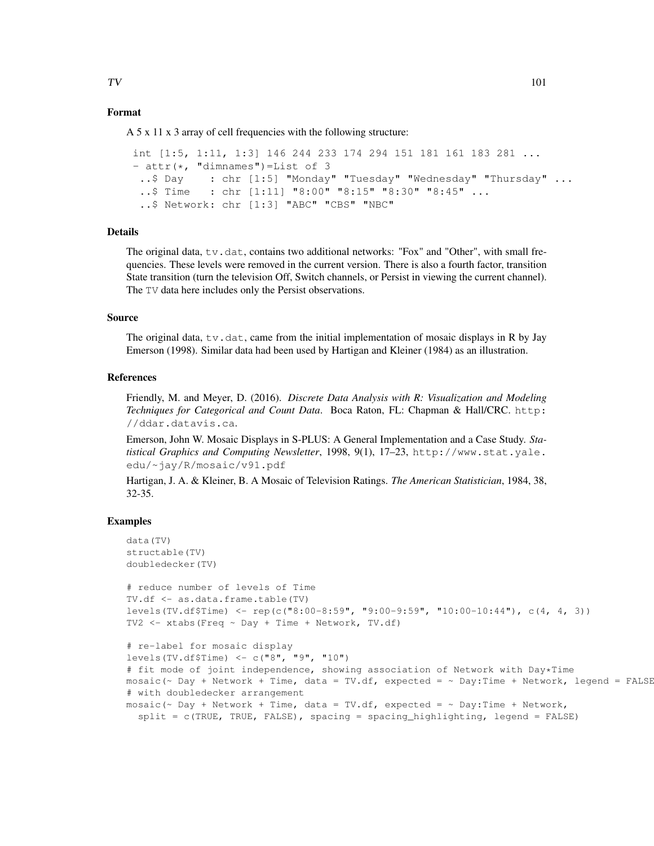## Format

A 5 x 11 x 3 array of cell frequencies with the following structure:

```
int [1:5, 1:11, 1:3] 146 244 233 174 294 151 181 161 183 281 ...
- attr(\star, "dimnames")=List of 3
 ..$ Day : chr [1:5] "Monday" "Tuesday" "Wednesday" "Thursday" ...
 ..$ Time : chr [1:11] "8:00" "8:15" "8:30" "8:45" ...
 ..$ Network: chr [1:3] "ABC" "CBS" "NBC"
```
## Details

The original data,  $tv$ . dat, contains two additional networks: "Fox" and "Other", with small frequencies. These levels were removed in the current version. There is also a fourth factor, transition State transition (turn the television Off, Switch channels, or Persist in viewing the current channel). The TV data here includes only the Persist observations.

#### Source

The original data,  $\forall v \cdot \forall$ , came from the initial implementation of mosaic displays in R by Jay Emerson (1998). Similar data had been used by Hartigan and Kleiner (1984) as an illustration.

### References

Friendly, M. and Meyer, D. (2016). *Discrete Data Analysis with R: Visualization and Modeling Techniques for Categorical and Count Data*. Boca Raton, FL: Chapman & Hall/CRC. http: //ddar.datavis.ca.

Emerson, John W. Mosaic Displays in S-PLUS: A General Implementation and a Case Study. *Statistical Graphics and Computing Newsletter*, 1998, 9(1), 17–23, http://www.stat.yale. edu/~jay/R/mosaic/v91.pdf

Hartigan, J. A. & Kleiner, B. A Mosaic of Television Ratings. *The American Statistician*, 1984, 38, 32-35.

```
data(TV)
structable(TV)
doubledecker(TV)
# reduce number of levels of Time
TV.df <- as.data.frame.table(TV)
levels(TV.df$Time) <- rep(c("8:00-8:59", "9:00-9:59", "10:00-10:44"), c(4, 4, 3))
TV2 \leftarrow xtabs (Freq \sim Day + Time + Network, TV.df)
# re-label for mosaic display
levels(TV.df$Time) <- c("8", "9", "10")
# fit mode of joint independence, showing association of Network with Day*Time
mosaic(~ Day + Network + Time, data = TV.df, expected = ~ Day:Time + Network, legend = FALSE
# with doubledecker arrangement
mosaic(\sim Day + Network + Time, data = TV.df, expected = \sim Day:Time + Network,
  split = c(TRUE, TRUE, FALSE), spacing = spacing_highlighting, legend = FALSE)
```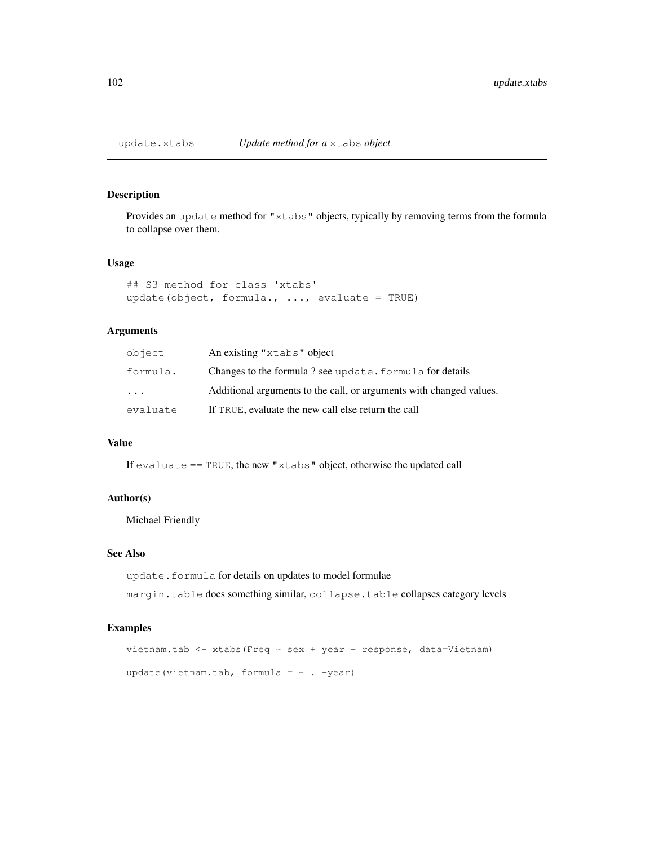# Description

Provides an update method for "xtabs" objects, typically by removing terms from the formula to collapse over them.

### Usage

```
## S3 method for class 'xtabs'
update(object, formula., \ldots, evaluate = TRUE)
```
# Arguments

| object                  | An existing "xtabs" object                                          |  |
|-------------------------|---------------------------------------------------------------------|--|
| formula.                | Changes to the formula? see update. formula for details             |  |
| $\cdot$ $\cdot$ $\cdot$ | Additional arguments to the call, or arguments with changed values. |  |
| evaluate                | If TRUE, evaluate the new call else return the call                 |  |

## Value

If evaluate == TRUE, the new "xtabs" object, otherwise the updated call

#### Author(s)

Michael Friendly

## See Also

update.formula for details on updates to model formulae

margin.table does something similar, collapse.table collapses category levels

```
vietnam.tab <- xtabs(Freq ~ sex + year + response, data=Vietnam)
update(vietnam.tab, formula = \sim . -year)
```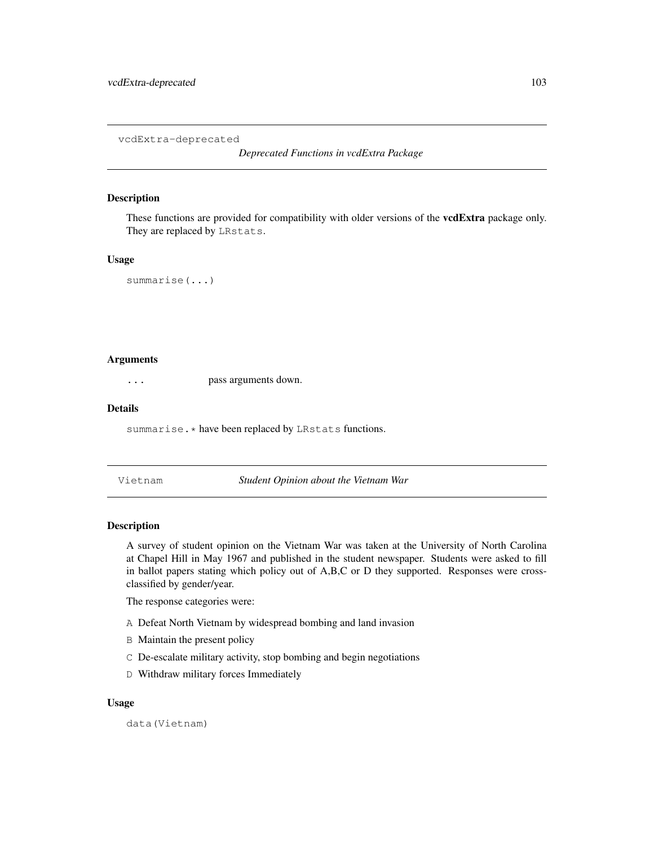vcdExtra-deprecated

*Deprecated Functions in vcdExtra Package*

#### Description

These functions are provided for compatibility with older versions of the **vcdExtra** package only. They are replaced by LRstats.

#### Usage

```
summarise(...)
```
## Arguments

... pass arguments down.

#### Details

summarise.\* have been replaced by LRstats functions.

Vietnam *Student Opinion about the Vietnam War*

### Description

A survey of student opinion on the Vietnam War was taken at the University of North Carolina at Chapel Hill in May 1967 and published in the student newspaper. Students were asked to fill in ballot papers stating which policy out of A,B,C or D they supported. Responses were crossclassified by gender/year.

The response categories were:

- A Defeat North Vietnam by widespread bombing and land invasion
- B Maintain the present policy
- C De-escalate military activity, stop bombing and begin negotiations
- D Withdraw military forces Immediately

#### Usage

data(Vietnam)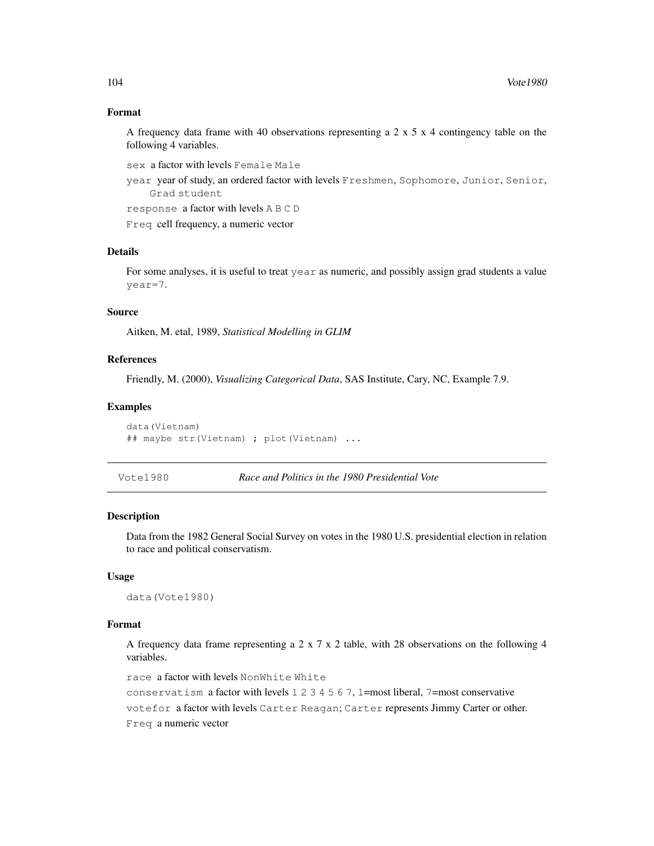### Format

A frequency data frame with 40 observations representing a 2  $\times$  5  $\times$  4 contingency table on the following 4 variables.

sex a factor with levels Female Male

year year of study, an ordered factor with levels Freshmen, Sophomore, Junior, Senior, Grad student

response a factor with levels A B C D

Freq cell frequency, a numeric vector

### Details

For some analyses, it is useful to treat year as numeric, and possibly assign grad students a value year=7.

## Source

Aitken, M. etal, 1989, *Statistical Modelling in GLIM*

# References

Friendly, M. (2000), *Visualizing Categorical Data*, SAS Institute, Cary, NC, Example 7.9.

#### Examples

```
data(Vietnam)
## maybe str(Vietnam) ; plot(Vietnam) ...
```
Vote1980 *Race and Politics in the 1980 Presidential Vote*

# Description

Data from the 1982 General Social Survey on votes in the 1980 U.S. presidential election in relation to race and political conservatism.

## Usage

data(Vote1980)

#### Format

A frequency data frame representing a 2 x 7 x 2 table, with 28 observations on the following 4 variables.

race a factor with levels NonWhite White

conservatism a factor with levels 1 2 3 4 5 6 7, 1=most liberal, 7=most conservative

votefor a factor with levels Carter Reagan; Carter represents Jimmy Carter or other.

Freq a numeric vector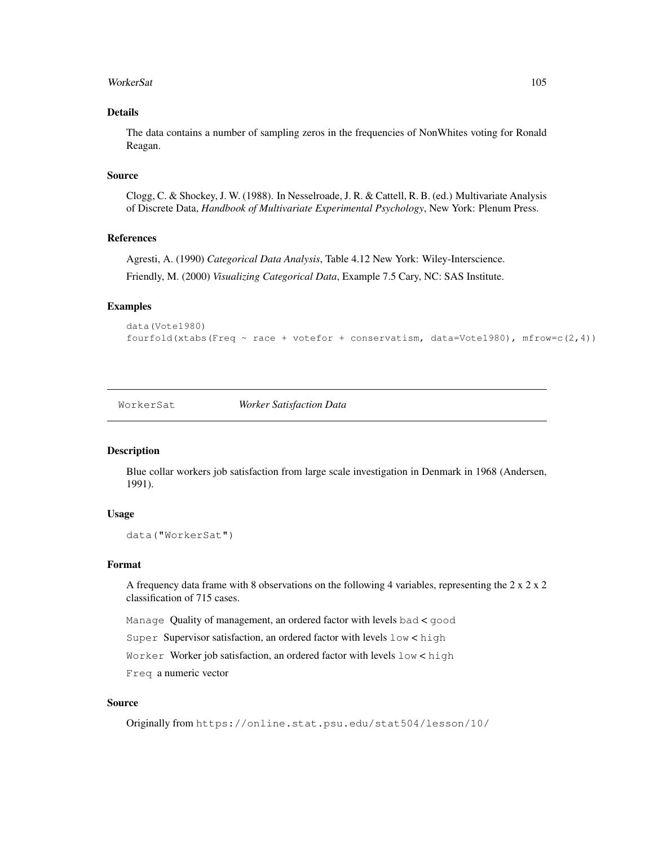### WorkerSat 105

## Details

The data contains a number of sampling zeros in the frequencies of NonWhites voting for Ronald Reagan.

# Source

Clogg, C. & Shockey, J. W. (1988). In Nesselroade, J. R. & Cattell, R. B. (ed.) Multivariate Analysis of Discrete Data, *Handbook of Multivariate Experimental Psychology*, New York: Plenum Press.

## References

Agresti, A. (1990) *Categorical Data Analysis*, Table 4.12 New York: Wiley-Interscience. Friendly, M. (2000) *Visualizing Categorical Data*, Example 7.5 Cary, NC: SAS Institute.

## Examples

```
data(Vote1980)
fourfold(xtabs(Freq \sim race + votefor + conservatism, data=Vote1980), mfrow=c(2,4))
```
WorkerSat *Worker Satisfaction Data*

### Description

Blue collar workers job satisfaction from large scale investigation in Denmark in 1968 (Andersen, 1991).

## Usage

```
data("WorkerSat")
```
## Format

A frequency data frame with 8 observations on the following 4 variables, representing the  $2 \times 2 \times 2$ classification of 715 cases.

Manage Quality of management, an ordered factor with levels bad < good

Super Supervisor satisfaction, an ordered factor with levels low < high

Worker Worker job satisfaction, an ordered factor with levels low < high

Freq a numeric vector

# Source

Originally from https://online.stat.psu.edu/stat504/lesson/10/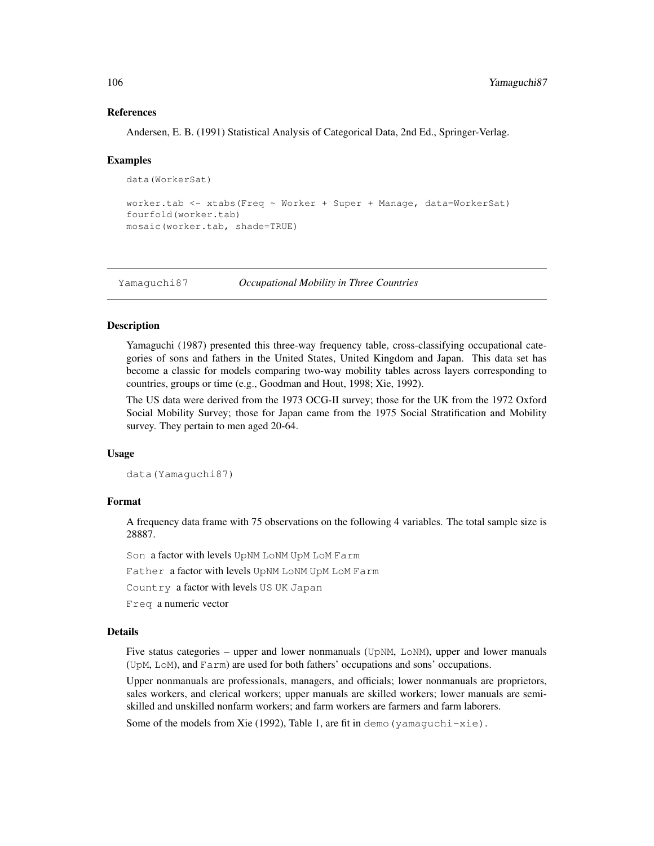### References

Andersen, E. B. (1991) Statistical Analysis of Categorical Data, 2nd Ed., Springer-Verlag.

#### Examples

```
data(WorkerSat)
```

```
worker.tab <- xtabs(Freq ~ Worker + Super + Manage, data=WorkerSat)
fourfold(worker.tab)
mosaic(worker.tab, shade=TRUE)
```
Yamaguchi87 *Occupational Mobility in Three Countries*

### **Description**

Yamaguchi (1987) presented this three-way frequency table, cross-classifying occupational categories of sons and fathers in the United States, United Kingdom and Japan. This data set has become a classic for models comparing two-way mobility tables across layers corresponding to countries, groups or time (e.g., Goodman and Hout, 1998; Xie, 1992).

The US data were derived from the 1973 OCG-II survey; those for the UK from the 1972 Oxford Social Mobility Survey; those for Japan came from the 1975 Social Stratification and Mobility survey. They pertain to men aged 20-64.

### Usage

```
data(Yamaguchi87)
```
### Format

A frequency data frame with 75 observations on the following 4 variables. The total sample size is 28887.

Son a factor with levels UpNM LoNM UpM LoM Farm

Father a factor with levels UpNM LoNM UpM LoM Farm

Country a factor with levels US UK Japan

Freq a numeric vector

## Details

Five status categories – upper and lower nonmanuals (UpNM, LoNM), upper and lower manuals (UpM, LoM), and Farm) are used for both fathers' occupations and sons' occupations.

Upper nonmanuals are professionals, managers, and officials; lower nonmanuals are proprietors, sales workers, and clerical workers; upper manuals are skilled workers; lower manuals are semiskilled and unskilled nonfarm workers; and farm workers are farmers and farm laborers.

Some of the models from Xie (1992), Table 1, are fit in demo (yamaguchi-xie).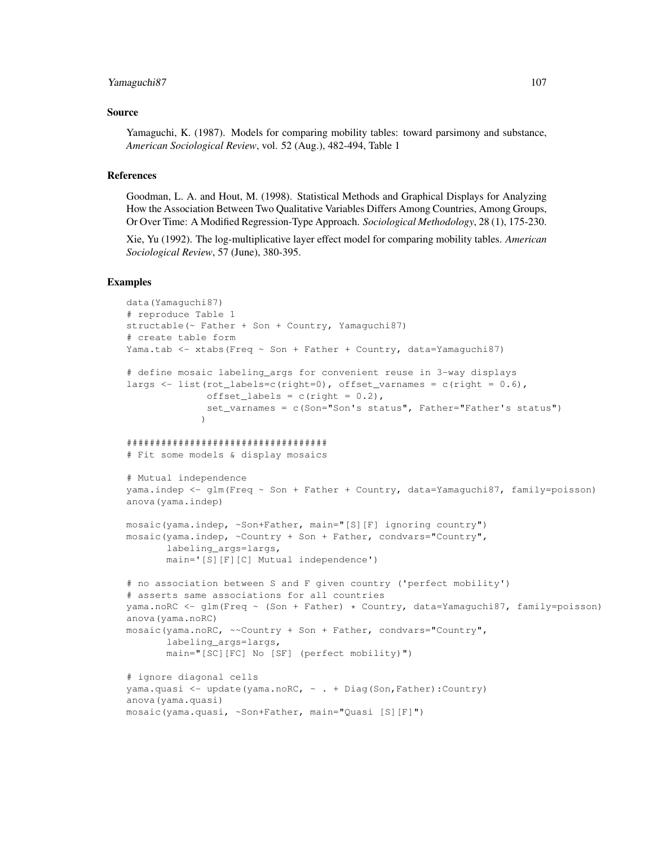### Yamaguchi87 107

### Source

Yamaguchi, K. (1987). Models for comparing mobility tables: toward parsimony and substance, *American Sociological Review*, vol. 52 (Aug.), 482-494, Table 1

## References

Goodman, L. A. and Hout, M. (1998). Statistical Methods and Graphical Displays for Analyzing How the Association Between Two Qualitative Variables Differs Among Countries, Among Groups, Or Over Time: A Modified Regression-Type Approach. *Sociological Methodology*, 28 (1), 175-230.

Xie, Yu (1992). The log-multiplicative layer effect model for comparing mobility tables. *American Sociological Review*, 57 (June), 380-395.

```
data(Yamaguchi87)
# reproduce Table 1
structable(~ Father + Son + Country, Yamaguchi87)
# create table form
Yama.tab <- xtabs(Freq ~ Son + Father + Country, data=Yamaguchi87)
# define mosaic labeling_args for convenient reuse in 3-way displays
largs \le list(rot_labels=c(right=0), offset_varnames = c(right = 0.6),
              offset_labels = c(right = 0.2),
              set_varnames = c(Son="Son's status", Father="Father's status")
             )
###################################
# Fit some models & display mosaics
# Mutual independence
yama.indep <- glm(Freq ~ Son + Father + Country, data=Yamaguchi87, family=poisson)
anova(yama.indep)
mosaic(yama.indep, ~Son+Father, main="[S][F] ignoring country")
mosaic(yama.indep, ~Country + Son + Father, condvars="Country",
       labeling_args=largs,
       main='[S][F][C] Mutual independence')
# no association between S and F given country ('perfect mobility')
# asserts same associations for all countries
yama.noRC <- glm(Freq ~ (Son + Father) * Country, data=Yamaguchi87, family=poisson)
anova(yama.noRC)
mosaic(yama.noRC, ~~Country + Son + Father, condvars="Country",
       labeling_args=largs,
       main="[SC][FC] No [SF] (perfect mobility)")
# ignore diagonal cells
yama.quasi <- update(yama.noRC, ~ . + Diag(Son,Father):Country)
anova(yama.quasi)
mosaic(yama.quasi, ~Son+Father, main="Quasi [S][F]")
```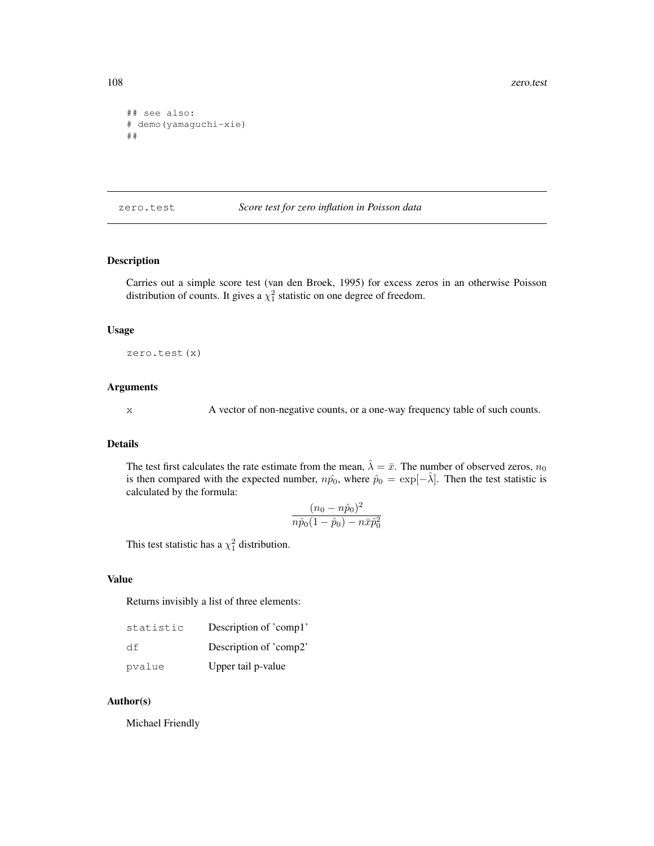```
## see also:
# demo(yamaguchi-xie)
##
```
zero.test *Score test for zero inflation in Poisson data*

## Description

Carries out a simple score test (van den Broek, 1995) for excess zeros in an otherwise Poisson distribution of counts. It gives a  $\chi^2$  statistic on one degree of freedom.

### Usage

zero.test(x)

# Arguments

x A vector of non-negative counts, or a one-way frequency table of such counts.

#### Details

The test first calculates the rate estimate from the mean,  $\hat{\lambda} = \bar{x}$ . The number of observed zeros,  $n_0$ is then compared with the expected number,  $n\hat{p}_0$ , where  $\hat{p}_0 = \exp[-\hat{\lambda}]$ . Then the test statistic is calculated by the formula:

$$
\frac{(n_0 - n\hat{p}_0)^2}{n\hat{p}_0(1 - \hat{p}_0) - n\bar{x}\hat{p}_0^2}
$$

This test statistic has a  $\chi_1^2$  distribution.

## Value

Returns invisibly a list of three elements:

| statistic | Description of 'comp1' |
|-----------|------------------------|
| df        | Description of 'comp2' |
| pvalue    | Upper tail p-value     |

# Author(s)

Michael Friendly